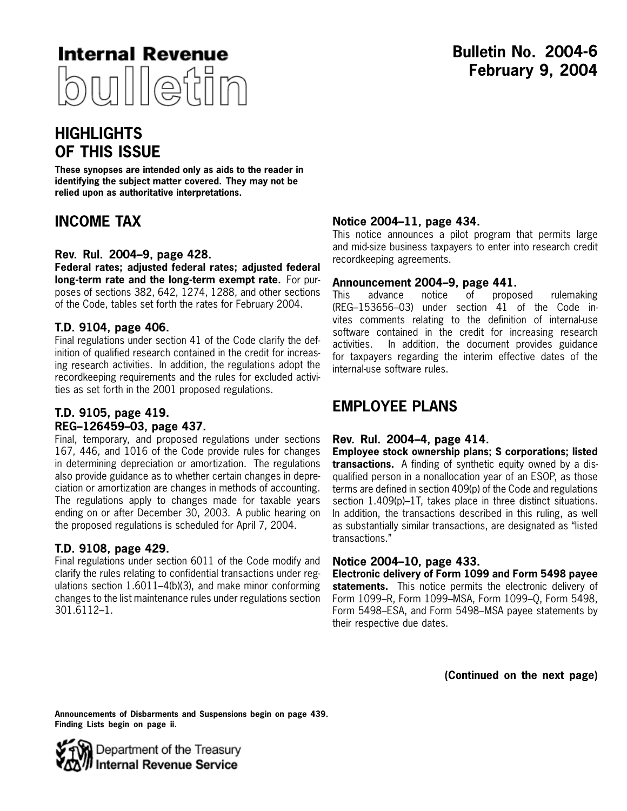

## **HIGHLIGHTS OF THIS ISSUE**

**These synopses are intended only as aids to the reader in identifying the subject matter covered. They may not be relied upon as authoritative interpretations.**

## **INCOME TAX**

### **Rev. Rul. 2004–9, page [428](#page-25-0).**

**Federal rates; adjusted federal rates; adjusted federal long-term rate and the long-term exempt rate.** For purposes of sections 382, 642, 1274, 1288, and other sections of the Code, tables set forth the rates for February 2004.

### **T.D. 9104, page [406](#page-3-0).**

Final regulations under section 41 of the Code clarify the definition of qualified research contained in the credit for increasing research activities. In addition, the regulations adopt the recordkeeping requirements and the rules for excluded activities as set forth in the 2001 proposed regulations.

### **T.D. 9105, page [419](#page-16-0). REG–126459–03, page [437](#page-34-0).**

Final, temporary, and proposed regulations under sections 167, 446, and 1016 of the Code provide rules for changes in determining depreciation or amortization. The regulations also provide guidance as to whether certain changes in depreciation or amortization are changes in methods of accounting. The regulations apply to changes made for taxable years ending on or after December 30, 2003. A public hearing on the proposed regulations is scheduled for April 7, 2004.

### **T.D. 9108, page [429](#page-26-0).**

Final regulations under section 6011 of the Code modify and clarify the rules relating to confidential transactions under regulations section 1.6011–4(b)(3), and make minor conforming changes to the list maintenance rules under regulations section 301.6112–1.

### **Notice 2004–11, page [434.](#page-31-0)**

This notice announces a pilot program that permits large and mid-size business taxpayers to enter into research credit recordkeeping agreements.

### **Announcement 2004–9, page [441.](#page-38-0)**

This advance notice of proposed rulemaking (REG–153656–03) under section 41 of the Code invites comments relating to the definition of internal-use software contained in the credit for increasing research activities. In addition, the document provides guidance for taxpayers regarding the interim effective dates of the internal-use software rules.

## **EMPLOYEE PLANS**

### **Rev. Rul. 2004–4, page [414](#page-11-0).**

**Employee stock ownership plans; S corporations; listed transactions.** A finding of synthetic equity owned by a disqualified person in a nonallocation year of an ESOP, as those terms are defined in section 409(p) of the Code and regulations section 1.409(p)-1T, takes place in three distinct situations. In addition, the transactions described in this ruling, as well as substantially similar transactions, are designated as "listed transactions."

### **Notice 2004–10, page [433.](#page-30-0)**

**Electronic delivery of Form 1099 and Form 5498 payee statements.** This notice permits the electronic delivery of Form 1099–R, Form 1099–MSA, Form 1099–Q, Form 5498, Form 5498–ESA, and Form 5498–MSA payee statements by their respective due dates.

**(Continued on the next page)**

**Announcements of Disbarments and Suspensions begin on page 439. Finding Lists begin on page ii.**

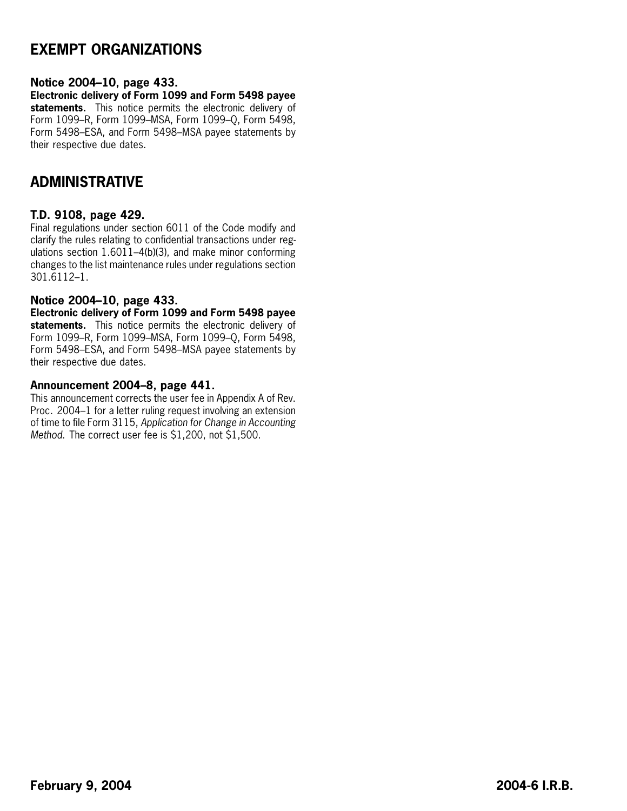## **EXEMPT ORGANIZATIONS**

## **Notice 2004–10, page [433](#page-30-0).**

**Electronic delivery of Form 1099 and Form 5498 payee** statements. This notice permits the electronic delivery of Form 1099–R, Form 1099–MSA, Form 1099–Q, Form 5498, Form 5498–ESA, and Form 5498–MSA payee statements by their respective due dates.

## **ADMINISTRATIVE**

## **T.D. 9108, page [429](#page-26-0).**

Final regulations under section 6011 of the Code modify and clarify the rules relating to confidential transactions under regulations section 1.6011–4(b)(3), and make minor conforming changes to the list maintenance rules under regulations section 301.6112–1.

## **Notice 2004–10, page [433](#page-30-0).**

**Electronic delivery of Form 1099 and Form 5498 payee statements.** This notice permits the electronic delivery of Form 1099–R, Form 1099–MSA, Form 1099–Q, Form 5498, Form 5498–ESA, and Form 5498–MSA payee statements by their respective due dates.

### **Announcement 2004–8, page [441.](#page-38-0)**

This announcement corrects the user fee in Appendix A of Rev. Proc. 2004–1 for a letter ruling request involving an extension of time to file Form 3115, *Application for Change in Accounting Method.* The correct user fee is \$1,200, not \$1,500.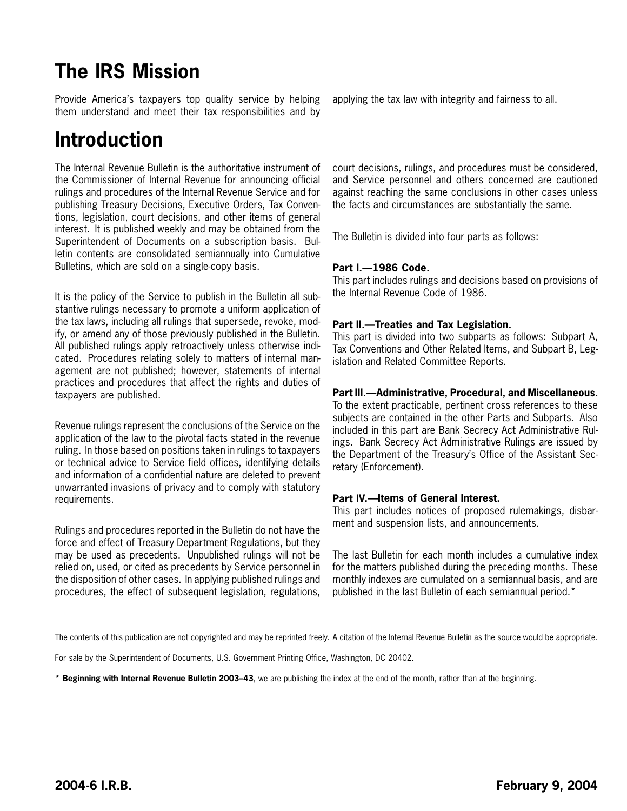# **The IRS Mission**

Provide America's taxpayers top quality service by helping them understand and meet their tax responsibilities and by

## **Introduction**

The Internal Revenue Bulletin is the authoritative instrument of the Commissioner of Internal Revenue for announcing official rulings and procedures of the Internal Revenue Service and for publishing Treasury Decisions, Executive Orders, Tax Conventions, legislation, court decisions, and other items of general interest. It is published weekly and may be obtained from the Superintendent of Documents on a subscription basis. Bulletin contents are consolidated semiannually into Cumulative Bulletins, which are sold on a single-copy basis.

It is the policy of the Service to publish in the Bulletin all substantive rulings necessary to promote a uniform application of the tax laws, including all rulings that supersede, revoke, modify, or amend any of those previously published in the Bulletin. All published rulings apply retroactively unless otherwise indicated. Procedures relating solely to matters of internal management are not published; however, statements of internal practices and procedures that affect the rights and duties of taxpayers are published.

Revenue rulings represent the conclusions of the Service on the application of the law to the pivotal facts stated in the revenue ruling. In those based on positions taken in rulings to taxpayers or technical advice to Service field offices, identifying details and information of a confidential nature are deleted to prevent unwarranted invasions of privacy and to comply with statutory requirements.

Rulings and procedures reported in the Bulletin do not have the force and effect of Treasury Department Regulations, but they may be used as precedents. Unpublished rulings will not be relied on, used, or cited as precedents by Service personnel in the disposition of other cases. In applying published rulings and procedures, the effect of subsequent legislation, regulations,

applying the tax law with integrity and fairness to all.

court decisions, rulings, and procedures must be considered, and Service personnel and others concerned are cautioned against reaching the same conclusions in other cases unless the facts and circumstances are substantially the same.

The Bulletin is divided into four parts as follows:

### **Part I.—1986 Code.**

This part includes rulings and decisions based on provisions of the Internal Revenue Code of 1986.

### **Part II.—Treaties and Tax Legislation.**

This part is divided into two subparts as follows: Subpart A, Tax Conventions and Other Related Items, and Subpart B, Legislation and Related Committee Reports.

### **Part III.—Administrative, Procedural, and Miscellaneous.**

To the extent practicable, pertinent cross references to these subjects are contained in the other Parts and Subparts. Also included in this part are Bank Secrecy Act Administrative Rulings. Bank Secrecy Act Administrative Rulings are issued by the Department of the Treasury's Office of the Assistant Secretary (Enforcement).

### **Part IV.—Items of General Interest.**

This part includes notices of proposed rulemakings, disbarment and suspension lists, and announcements.

The last Bulletin for each month includes a cumulative index for the matters published during the preceding months. These monthly indexes are cumulated on a semiannual basis, and are published in the last Bulletin of each semiannual period.\*

The contents of this publication are not copyrighted and may be reprinted freely. A citation of the Internal Revenue Bulletin as the source would be appropriate.

For sale by the Superintendent of Documents, U.S. Government Printing Office, Washington, DC 20402.

**\* Beginning with Internal Revenue Bulletin 2003–43**, we are publishing the index at the end of the month, rather than at the beginning.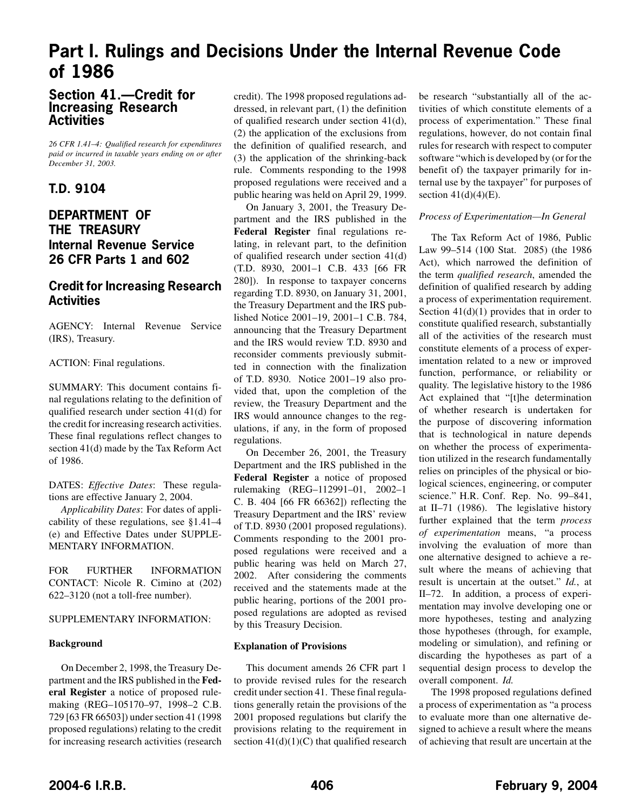## <span id="page-3-0"></span>**Part I. Rulings and Decisions Under the Internal Revenue Code of 1986**

## **Section 41.—Credit for Increasing Research Activities**

*26 CFR 1.41–4: Qualified research for expenditures paid or incurred in taxable years ending on or after December 31, 2003.*

## **T.D. 9104**

## **DEPARTMENT OF THE TREASURY Internal Revenue Service 26 CFR Parts 1 and 602**

## **Credit for Increasing Research Activities**

AGENCY: Internal Revenue Service (IRS), Treasury.

ACTION: Final regulations.

SUMMARY: This document contains final regulations relating to the definition of qualified research under section 41(d) for the credit for increasing research activities. These final regulations reflect changes to section 41(d) made by the Tax Reform Act of 1986.

DATES: *Effective Dates*: These regulations are effective January 2, 2004.

*Applicability Dates*: For dates of applicability of these regulations, see §1.41–4 (e) and Effective Dates under SUPPLE-MENTARY INFORMATION.

FOR FURTHER INFORMATION CONTACT: Nicole R. Cimino at (202) 622–3120 (not a toll-free number).

#### SUPPLEMENTARY INFORMATION:

#### **Background**

On December 2, 1998, the Treasury Department and the IRS published in the **Federal Register** a notice of proposed rulemaking (REG–105170–97, 1998–2 C.B. 729 [63 FR 66503]) under section 41 (1998 proposed regulations) relating to the credit for increasing research activities (research

credit). The 1998 proposed regulations addressed, in relevant part, (1) the definition of qualified research under section 41(d), (2) the application of the exclusions from the definition of qualified research, and (3) the application of the shrinking-back rule. Comments responding to the 1998 proposed regulations were received and a public hearing was held on April 29, 1999.

On January 3, 2001, the Treasury Department and the IRS published in the **Federal Register** final regulations relating, in relevant part, to the definition of qualified research under section 41(d) (T.D. 8930, 2001–1 C.B. 433 [66 FR 280]). In response to taxpayer concerns regarding T.D. 8930, on January 31, 2001, the Treasury Department and the IRS published Notice 2001–19, 2001–1 C.B. 784, announcing that the Treasury Department and the IRS would review T.D. 8930 and reconsider comments previously submitted in connection with the finalization of T.D. 8930. Notice 2001–19 also provided that, upon the completion of the review, the Treasury Department and the IRS would announce changes to the regulations, if any, in the form of proposed regulations.

On December 26, 2001, the Treasury Department and the IRS published in the **Federal Register** a notice of proposed rulemaking (REG–112991–01, 2002–1 C. B. 404 [66 FR 66362]) reflecting the Treasury Department and the IRS' review of T.D. 8930 (2001 proposed regulations). Comments responding to the 2001 proposed regulations were received and a public hearing was held on March 27, 2002. After considering the comments received and the statements made at the public hearing, portions of the 2001 proposed regulations are adopted as revised by this Treasury Decision.

#### **Explanation of Provisions**

This document amends 26 CFR part 1 to provide revised rules for the research credit under section 41. These final regulations generally retain the provisions of the 2001 proposed regulations but clarify the provisions relating to the requirement in section  $41(d)(1)(C)$  that qualified research be research "substantially all of the activities of which constitute elements of a process of experimentation." These final regulations, however, do not contain final rules for research with respect to computer software "which is developed by (or for the benefit of) the taxpayer primarily for internal use by the taxpayer" for purposes of section  $41(d)(4)(E)$ .

#### *Process of Experimentation—In General*

The Tax Reform Act of 1986, Public Law 99–514 (100 Stat. 2085) (the 1986 Act), which narrowed the definition of the term *qualified research*, amended the definition of qualified research by adding a process of experimentation requirement. Section  $41(d)(1)$  provides that in order to constitute qualified research, substantially all of the activities of the research must constitute elements of a process of experimentation related to a new or improved function, performance, or reliability or quality. The legislative history to the 1986 Act explained that "[t]he determination of whether research is undertaken for the purpose of discovering information that is technological in nature depends on whether the process of experimentation utilized in the research fundamentally relies on principles of the physical or biological sciences, engineering, or computer science." H.R. Conf. Rep. No. 99–841, at II–71 (1986). The legislative history further explained that the term *process of experimentation* means, "a process involving the evaluation of more than one alternative designed to achieve a result where the means of achieving that result is uncertain at the outset." *Id.*, at II–72. In addition, a process of experimentation may involve developing one or more hypotheses, testing and analyzing those hypotheses (through, for example, modeling or simulation), and refining or discarding the hypotheses as part of a sequential design process to develop the overall component. *Id.*

The 1998 proposed regulations defined a process of experimentation as "a process to evaluate more than one alternative designed to achieve a result where the means of achieving that result are uncertain at the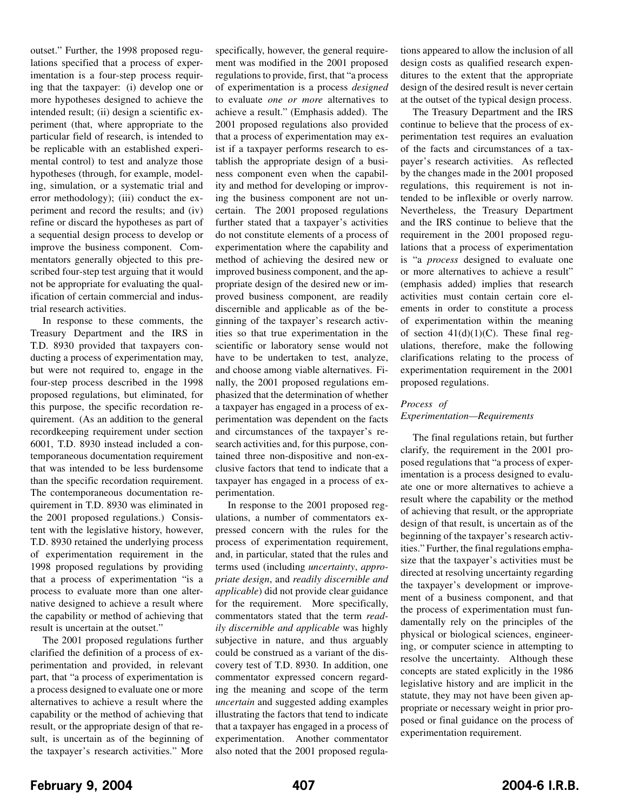outset." Further, the 1998 proposed regulations specified that a process of experimentation is a four-step process requiring that the taxpayer: (i) develop one or more hypotheses designed to achieve the intended result; (ii) design a scientific experiment (that, where appropriate to the particular field of research, is intended to be replicable with an established experimental control) to test and analyze those hypotheses (through, for example, modeling, simulation, or a systematic trial and error methodology); (iii) conduct the experiment and record the results; and (iv) refine or discard the hypotheses as part of a sequential design process to develop or improve the business component. Commentators generally objected to this prescribed four-step test arguing that it would not be appropriate for evaluating the qualification of certain commercial and industrial research activities.

In response to these comments, the Treasury Department and the IRS in T.D. 8930 provided that taxpayers conducting a process of experimentation may, but were not required to, engage in the four-step process described in the 1998 proposed regulations, but eliminated, for this purpose, the specific recordation requirement. (As an addition to the general recordkeeping requirement under section 6001, T.D. 8930 instead included a contemporaneous documentation requirement that was intended to be less burdensome than the specific recordation requirement. The contemporaneous documentation requirement in T.D. 8930 was eliminated in the 2001 proposed regulations.) Consistent with the legislative history, however, T.D. 8930 retained the underlying process of experimentation requirement in the 1998 proposed regulations by providing that a process of experimentation "is a process to evaluate more than one alternative designed to achieve a result where the capability or method of achieving that result is uncertain at the outset."

The 2001 proposed regulations further clarified the definition of a process of experimentation and provided, in relevant part, that "a process of experimentation is a process designed to evaluate one or more alternatives to achieve a result where the capability or the method of achieving that result, or the appropriate design of that result, is uncertain as of the beginning of the taxpayer's research activities." More

specifically, however, the general requirement was modified in the 2001 proposed regulations to provide, first, that "a process of experimentation is a process *designed* to evaluate *one or more* alternatives to achieve a result." (Emphasis added). The 2001 proposed regulations also provided that a process of experimentation may exist if a taxpayer performs research to establish the appropriate design of a business component even when the capability and method for developing or improving the business component are not uncertain. The 2001 proposed regulations further stated that a taxpayer's activities do not constitute elements of a process of experimentation where the capability and method of achieving the desired new or improved business component, and the appropriate design of the desired new or improved business component, are readily discernible and applicable as of the beginning of the taxpayer's research activities so that true experimentation in the scientific or laboratory sense would not have to be undertaken to test, analyze, and choose among viable alternatives. Finally, the 2001 proposed regulations emphasized that the determination of whether a taxpayer has engaged in a process of experimentation was dependent on the facts and circumstances of the taxpayer's research activities and, for this purpose, contained three non-dispositive and non-exclusive factors that tend to indicate that a taxpayer has engaged in a process of experimentation.

In response to the 2001 proposed regulations, a number of commentators expressed concern with the rules for the process of experimentation requirement, and, in particular, stated that the rules and terms used (including *uncertainty*, *appropriate design*, and *readily discernible and applicable*) did not provide clear guidance for the requirement. More specifically, commentators stated that the term *readily discernible and applicable* was highly subjective in nature, and thus arguably could be construed as a variant of the discovery test of T.D. 8930. In addition, one commentator expressed concern regarding the meaning and scope of the term *uncertain* and suggested adding examples illustrating the factors that tend to indicate that a taxpayer has engaged in a process of experimentation. Another commentator also noted that the 2001 proposed regula-

tions appeared to allow the inclusion of all design costs as qualified research expenditures to the extent that the appropriate design of the desired result is never certain at the outset of the typical design process.

The Treasury Department and the IRS continue to believe that the process of experimentation test requires an evaluation of the facts and circumstances of a taxpayer's research activities. As reflected by the changes made in the 2001 proposed regulations, this requirement is not intended to be inflexible or overly narrow. Nevertheless, the Treasury Department and the IRS continue to believe that the requirement in the 2001 proposed regulations that a process of experimentation is "a *process* designed to evaluate one or more alternatives to achieve a result" (emphasis added) implies that research activities must contain certain core elements in order to constitute a process of experimentation within the meaning of section  $41(d)(1)(C)$ . These final regulations, therefore, make the following clarifications relating to the process of experimentation requirement in the 2001 proposed regulations.

#### *Process of Experimentation—Requirements*

The final regulations retain, but further clarify, the requirement in the 2001 proposed regulations that "a process of experimentation is a process designed to evaluate one or more alternatives to achieve a result where the capability or the method of achieving that result, or the appropriate design of that result, is uncertain as of the beginning of the taxpayer's research activities." Further, the final regulations emphasize that the taxpayer's activities must be directed at resolving uncertainty regarding the taxpayer's development or improvement of a business component, and that the process of experimentation must fundamentally rely on the principles of the physical or biological sciences, engineering, or computer science in attempting to resolve the uncertainty. Although these concepts are stated explicitly in the 1986 legislative history and are implicit in the statute, they may not have been given appropriate or necessary weight in prior proposed or final guidance on the process of experimentation requirement.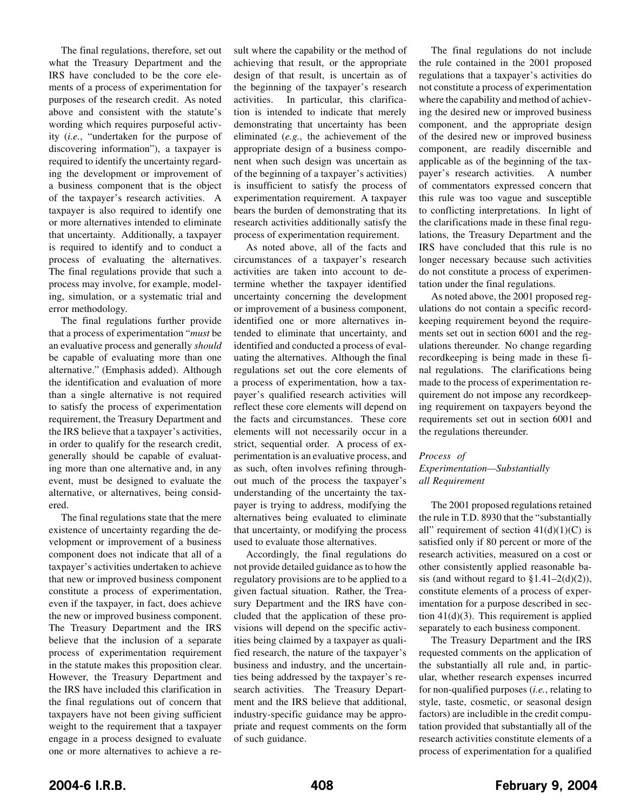The final regulations, therefore, set out what the Treasury Department and the IRS have concluded to be the core elements of a process of experimentation for purposes of the research credit. As noted above and consistent with the statute's wording which requires purposeful activity (*i.e.*, "undertaken for the purpose of discovering information"), a taxpayer is required to identify the uncertainty regarding the development or improvement of a business component that is the object of the taxpayer's research activities. A taxpayer is also required to identify one or more alternatives intended to eliminate that uncertainty. Additionally, a taxpayer is required to identify and to conduct a process of evaluating the alternatives. The final regulations provide that such a process may involve, for example, modeling, simulation, or a systematic trial and error methodology.

The final regulations further provide that a process of experimentation "*must* be an evaluative process and generally *should* be capable of evaluating more than one alternative." (Emphasis added). Although the identification and evaluation of more than a single alternative is not required to satisfy the process of experimentation requirement, the Treasury Department and the IRS believe that a taxpayer's activities, in order to qualify for the research credit, generally should be capable of evaluating more than one alternative and, in any event, must be designed to evaluate the alternative, or alternatives, being considered.

The final regulations state that the mere existence of uncertainty regarding the development or improvement of a business component does not indicate that all of a taxpayer's activities undertaken to achieve that new or improved business component constitute a process of experimentation, even if the taxpayer, in fact, does achieve the new or improved business component. The Treasury Department and the IRS believe that the inclusion of a separate process of experimentation requirement in the statute makes this proposition clear. However, the Treasury Department and the IRS have included this clarification in the final regulations out of concern that taxpayers have not been giving sufficient weight to the requirement that a taxpayer engage in a process designed to evaluate one or more alternatives to achieve a result where the capability or the method of achieving that result, or the appropriate design of that result, is uncertain as of the beginning of the taxpayer's research activities. In particular, this clarification is intended to indicate that merely demonstrating that uncertainty has been eliminated (*e.g.*, the achievement of the appropriate design of a business component when such design was uncertain as of the beginning of a taxpayer's activities) is insufficient to satisfy the process of experimentation requirement. A taxpayer bears the burden of demonstrating that its research activities additionally satisfy the process of experimentation requirement.

As noted above, all of the facts and circumstances of a taxpayer's research activities are taken into account to determine whether the taxpayer identified uncertainty concerning the development or improvement of a business component, identified one or more alternatives intended to eliminate that uncertainty, and identified and conducted a process of evaluating the alternatives. Although the final regulations set out the core elements of a process of experimentation, how a taxpayer's qualified research activities will reflect these core elements will depend on the facts and circumstances. These core elements will not necessarily occur in a strict, sequential order. A process of experimentation is an evaluative process, and as such, often involves refining throughout much of the process the taxpayer's understanding of the uncertainty the taxpayer is trying to address, modifying the alternatives being evaluated to eliminate that uncertainty, or modifying the process used to evaluate those alternatives.

Accordingly, the final regulations do not provide detailed guidance as to how the regulatory provisions are to be applied to a given factual situation. Rather, the Treasury Department and the IRS have concluded that the application of these provisions will depend on the specific activities being claimed by a taxpayer as qualified research, the nature of the taxpayer's business and industry, and the uncertainties being addressed by the taxpayer's research activities. The Treasury Department and the IRS believe that additional, industry-specific guidance may be appropriate and request comments on the form of such guidance.

The final regulations do not include the rule contained in the 2001 proposed regulations that a taxpayer's activities do not constitute a process of experimentation where the capability and method of achieving the desired new or improved business component, and the appropriate design of the desired new or improved business component, are readily discernible and applicable as of the beginning of the taxpayer's research activities. A number of commentators expressed concern that this rule was too vague and susceptible to conflicting interpretations. In light of the clarifications made in these final regulations, the Treasury Department and the IRS have concluded that this rule is no longer necessary because such activities do not constitute a process of experimentation under the final regulations.

As noted above, the 2001 proposed regulations do not contain a specific recordkeeping requirement beyond the requirements set out in section 6001 and the regulations thereunder. No change regarding recordkeeping is being made in these final regulations. The clarifications being made to the process of experimentation requirement do not impose any recordkeeping requirement on taxpayers beyond the requirements set out in section 6001 and the regulations thereunder.

#### *Process of Experimentation—Substantially all Requirement*

The 2001 proposed regulations retained the rule in T.D. 8930 that the "substantially all" requirement of section  $41(d)(1)(C)$  is satisfied only if 80 percent or more of the research activities, measured on a cost or other consistently applied reasonable basis (and without regard to  $$1.41-2(d)(2)$ ), constitute elements of a process of experimentation for a purpose described in section  $41(d)(3)$ . This requirement is applied separately to each business component.

The Treasury Department and the IRS requested comments on the application of the substantially all rule and, in particular, whether research expenses incurred for non-qualified purposes (*i.e.*, relating to style, taste, cosmetic, or seasonal design factors) are includible in the credit computation provided that substantially all of the research activities constitute elements of a process of experimentation for a qualified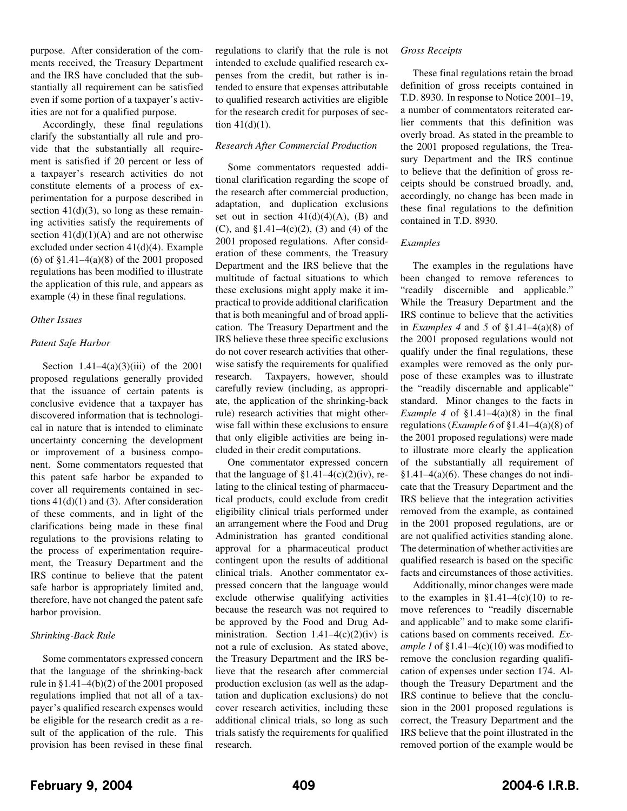purpose. After consideration of the comments received, the Treasury Department and the IRS have concluded that the substantially all requirement can be satisfied even if some portion of a taxpayer's activities are not for a qualified purpose.

Accordingly, these final regulations clarify the substantially all rule and provide that the substantially all requirement is satisfied if 20 percent or less of a taxpayer's research activities do not constitute elements of a process of experimentation for a purpose described in section  $41(d)(3)$ , so long as these remaining activities satisfy the requirements of section  $41(d)(1)(A)$  and are not otherwise excluded under section 41(d)(4). Example (6) of §1.41–4(a)(8) of the 2001 proposed regulations has been modified to illustrate the application of this rule, and appears as example (4) in these final regulations.

#### *Other Issues*

#### *Patent Safe Harbor*

Section  $1.41-4(a)(3)(iii)$  of the 2001 proposed regulations generally provided that the issuance of certain patents is conclusive evidence that a taxpayer has discovered information that is technological in nature that is intended to eliminate uncertainty concerning the development or improvement of a business component. Some commentators requested that this patent safe harbor be expanded to cover all requirements contained in sections  $41(d)(1)$  and (3). After consideration of these comments, and in light of the clarifications being made in these final regulations to the provisions relating to the process of experimentation requirement, the Treasury Department and the IRS continue to believe that the patent safe harbor is appropriately limited and, therefore, have not changed the patent safe harbor provision.

#### *Shrinking-Back Rule*

Some commentators expressed concern that the language of the shrinking-back rule in  $\S1.41-4(b)(2)$  of the 2001 proposed regulations implied that not all of a taxpayer's qualified research expenses would be eligible for the research credit as a result of the application of the rule. This provision has been revised in these final

regulations to clarify that the rule is not intended to exclude qualified research expenses from the credit, but rather is intended to ensure that expenses attributable to qualified research activities are eligible for the research credit for purposes of section  $41(d)(1)$ .

#### *Research After Commercial Production*

Some commentators requested additional clarification regarding the scope of the research after commercial production, adaptation, and duplication exclusions set out in section  $41(d)(4)(A)$ , (B) and (C), and  $$1.41-4(c)(2)$ , (3) and (4) of the 2001 proposed regulations. After consideration of these comments, the Treasury Department and the IRS believe that the multitude of factual situations to which these exclusions might apply make it impractical to provide additional clarification that is both meaningful and of broad application. The Treasury Department and the IRS believe these three specific exclusions do not cover research activities that otherwise satisfy the requirements for qualified research. Taxpayers, however, should carefully review (including, as appropriate, the application of the shrinking-back rule) research activities that might otherwise fall within these exclusions to ensure that only eligible activities are being included in their credit computations.

One commentator expressed concern that the language of  $$1.41-4(c)(2)(iv)$ , relating to the clinical testing of pharmaceutical products, could exclude from credit eligibility clinical trials performed under an arrangement where the Food and Drug Administration has granted conditional approval for a pharmaceutical product contingent upon the results of additional clinical trials. Another commentator expressed concern that the language would exclude otherwise qualifying activities because the research was not required to be approved by the Food and Drug Administration. Section  $1.41-4(c)(2)(iv)$  is not a rule of exclusion. As stated above, the Treasury Department and the IRS believe that the research after commercial production exclusion (as well as the adaptation and duplication exclusions) do not cover research activities, including these additional clinical trials, so long as such trials satisfy the requirements for qualified research.

#### *Gross Receipts*

These final regulations retain the broad definition of gross receipts contained in T.D. 8930. In response to Notice 2001–19, a number of commentators reiterated earlier comments that this definition was overly broad. As stated in the preamble to the 2001 proposed regulations, the Treasury Department and the IRS continue to believe that the definition of gross receipts should be construed broadly, and, accordingly, no change has been made in these final regulations to the definition contained in T.D. 8930.

#### *Examples*

The examples in the regulations have been changed to remove references to "readily discernible and applicable." While the Treasury Department and the IRS continue to believe that the activities in *Examples 4* and *5* of §1.41–4(a)(8) of the 2001 proposed regulations would not qualify under the final regulations, these examples were removed as the only purpose of these examples was to illustrate the "readily discernable and applicable" standard. Minor changes to the facts in *Example 4* of  $\S1.41-4(a)(8)$  in the final regulations (*Example 6* of §1.41–4(a)(8) of the 2001 proposed regulations) were made to illustrate more clearly the application of the substantially all requirement of  $§1.41-4(a)(6)$ . These changes do not indicate that the Treasury Department and the IRS believe that the integration activities removed from the example, as contained in the 2001 proposed regulations, are or are not qualified activities standing alone. The determination of whether activities are qualified research is based on the specific facts and circumstances of those activities.

Additionally, minor changes were made to the examples in  $$1.41-4(c)(10)$  to remove references to "readily discernable and applicable" and to make some clarifications based on comments received. *Example 1* of  $\S1.41-4(c)(10)$  was modified to remove the conclusion regarding qualification of expenses under section 174. Although the Treasury Department and the IRS continue to believe that the conclusion in the 2001 proposed regulations is correct, the Treasury Department and the IRS believe that the point illustrated in the removed portion of the example would be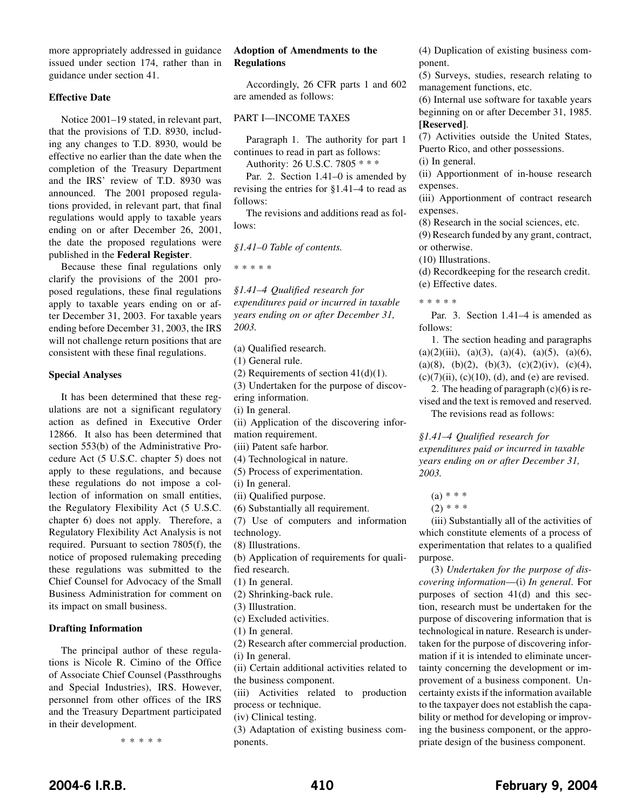more appropriately addressed in guidance issued under section 174, rather than in guidance under section 41.

#### **Effective Date**

Notice 2001–19 stated, in relevant part, that the provisions of T.D. 8930, including any changes to T.D. 8930, would be effective no earlier than the date when the completion of the Treasury Department and the IRS' review of T.D. 8930 was announced. The 2001 proposed regulations provided, in relevant part, that final regulations would apply to taxable years ending on or after December 26, 2001, the date the proposed regulations were published in the **Federal Register**.

Because these final regulations only clarify the provisions of the 2001 proposed regulations, these final regulations apply to taxable years ending on or after December 31, 2003. For taxable years ending before December 31, 2003, the IRS will not challenge return positions that are consistent with these final regulations.

#### **Special Analyses**

It has been determined that these regulations are not a significant regulatory action as defined in Executive Order 12866. It also has been determined that section 553(b) of the Administrative Procedure Act (5 U.S.C. chapter 5) does not apply to these regulations, and because these regulations do not impose a collection of information on small entities, the Regulatory Flexibility Act (5 U.S.C. chapter 6) does not apply. Therefore, a Regulatory Flexibility Act Analysis is not required. Pursuant to section 7805(f), the notice of proposed rulemaking preceding these regulations was submitted to the Chief Counsel for Advocacy of the Small Business Administration for comment on its impact on small business.

#### **Drafting Information**

The principal author of these regulations is Nicole R. Cimino of the Office of Associate Chief Counsel (Passthroughs and Special Industries), IRS. However, personnel from other offices of the IRS and the Treasury Department participated in their development.

\*\*\*\*\*

#### **Adoption of Amendments to the Regulations**

Accordingly, 26 CFR parts 1 and 602 are amended as follows:

### PART I—INCOME TAXES

Paragraph 1. The authority for part 1 continues to read in part as follows:

Authority: 26 U.S.C. 7805 \* \* \*

Par. 2. Section 1.41–0 is amended by revising the entries for §1.41–4 to read as follows:

The revisions and additions read as follows:

*§1.41–0 Table of contents.*

\*\*\*\*\*

*§1.41–4 Qualified research for expenditures paid or incurred in taxable years ending on or after December 31, 2003.*

(a) Qualified research.

(1) General rule.

- (2) Requirements of section  $41(d)(1)$ .
- (3) Undertaken for the purpose of discov-
- ering information.

(i) In general.

- (ii) Application of the discovering infor-
- mation requirement.
- (iii) Patent safe harbor.
- (4) Technological in nature.
- (5) Process of experimentation.

(i) In general.

- (ii) Qualified purpose.
- (6) Substantially all requirement.
- (7) Use of computers and information technology.
- (8) Illustrations.
- (b) Application of requirements for quali-
- fied research.
- (1) In general.
- (2) Shrinking-back rule.
- (3) Illustration.
- (c) Excluded activities.
- (1) In general.
- (2) Research after commercial production.
- (i) In general.
- (ii) Certain additional activities related to the business component.
- (iii) Activities related to production process or technique.
- (iv) Clinical testing.

(3) Adaptation of existing business components.

(4) Duplication of existing business component.

(5) Surveys, studies, research relating to management functions, etc.

(6) Internal use software for taxable years beginning on or after December 31, 1985. **[Reserved]**.

#### (7) Activities outside the United States, Puerto Rico, and other possessions.

(i) In general.

(ii) Apportionment of in-house research expenses.

(iii) Apportionment of contract research expenses.

(8) Research in the social sciences, etc.

- (9) Research funded by any grant, contract, or otherwise.
- (10) Illustrations.
- (d) Recordkeeping for the research credit.
- (e) Effective dates.
- \*\*\*\*\*

Par. 3. Section 1.41–4 is amended as follows:

1. The section heading and paragraphs  $(a)(2)(iii)$ ,  $(a)(3)$ ,  $(a)(4)$ ,  $(a)(5)$ ,  $(a)(6)$ , (a)(8), (b)(2), (b)(3), (c)(2)(iv), (c)(4),  $(c)(7)(ii)$ ,  $(c)(10)$ ,  $(d)$ , and  $(e)$  are revised.

2. The heading of paragraph  $(c)(6)$  is revised and the text is removed and reserved. The revisions read as follows:

*§1.41–4 Qualified research for expenditures paid or incurred in taxable years ending on or after December 31, 2003.*

- $(a) * * *$
- $(2)$  \* \* \*

(iii) Substantially all of the activities of which constitute elements of a process of experimentation that relates to a qualified purpose.

(3) *Undertaken for the purpose of discovering information*—(i) *In general*. For purposes of section 41(d) and this section, research must be undertaken for the purpose of discovering information that is technological in nature. Research is undertaken for the purpose of discovering information if it is intended to eliminate uncertainty concerning the development or improvement of a business component. Uncertainty exists if the information available to the taxpayer does not establish the capability or method for developing or improving the business component, or the appropriate design of the business component.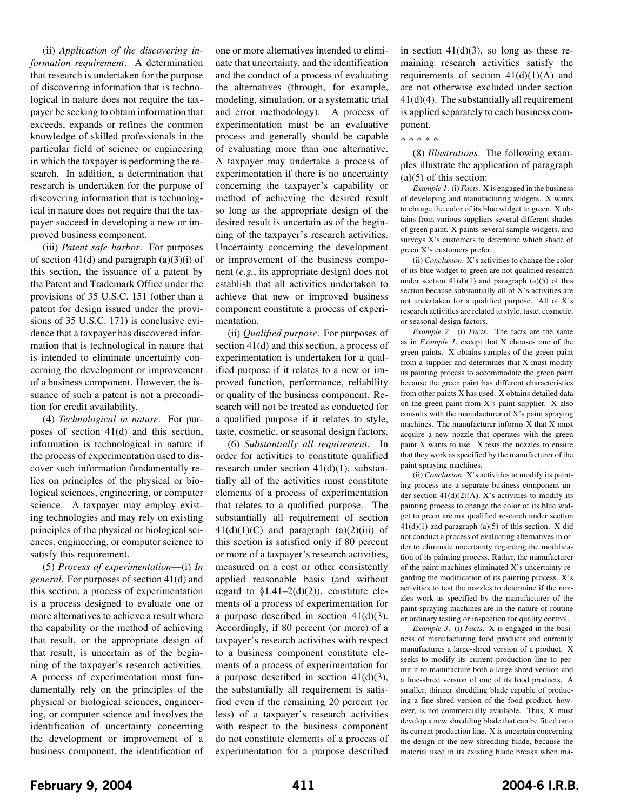(ii) *Application of the discovering information requirement*. A determination that research is undertaken for the purpose of discovering information that is technological in nature does not require the taxpayer be seeking to obtain information that exceeds, expands or refines the common knowledge of skilled professionals in the particular field of science or engineering in which the taxpayer is performing the research. In addition, a determination that research is undertaken for the purpose of discovering information that is technological in nature does not require that the taxpayer succeed in developing a new or improved business component.

(iii) *Patent safe harbor*. For purposes of section 41(d) and paragraph  $(a)(3)(i)$  of this section, the issuance of a patent by the Patent and Trademark Office under the provisions of 35 U.S.C. 151 (other than a patent for design issued under the provisions of 35 U.S.C. 171) is conclusive evidence that a taxpayer has discovered information that is technological in nature that is intended to eliminate uncertainty concerning the development or improvement of a business component. However, the issuance of such a patent is not a precondition for credit availability.

(4) *Technological in nature*. For purposes of section 41(d) and this section, information is technological in nature if the process of experimentation used to discover such information fundamentally relies on principles of the physical or biological sciences, engineering, or computer science. A taxpayer may employ existing technologies and may rely on existing principles of the physical or biological sciences, engineering, or computer science to satisfy this requirement.

(5) *Process of experimentation*—(i) *In general*. For purposes of section 41(d) and this section, a process of experimentation is a process designed to evaluate one or more alternatives to achieve a result where the capability or the method of achieving that result, or the appropriate design of that result, is uncertain as of the beginning of the taxpayer's research activities. A process of experimentation must fundamentally rely on the principles of the physical or biological sciences, engineering, or computer science and involves the identification of uncertainty concerning the development or improvement of a business component, the identification of

one or more alternatives intended to eliminate that uncertainty, and the identification and the conduct of a process of evaluating the alternatives (through, for example, modeling, simulation, or a systematic trial and error methodology). A process of experimentation must be an evaluative process and generally should be capable of evaluating more than one alternative. A taxpayer may undertake a process of experimentation if there is no uncertainty concerning the taxpayer's capability or method of achieving the desired result so long as the appropriate design of the desired result is uncertain as of the beginning of the taxpayer's research activities. Uncertainty concerning the development or improvement of the business component (*e.g.*, its appropriate design) does not establish that all activities undertaken to achieve that new or improved business component constitute a process of experimentation.

(ii) *Qualified purpose*. For purposes of section 41(d) and this section, a process of experimentation is undertaken for a qualified purpose if it relates to a new or improved function, performance, reliability or quality of the business component. Research will not be treated as conducted for a qualified purpose if it relates to style, taste, cosmetic, or seasonal design factors.

(6) *Substantially all requirement*. In order for activities to constitute qualified research under section  $41(d)(1)$ , substantially all of the activities must constitute elements of a process of experimentation that relates to a qualified purpose. The substantially all requirement of section  $41(d)(1)(C)$  and paragraph  $(a)(2)(iii)$  of this section is satisfied only if 80 percent or more of a taxpayer's research activities, measured on a cost or other consistently applied reasonable basis (and without regard to  $$1.41-2(d)(2)$ , constitute elements of a process of experimentation for a purpose described in section  $41(d)(3)$ . Accordingly, if 80 percent (or more) of a taxpayer's research activities with respect to a business component constitute elements of a process of experimentation for a purpose described in section  $41(d)(3)$ , the substantially all requirement is satisfied even if the remaining 20 percent (or less) of a taxpayer's research activities with respect to the business component do not constitute elements of a process of experimentation for a purpose described

in section  $41(d)(3)$ , so long as these remaining research activities satisfy the requirements of section  $41(d)(1)(A)$  and are not otherwise excluded under section 41(d)(4). The substantially all requirement is applied separately to each business component.

\*\*\*\*\*

(8) *Illustrations*. The following examples illustrate the application of paragraph  $(a)(5)$  of this section:

*Example 1*. (i) *Facts*. X is engaged in the business of developing and manufacturing widgets. X wants to change the color of its blue widget to green. X obtains from various suppliers several different shades of green paint. X paints several sample widgets, and surveys X's customers to determine which shade of green X's customers prefer.

(ii) *Conclusion*. X's activities to change the color of its blue widget to green are not qualified research under section  $41(d)(1)$  and paragraph  $(a)(5)$  of this section because substantially all of X's activities are not undertaken for a qualified purpose. All of X's research activities are related to style, taste, cosmetic, or seasonal design factors.

*Example 2*. (i) *Facts*. The facts are the same as in *Example 1*, except that X chooses one of the green paints. X obtains samples of the green paint from a supplier and determines that X must modify its painting process to accommodate the green paint because the green paint has different characteristics from other paints X has used. X obtains detailed data on the green paint from X's paint supplier. X also consults with the manufacturer of X's paint spraying machines. The manufacturer informs X that X must acquire a new nozzle that operates with the green paint X wants to use. X tests the nozzles to ensure that they work as specified by the manufacturer of the paint spraying machines.

(ii) *Conclusion*. X's activities to modify its painting process are a separate business component under section  $41(d)(2)(A)$ . X's activities to modify its painting process to change the color of its blue widget to green are not qualified research under section  $41(d)(1)$  and paragraph (a)(5) of this section. X did not conduct a process of evaluating alternatives in order to eliminate uncertainty regarding the modification of its painting process. Rather, the manufacturer of the paint machines eliminated X's uncertainty regarding the modification of its painting process. X's activities to test the nozzles to determine if the nozzles work as specified by the manufacturer of the paint spraying machines are in the nature of routine or ordinary testing or inspection for quality control.

*Example 3*. (i) *Facts*. X is engaged in the business of manufacturing food products and currently manufactures a large-shred version of a product. X seeks to modify its current production line to permit it to manufacture both a large-shred version and a fine-shred version of one of its food products. A smaller, thinner shredding blade capable of producing a fine-shred version of the food product, however, is not commercially available. Thus, X must develop a new shredding blade that can be fitted onto its current production line. X is uncertain concerning the design of the new shredding blade, because the material used in its existing blade breaks when ma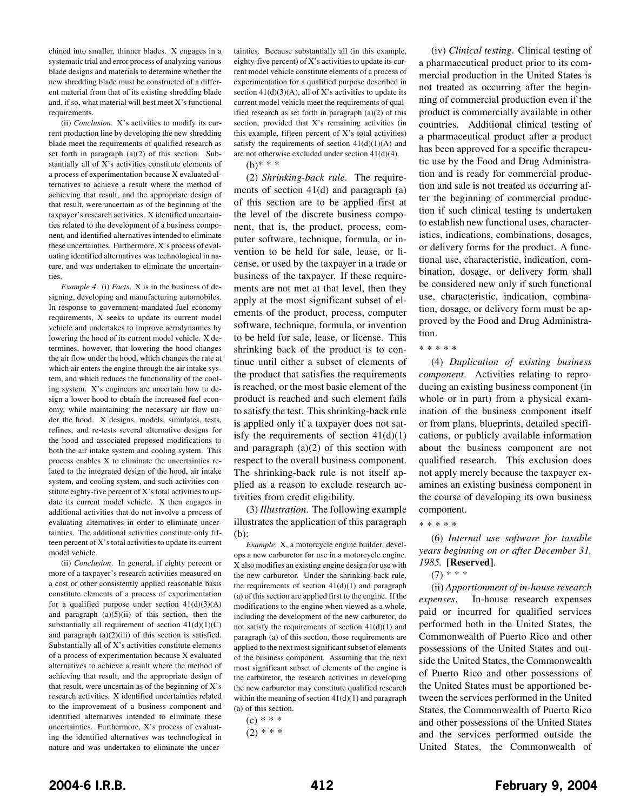chined into smaller, thinner blades. X engages in a systematic trial and error process of analyzing various blade designs and materials to determine whether the new shredding blade must be constructed of a different material from that of its existing shredding blade and, if so, what material will best meet X's functional requirements.

(ii) *Conclusion*. X's activities to modify its current production line by developing the new shredding blade meet the requirements of qualified research as set forth in paragraph (a)(2) of this section. Substantially all of X's activities constitute elements of a process of experimentation because X evaluated alternatives to achieve a result where the method of achieving that result, and the appropriate design of that result, were uncertain as of the beginning of the taxpayer's research activities. X identified uncertainties related to the development of a business component, and identified alternatives intended to eliminate these uncertainties. Furthermore, X's process of evaluating identified alternatives was technological in nature, and was undertaken to eliminate the uncertainties.

*Example 4*. (i) *Facts*. X is in the business of designing, developing and manufacturing automobiles. In response to government-mandated fuel economy requirements, X seeks to update its current model vehicle and undertakes to improve aerodynamics by lowering the hood of its current model vehicle. X determines, however, that lowering the hood changes the air flow under the hood, which changes the rate at which air enters the engine through the air intake system, and which reduces the functionality of the cooling system. X's engineers are uncertain how to design a lower hood to obtain the increased fuel economy, while maintaining the necessary air flow under the hood. X designs, models, simulates, tests, refines, and re-tests several alternative designs for the hood and associated proposed modifications to both the air intake system and cooling system. This process enables X to eliminate the uncertainties related to the integrated design of the hood, air intake system, and cooling system, and such activities constitute eighty-five percent of X's total activities to update its current model vehicle. X then engages in additional activities that do not involve a process of evaluating alternatives in order to eliminate uncertainties. The additional activities constitute only fifteen percent of X's total activities to update its current model vehicle.

(ii) *Conclusion*. In general, if eighty percent or more of a taxpayer's research activities measured on a cost or other consistently applied reasonable basis constitute elements of a process of experimentation for a qualified purpose under section  $41(d)(3)(A)$ and paragraph  $(a)(5)(ii)$  of this section, then the substantially all requirement of section  $41(d)(1)(C)$ and paragraph  $(a)(2)(iii)$  of this section is satisfied. Substantially all of X's activities constitute elements of a process of experimentation because X evaluated alternatives to achieve a result where the method of achieving that result, and the appropriate design of that result, were uncertain as of the beginning of X's research activities. X identified uncertainties related to the improvement of a business component and identified alternatives intended to eliminate these uncertainties. Furthermore, X's process of evaluating the identified alternatives was technological in nature and was undertaken to eliminate the uncer-

tainties. Because substantially all (in this example, eighty-five percent) of X's activities to update its current model vehicle constitute elements of a process of experimentation for a qualified purpose described in section  $41(d)(3)(A)$ , all of X's activities to update its current model vehicle meet the requirements of qualified research as set forth in paragraph (a)(2) of this section, provided that X's remaining activities (in this example, fifteen percent of X's total activities) satisfy the requirements of section  $41(d)(1)(A)$  and are not otherwise excluded under section 41(d)(4).

 $(b)* **$ 

(2) *Shrinking-back rule*. The requirements of section 41(d) and paragraph (a) of this section are to be applied first at the level of the discrete business component, that is, the product, process, computer software, technique, formula, or invention to be held for sale, lease, or license, or used by the taxpayer in a trade or business of the taxpayer. If these requirements are not met at that level, then they apply at the most significant subset of elements of the product, process, computer software, technique, formula, or invention to be held for sale, lease, or license. This shrinking back of the product is to continue until either a subset of elements of the product that satisfies the requirements is reached, or the most basic element of the product is reached and such element fails to satisfy the test. This shrinking-back rule is applied only if a taxpayer does not satisfy the requirements of section  $41(d)(1)$ and paragraph  $(a)(2)$  of this section with respect to the overall business component. The shrinking-back rule is not itself applied as a reason to exclude research activities from credit eligibility.

(3) *Illustration*. The following example illustrates the application of this paragraph (b):

*Example*. X, a motorcycle engine builder, develops a new carburetor for use in a motorcycle engine. X also modifies an existing engine design for use with the new carburetor. Under the shrinking-back rule, the requirements of section  $41(d)(1)$  and paragraph (a) of this section are applied first to the engine. If the modifications to the engine when viewed as a whole, including the development of the new carburetor, do not satisfy the requirements of section  $41(d)(1)$  and paragraph (a) of this section, those requirements are applied to the next most significant subset of elements of the business component. Assuming that the next most significant subset of elements of the engine is the carburetor, the research activities in developing the new carburetor may constitute qualified research within the meaning of section 41(d)(1) and paragraph (a) of this section.

- $(c) * * *$
- $(2)$  \* \* \*

(iv) *Clinical testing*. Clinical testing of a pharmaceutical product prior to its commercial production in the United States is not treated as occurring after the beginning of commercial production even if the product is commercially available in other countries. Additional clinical testing of a pharmaceutical product after a product has been approved for a specific therapeutic use by the Food and Drug Administration and is ready for commercial production and sale is not treated as occurring after the beginning of commercial production if such clinical testing is undertaken to establish new functional uses, characteristics, indications, combinations, dosages, or delivery forms for the product. A functional use, characteristic, indication, combination, dosage, or delivery form shall be considered new only if such functional use, characteristic, indication, combination, dosage, or delivery form must be approved by the Food and Drug Administration.

#### \*\*\*\*\*

(4) *Duplication of existing business component*. Activities relating to reproducing an existing business component (in whole or in part) from a physical examination of the business component itself or from plans, blueprints, detailed specifications, or publicly available information about the business component are not qualified research. This exclusion does not apply merely because the taxpayer examines an existing business component in the course of developing its own business component.

\*\*\*\*\*

(6) *Internal use software for taxable years beginning on or after December 31, 1985.* **[Reserved]**.

(ii) *Apportionment of in-house research expenses*. In-house research expenses paid or incurred for qualified services performed both in the United States, the Commonwealth of Puerto Rico and other possessions of the United States and outside the United States, the Commonwealth of Puerto Rico and other possessions of the United States must be apportioned between the services performed in the United States, the Commonwealth of Puerto Rico and other possessions of the United States and the services performed outside the United States, the Commonwealth of

 $(7)$  \* \* \*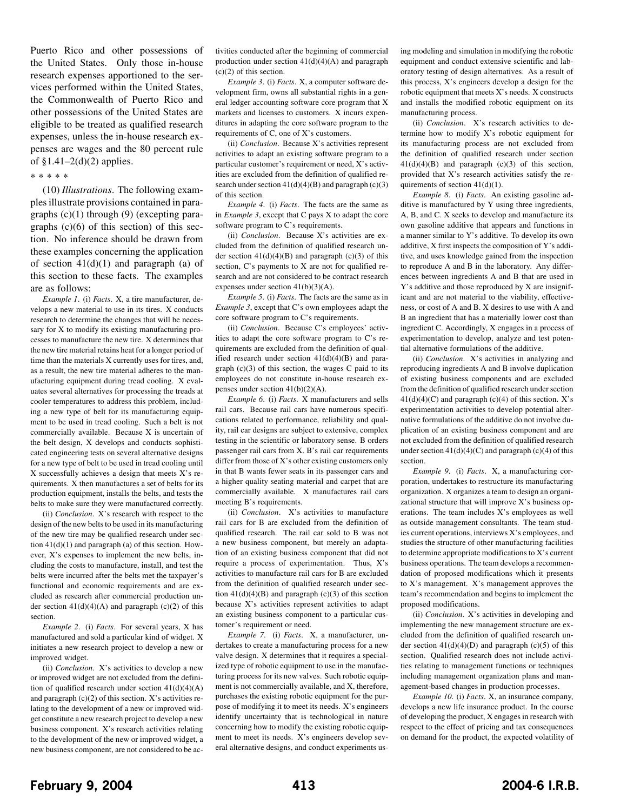Puerto Rico and other possessions of the United States. Only those in-house research expenses apportioned to the services performed within the United States, the Commonwealth of Puerto Rico and other possessions of the United States are eligible to be treated as qualified research expenses, unless the in-house research expenses are wages and the 80 percent rule of  $$1.41-2(d)(2)$  applies.

#### \*\*\*\*\*

(10) *Illustrations*. The following examples illustrate provisions contained in paragraphs (c)(1) through (9) (excepting paragraphs  $(c)(6)$  of this section) of this section. No inference should be drawn from these examples concerning the application of section  $41(d)(1)$  and paragraph (a) of this section to these facts. The examples are as follows:

*Example 1*. (i) *Facts*. X, a tire manufacturer, develops a new material to use in its tires. X conducts research to determine the changes that will be necessary for X to modify its existing manufacturing processes to manufacture the new tire. X determines that the new tire material retains heat for a longer period of time than the materials X currently uses for tires, and, as a result, the new tire material adheres to the manufacturing equipment during tread cooling. X evaluates several alternatives for processing the treads at cooler temperatures to address this problem, including a new type of belt for its manufacturing equipment to be used in tread cooling. Such a belt is not commercially available. Because X is uncertain of the belt design, X develops and conducts sophisticated engineering tests on several alternative designs for a new type of belt to be used in tread cooling until X successfully achieves a design that meets X's requirements. X then manufactures a set of belts for its production equipment, installs the belts, and tests the belts to make sure they were manufactured correctly.

(ii) *Conclusion*. X's research with respect to the design of the new belts to be used in its manufacturing of the new tire may be qualified research under section 41(d)(1) and paragraph (a) of this section. However, X's expenses to implement the new belts, including the costs to manufacture, install, and test the belts were incurred after the belts met the taxpayer's functional and economic requirements and are excluded as research after commercial production under section  $41(d)(4)(A)$  and paragraph (c)(2) of this section.

*Example 2*. (i) *Facts*. For several years, X has manufactured and sold a particular kind of widget. X initiates a new research project to develop a new or improved widget.

(ii) *Conclusion*. X's activities to develop a new or improved widget are not excluded from the definition of qualified research under section  $41(d)(4)(A)$ and paragraph (c)(2) of this section. X's activities relating to the development of a new or improved widget constitute a new research project to develop a new business component. X's research activities relating to the development of the new or improved widget, a new business component, are not considered to be activities conducted after the beginning of commercial production under section 41(d)(4)(A) and paragraph (c)(2) of this section.

*Example 3*. (i) *Facts*. X, a computer software development firm, owns all substantial rights in a general ledger accounting software core program that X markets and licenses to customers. X incurs expenditures in adapting the core software program to the requirements of C, one of X's customers.

(ii) *Conclusion*. Because X's activities represent activities to adapt an existing software program to a particular customer's requirement or need, X's activities are excluded from the definition of qualified research under section  $41(d)(4)(B)$  and paragraph (c)(3) of this section.

*Example 4*. (i) *Facts*. The facts are the same as in *Example 3*, except that C pays X to adapt the core software program to C's requirements.

(ii) *Conclusion*. Because X's activities are excluded from the definition of qualified research under section  $41(d)(4)(B)$  and paragraph (c)(3) of this section, C's payments to X are not for qualified research and are not considered to be contract research expenses under section 41(b)(3)(A).

*Example 5*. (i) *Facts*. The facts are the same as in *Example 3*, except that C's own employees adapt the core software program to C's requirements.

(ii) *Conclusion*. Because C's employees' activities to adapt the core software program to C's requirements are excluded from the definition of qualified research under section  $41(d)(4)(B)$  and paragraph  $(c)(3)$  of this section, the wages C paid to its employees do not constitute in-house research expenses under section 41(b)(2)(A).

*Example 6*. (i) *Facts*. X manufacturers and sells rail cars. Because rail cars have numerous specifications related to performance, reliability and quality, rail car designs are subject to extensive, complex testing in the scientific or laboratory sense. B orders passenger rail cars from X. B's rail car requirements differ from those of X's other existing customers only in that B wants fewer seats in its passenger cars and a higher quality seating material and carpet that are commercially available. X manufactures rail cars meeting B's requirements.

(ii) *Conclusion*. X's activities to manufacture rail cars for B are excluded from the definition of qualified research. The rail car sold to B was not a new business component, but merely an adaptation of an existing business component that did not require a process of experimentation. Thus, X's activities to manufacture rail cars for B are excluded from the definition of qualified research under section  $41(d)(4)(B)$  and paragraph (c)(3) of this section because X's activities represent activities to adapt an existing business component to a particular customer's requirement or need.

*Example 7*. (i) *Facts*. X, a manufacturer, undertakes to create a manufacturing process for a new valve design. X determines that it requires a specialized type of robotic equipment to use in the manufacturing process for its new valves. Such robotic equipment is not commercially available, and X, therefore, purchases the existing robotic equipment for the purpose of modifying it to meet its needs. X's engineers identify uncertainty that is technological in nature concerning how to modify the existing robotic equipment to meet its needs. X's engineers develop several alternative designs, and conduct experiments using modeling and simulation in modifying the robotic equipment and conduct extensive scientific and laboratory testing of design alternatives. As a result of this process, X's engineers develop a design for the robotic equipment that meets X's needs. X constructs and installs the modified robotic equipment on its manufacturing process.

(ii) *Conclusion*. X's research activities to determine how to modify X's robotic equipment for its manufacturing process are not excluded from the definition of qualified research under section  $41(d)(4)(B)$  and paragraph  $(c)(3)$  of this section, provided that X's research activities satisfy the requirements of section 41(d)(1).

*Example 8*. (i) *Facts*. An existing gasoline additive is manufactured by Y using three ingredients, A, B, and C. X seeks to develop and manufacture its own gasoline additive that appears and functions in a manner similar to Y's additive. To develop its own additive, X first inspects the composition of Y's additive, and uses knowledge gained from the inspection to reproduce A and B in the laboratory. Any differences between ingredients A and B that are used in Y's additive and those reproduced by X are insignificant and are not material to the viability, effectiveness, or cost of A and B. X desires to use with A and B an ingredient that has a materially lower cost than ingredient C. Accordingly, X engages in a process of experimentation to develop, analyze and test potential alternative formulations of the additive.

(ii) *Conclusion*. X's activities in analyzing and reproducing ingredients A and B involve duplication of existing business components and are excluded from the definition of qualified research under section  $41(d)(4)(C)$  and paragraph (c)(4) of this section. X's experimentation activities to develop potential alternative formulations of the additive do not involve duplication of an existing business component and are not excluded from the definition of qualified research under section  $41(d)(4)(C)$  and paragraph (c)(4) of this section.

*Example 9*. (i) *Facts*. X, a manufacturing corporation, undertakes to restructure its manufacturing organization. X organizes a team to design an organizational structure that will improve X's business operations. The team includes X's employees as well as outside management consultants. The team studies current operations, interviews X's employees, and studies the structure of other manufacturing facilities to determine appropriate modifications to X's current business operations. The team develops a recommendation of proposed modifications which it presents to X's management. X's management approves the team's recommendation and begins to implement the proposed modifications.

(ii) *Conclusion*. X's activities in developing and implementing the new management structure are excluded from the definition of qualified research under section  $41(d)(4)(D)$  and paragraph (c)(5) of this section. Qualified research does not include activities relating to management functions or techniques including management organization plans and management-based changes in production processes.

*Example 10*. (i) *Facts*. X, an insurance company, develops a new life insurance product. In the course of developing the product, X engages in research with respect to the effect of pricing and tax consequences on demand for the product, the expected volatility of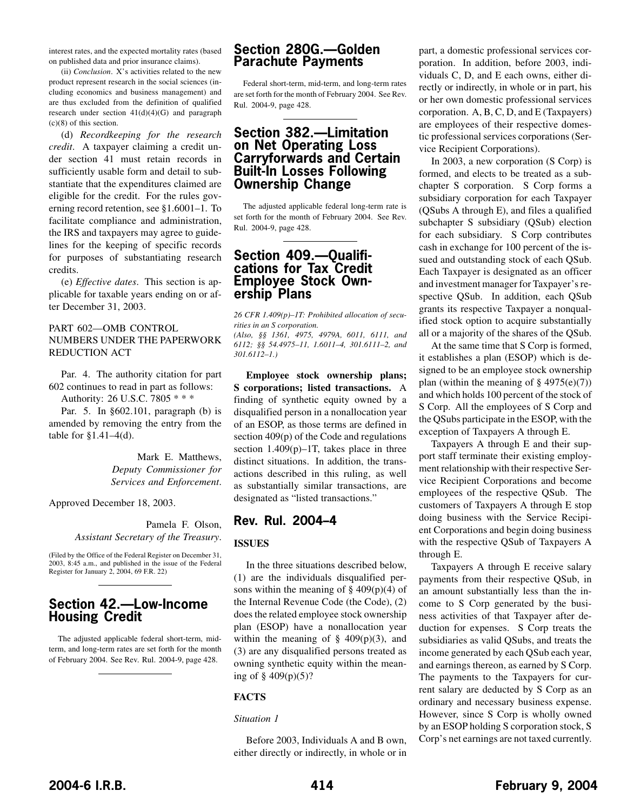<span id="page-11-0"></span>interest rates, and the expected mortality rates (based on published data and prior insurance claims).

(ii) *Conclusion*. X's activities related to the new product represent research in the social sciences (including economics and business management) and are thus excluded from the definition of qualified research under section 41(d)(4)(G) and paragraph (c)(8) of this section.

(d) *Recordkeeping for the research credit*. A taxpayer claiming a credit under section 41 must retain records in sufficiently usable form and detail to substantiate that the expenditures claimed are eligible for the credit. For the rules governing record retention, see §1.6001–1. To facilitate compliance and administration, the IRS and taxpayers may agree to guidelines for the keeping of specific records for purposes of substantiating research credits.

(e) *Effective dates*. This section is applicable for taxable years ending on or after December 31, 2003.

#### PART 602—OMB CONTROL NUMBERS UNDER THE PAPERWORK REDUCTION ACT

Par. 4. The authority citation for part 602 continues to read in part as follows: Authority: 26 U.S.C. 7805 \* \* \*

Par. 5. In §602.101, paragraph (b) is amended by removing the entry from the table for  $$1.41–4(d)$ .

> Mark E. Matthews, *Deputy Commissioner for Services and Enforcement*.

Approved December 18, 2003.

Pamela F. Olson, *Assistant Secretary of the Treasury*.

(Filed by the Office of the Federal Register on December 31, 2003, 8:45 a.m., and published in the issue of the Federal Register for January 2, 2004, 69 F.R. 22)

## **Section 42.—Low-Income Housing Credit**

The adjusted applicable federal short-term, midterm, and long-term rates are set forth for the month of February 2004. See Rev. Rul. 2004-9, page [428.](#page-25-0)

## **Section 280G.—Golden Parachute Payments**

Federal short-term, mid-term, and long-term rates are set forth for the month of February 2004. See Rev. Rul. 2004-9, page [428.](#page-25-0)

## **Section 382.—Limitation on Net Operating Loss Carryforwards and Certain Built-In Losses Following Ownership Change**

The adjusted applicable federal long-term rate is set forth for the month of February 2004. See Rev. Rul. 2004-9, page [428.](#page-25-0)

## **Section 409.—Qualifications for Tax Credit Employee Stock Ownership Plans**

*26 CFR 1.409(p)–1T: Prohibited allocation of securities in an S corporation.*

*(Also, §§ 1361, 4975, 4979A, 6011, 6111, and 6112; §§ 54.4975–11, 1.6011–4, 301.6111–2, and 301.6112–1.)*

**Employee stock ownership plans; S corporations; listed transactions.** A finding of synthetic equity owned by a disqualified person in a nonallocation year of an ESOP, as those terms are defined in section 409(p) of the Code and regulations section  $1.409(p) - 1T$ , takes place in three distinct situations. In addition, the transactions described in this ruling, as well as substantially similar transactions, are designated as "listed transactions."

## **Rev. Rul. 2004–4**

#### **ISSUES**

In the three situations described below, (1) are the individuals disqualified persons within the meaning of  $\S$  409(p)(4) of the Internal Revenue Code (the Code), (2) does the related employee stock ownership plan (ESOP) have a nonallocation year within the meaning of  $\S$  409(p)(3), and (3) are any disqualified persons treated as owning synthetic equity within the meaning of § 409(p)(5)?

#### **FACTS**

#### *Situation 1*

Before 2003, Individuals A and B own, either directly or indirectly, in whole or in part, a domestic professional services corporation. In addition, before 2003, individuals C, D, and E each owns, either directly or indirectly, in whole or in part, his or her own domestic professional services corporation. A, B, C, D, and E (Taxpayers) are employees of their respective domestic professional services corporations (Service Recipient Corporations).

In 2003, a new corporation (S Corp) is formed, and elects to be treated as a subchapter S corporation. S Corp forms a subsidiary corporation for each Taxpayer (QSubs A through E), and files a qualified subchapter S subsidiary (QSub) election for each subsidiary. S Corp contributes cash in exchange for 100 percent of the issued and outstanding stock of each QSub. Each Taxpayer is designated as an officer and investment manager for Taxpayer's respective QSub. In addition, each QSub grants its respective Taxpayer a nonqualified stock option to acquire substantially all or a majority of the shares of the QSub.

At the same time that S Corp is formed, it establishes a plan (ESOP) which is designed to be an employee stock ownership plan (within the meaning of  $\S$  4975(e)(7)) and which holds 100 percent of the stock of S Corp. All the employees of S Corp and the QSubs participate in the ESOP, with the exception of Taxpayers A through E.

Taxpayers A through E and their support staff terminate their existing employment relationship with their respective Service Recipient Corporations and become employees of the respective QSub. The customers of Taxpayers A through E stop doing business with the Service Recipient Corporations and begin doing business with the respective QSub of Taxpayers A through E.

Taxpayers A through E receive salary payments from their respective QSub, in an amount substantially less than the income to S Corp generated by the business activities of that Taxpayer after deduction for expenses. S Corp treats the subsidiaries as valid QSubs, and treats the income generated by each QSub each year, and earnings thereon, as earned by S Corp. The payments to the Taxpayers for current salary are deducted by S Corp as an ordinary and necessary business expense. However, since S Corp is wholly owned by an ESOP holding S corporation stock, S Corp's net earnings are not taxed currently.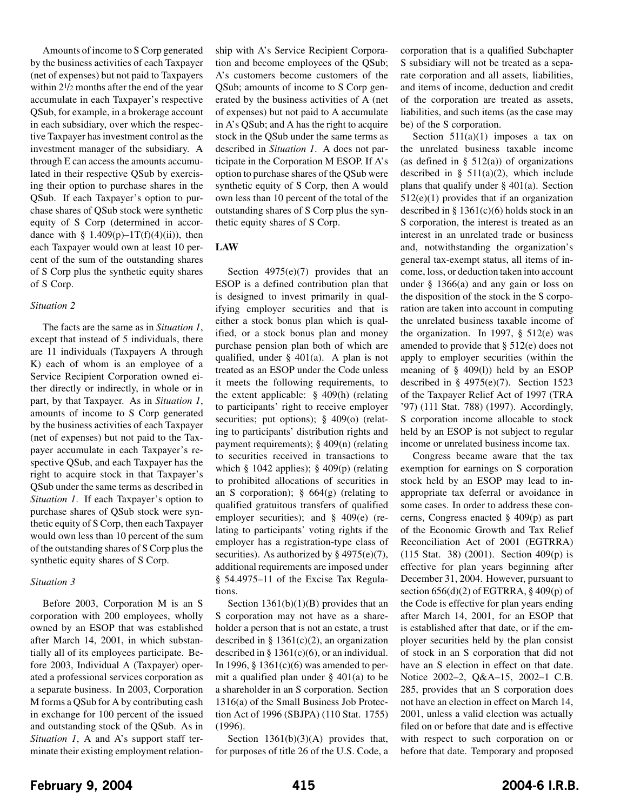Amounts of income to S Corp generated by the business activities of each Taxpayer (net of expenses) but not paid to Taxpayers within 21/2 months after the end of the year accumulate in each Taxpayer's respective QSub, for example, in a brokerage account in each subsidiary, over which the respective Taxpayer has investment control as the investment manager of the subsidiary. A through E can access the amounts accumulated in their respective QSub by exercising their option to purchase shares in the QSub. If each Taxpayer's option to purchase shares of QSub stock were synthetic equity of S Corp (determined in accordance with §  $1.409(p) - 1T(f)(4)(ii)$ , then each Taxpayer would own at least 10 percent of the sum of the outstanding shares of S Corp plus the synthetic equity shares of S Corp.

#### *Situation 2*

The facts are the same as in *Situation 1*, except that instead of 5 individuals, there are 11 individuals (Taxpayers A through K) each of whom is an employee of a Service Recipient Corporation owned either directly or indirectly, in whole or in part, by that Taxpayer. As in *Situation 1*, amounts of income to S Corp generated by the business activities of each Taxpayer (net of expenses) but not paid to the Taxpayer accumulate in each Taxpayer's respective QSub, and each Taxpayer has the right to acquire stock in that Taxpayer's QSub under the same terms as described in *Situation 1*. If each Taxpayer's option to purchase shares of QSub stock were synthetic equity of S Corp, then each Taxpayer would own less than 10 percent of the sum of the outstanding shares of S Corp plus the synthetic equity shares of S Corp.

#### *Situation 3*

Before 2003, Corporation M is an S corporation with 200 employees, wholly owned by an ESOP that was established after March 14, 2001, in which substantially all of its employees participate. Before 2003, Individual A (Taxpayer) operated a professional services corporation as a separate business. In 2003, Corporation M forms a QSub for A by contributing cash in exchange for 100 percent of the issued and outstanding stock of the QSub. As in *Situation 1*, A and A's support staff terminate their existing employment relationship with A's Service Recipient Corporation and become employees of the QSub; A's customers become customers of the QSub; amounts of income to S Corp generated by the business activities of A (net of expenses) but not paid to A accumulate in A's QSub; and A has the right to acquire stock in the QSub under the same terms as described in *Situation 1*. A does not participate in the Corporation M ESOP. If A's option to purchase shares of the QSub were synthetic equity of S Corp, then A would own less than 10 percent of the total of the outstanding shares of S Corp plus the synthetic equity shares of S Corp.

### **LAW**

Section 4975(e)(7) provides that an ESOP is a defined contribution plan that is designed to invest primarily in qualifying employer securities and that is either a stock bonus plan which is qualified, or a stock bonus plan and money purchase pension plan both of which are qualified, under § 401(a). A plan is not treated as an ESOP under the Code unless it meets the following requirements, to the extent applicable: § 409(h) (relating to participants' right to receive employer securities; put options); § 409(o) (relating to participants' distribution rights and payment requirements); § 409(n) (relating to securities received in transactions to which  $§$  1042 applies);  $§$  409(p) (relating to prohibited allocations of securities in an S corporation); § 664(g) (relating to qualified gratuitous transfers of qualified employer securities); and § 409(e) (relating to participants' voting rights if the employer has a registration-type class of securities). As authorized by  $\S$  4975(e)(7), additional requirements are imposed under § 54.4975–11 of the Excise Tax Regulations.

Section  $1361(b)(1)(B)$  provides that an S corporation may not have as a shareholder a person that is not an estate, a trust described in §  $1361(c)(2)$ , an organization described in §  $1361(c)(6)$ , or an individual. In 1996, § 1361(c)(6) was amended to permit a qualified plan under § 401(a) to be a shareholder in an S corporation. Section 1316(a) of the Small Business Job Protection Act of 1996 (SBJPA) (110 Stat. 1755) (1996).

Section 1361(b)(3)(A) provides that, for purposes of title 26 of the U.S. Code, a corporation that is a qualified Subchapter S subsidiary will not be treated as a separate corporation and all assets, liabilities, and items of income, deduction and credit of the corporation are treated as assets, liabilities, and such items (as the case may be) of the S corporation.

Section  $511(a)(1)$  imposes a tax on the unrelated business taxable income (as defined in  $\S$  512(a)) of organizations described in §  $511(a)(2)$ , which include plans that qualify under  $\S$  401(a). Section  $512(e)(1)$  provides that if an organization described in §  $1361(c)(6)$  holds stock in an S corporation, the interest is treated as an interest in an unrelated trade or business and, notwithstanding the organization's general tax-exempt status, all items of income, loss, or deduction taken into account under § 1366(a) and any gain or loss on the disposition of the stock in the S corporation are taken into account in computing the unrelated business taxable income of the organization. In 1997, § 512(e) was amended to provide that  $\S$  512(e) does not apply to employer securities (within the meaning of § 409(l)) held by an ESOP described in § 4975(e)(7). Section 1523 of the Taxpayer Relief Act of 1997 (TRA '97) (111 Stat. 788) (1997). Accordingly, S corporation income allocable to stock held by an ESOP is not subject to regular income or unrelated business income tax.

Congress became aware that the tax exemption for earnings on S corporation stock held by an ESOP may lead to inappropriate tax deferral or avoidance in some cases. In order to address these concerns, Congress enacted § 409(p) as part of the Economic Growth and Tax Relief Reconciliation Act of 2001 (EGTRRA) (115 Stat. 38) (2001). Section 409(p) is effective for plan years beginning after December 31, 2004. However, pursuant to section  $656(d)(2)$  of EGTRRA, § 409(p) of the Code is effective for plan years ending after March 14, 2001, for an ESOP that is established after that date, or if the employer securities held by the plan consist of stock in an S corporation that did not have an S election in effect on that date. Notice 2002–2, Q&A–15, 2002–1 C.B. 285, provides that an S corporation does not have an election in effect on March 14, 2001, unless a valid election was actually filed on or before that date and is effective with respect to such corporation on or before that date. Temporary and proposed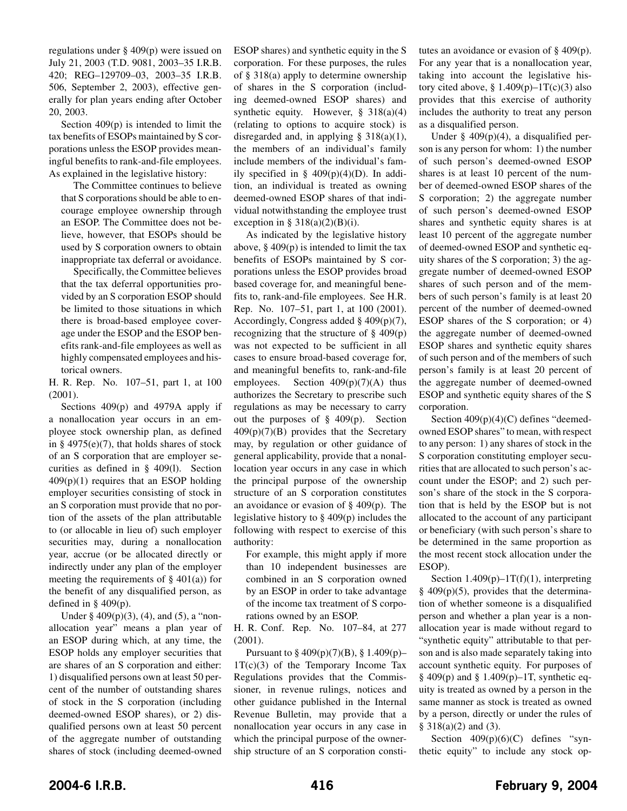regulations under § 409(p) were issued on July 21, 2003 (T.D. 9081, 2003–35 I.R.B. 420; REG–129709–03, 2003–35 I.R.B. 506, September 2, 2003), effective generally for plan years ending after October 20, 2003.

Section 409(p) is intended to limit the tax benefits of ESOPs maintained by S corporations unless the ESOP provides meaningful benefits to rank-and-file employees. As explained in the legislative history:

The Committee continues to believe that S corporations should be able to encourage employee ownership through an ESOP. The Committee does not believe, however, that ESOPs should be used by S corporation owners to obtain inappropriate tax deferral or avoidance.

Specifically, the Committee believes that the tax deferral opportunities provided by an S corporation ESOP should be limited to those situations in which there is broad-based employee coverage under the ESOP and the ESOP benefits rank-and-file employees as well as highly compensated employees and historical owners.

H. R. Rep. No. 107–51, part 1, at 100 (2001).

Sections 409(p) and 4979A apply if a nonallocation year occurs in an employee stock ownership plan, as defined in §  $4975(e)(7)$ , that holds shares of stock of an S corporation that are employer securities as defined in § 409(l). Section  $409(p)(1)$  requires that an ESOP holding employer securities consisting of stock in an S corporation must provide that no portion of the assets of the plan attributable to (or allocable in lieu of) such employer securities may, during a nonallocation year, accrue (or be allocated directly or indirectly under any plan of the employer meeting the requirements of  $\S$  401(a)) for the benefit of any disqualified person, as defined in § 409(p).

Under § 409(p)(3), (4), and (5), a "nonallocation year" means a plan year of an ESOP during which, at any time, the ESOP holds any employer securities that are shares of an S corporation and either: 1) disqualified persons own at least 50 percent of the number of outstanding shares of stock in the S corporation (including deemed-owned ESOP shares), or 2) disqualified persons own at least 50 percent of the aggregate number of outstanding shares of stock (including deemed-owned

ESOP shares) and synthetic equity in the S corporation. For these purposes, the rules of § 318(a) apply to determine ownership of shares in the S corporation (including deemed-owned ESOP shares) and synthetic equity. However, § 318(a)(4) (relating to options to acquire stock) is disregarded and, in applying  $\S$  318(a)(1), the members of an individual's family include members of the individual's family specified in §  $409(p)(4)(D)$ . In addition, an individual is treated as owning deemed-owned ESOP shares of that individual notwithstanding the employee trust exception in  $\S 318(a)(2)(B)(i)$ .

As indicated by the legislative history above,  $\S$  409(p) is intended to limit the tax benefits of ESOPs maintained by S corporations unless the ESOP provides broad based coverage for, and meaningful benefits to, rank-and-file employees. See H.R. Rep. No. 107–51, part 1, at 100 (2001). Accordingly, Congress added § 409(p)(7), recognizing that the structure of  $\S$  409(p) was not expected to be sufficient in all cases to ensure broad-based coverage for, and meaningful benefits to, rank-and-file employees. Section  $409(p)(7)(A)$  thus authorizes the Secretary to prescribe such regulations as may be necessary to carry out the purposes of § 409(p). Section  $409(p)(7)(B)$  provides that the Secretary may, by regulation or other guidance of general applicability, provide that a nonallocation year occurs in any case in which the principal purpose of the ownership structure of an S corporation constitutes an avoidance or evasion of § 409(p). The legislative history to § 409(p) includes the following with respect to exercise of this authority:

For example, this might apply if more than 10 independent businesses are combined in an S corporation owned by an ESOP in order to take advantage of the income tax treatment of S corporations owned by an ESOP.

H. R. Conf. Rep. No. 107–84, at 277 (2001).

Pursuant to § 409(p)(7)(B), § 1.409(p)–  $1T(c)(3)$  of the Temporary Income Tax Regulations provides that the Commissioner, in revenue rulings, notices and other guidance published in the Internal Revenue Bulletin, may provide that a nonallocation year occurs in any case in which the principal purpose of the ownership structure of an S corporation constitutes an avoidance or evasion of § 409(p). For any year that is a nonallocation year, taking into account the legislative history cited above,  $\S 1.409(p) - 1T(c)(3)$  also provides that this exercise of authority includes the authority to treat any person as a disqualified person.

Under §  $409(p)(4)$ , a disqualified person is any person for whom: 1) the number of such person's deemed-owned ESOP shares is at least 10 percent of the number of deemed-owned ESOP shares of the S corporation; 2) the aggregate number of such person's deemed-owned ESOP shares and synthetic equity shares is at least 10 percent of the aggregate number of deemed-owned ESOP and synthetic equity shares of the S corporation; 3) the aggregate number of deemed-owned ESOP shares of such person and of the members of such person's family is at least 20 percent of the number of deemed-owned ESOP shares of the S corporation; or 4) the aggregate number of deemed-owned ESOP shares and synthetic equity shares of such person and of the members of such person's family is at least 20 percent of the aggregate number of deemed-owned ESOP and synthetic equity shares of the S corporation.

Section 409(p)(4)(C) defines "deemedowned ESOP shares" to mean, with respect to any person: 1) any shares of stock in the S corporation constituting employer securities that are allocated to such person's account under the ESOP; and 2) such person's share of the stock in the S corporation that is held by the ESOP but is not allocated to the account of any participant or beneficiary (with such person's share to be determined in the same proportion as the most recent stock allocation under the ESOP).

Section  $1.409(p) - 1T(f)(1)$ , interpreting  $§$  409(p)(5), provides that the determination of whether someone is a disqualified person and whether a plan year is a nonallocation year is made without regard to "synthetic equity" attributable to that person and is also made separately taking into account synthetic equity. For purposes of § 409(p) and § 1.409(p)-1T, synthetic equity is treated as owned by a person in the same manner as stock is treated as owned by a person, directly or under the rules of  $§ 318(a)(2)$  and (3).

Section  $409(p)(6)(C)$  defines "synthetic equity" to include any stock op-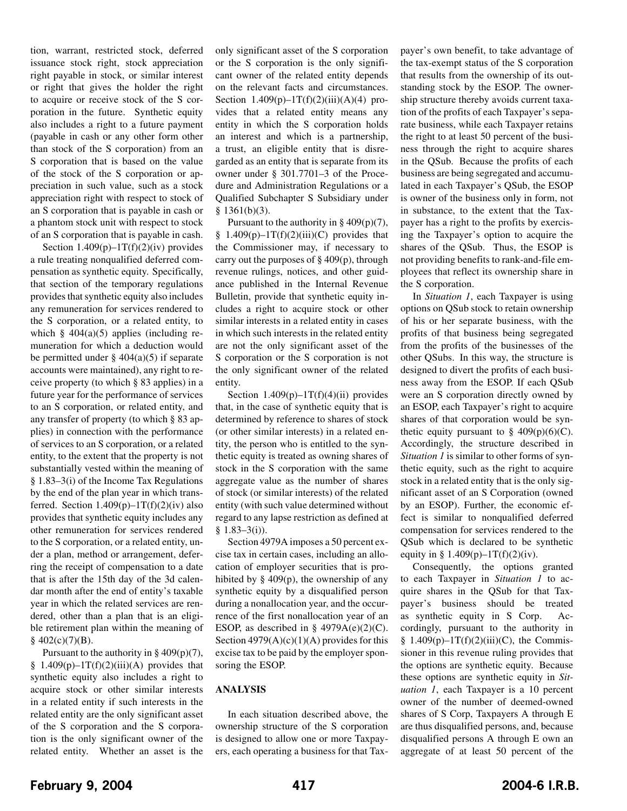tion, warrant, restricted stock, deferred issuance stock right, stock appreciation right payable in stock, or similar interest or right that gives the holder the right to acquire or receive stock of the S corporation in the future. Synthetic equity also includes a right to a future payment (payable in cash or any other form other than stock of the S corporation) from an S corporation that is based on the value of the stock of the S corporation or appreciation in such value, such as a stock appreciation right with respect to stock of an S corporation that is payable in cash or a phantom stock unit with respect to stock of an S corporation that is payable in cash.

Section  $1.409(p)-1T(f)(2)(iv)$  provides a rule treating nonqualified deferred compensation as synthetic equity. Specifically, that section of the temporary regulations provides that synthetic equity also includes any remuneration for services rendered to the S corporation, or a related entity, to which  $\S$  404(a)(5) applies (including remuneration for which a deduction would be permitted under  $\S$  404(a)(5) if separate accounts were maintained), any right to receive property (to which § 83 applies) in a future year for the performance of services to an S corporation, or related entity, and any transfer of property (to which § 83 applies) in connection with the performance of services to an S corporation, or a related entity, to the extent that the property is not substantially vested within the meaning of § 1.83–3(i) of the Income Tax Regulations by the end of the plan year in which transferred. Section  $1.409(p) - 1T(f)(2)(iv)$  also provides that synthetic equity includes any other remuneration for services rendered to the S corporation, or a related entity, under a plan, method or arrangement, deferring the receipt of compensation to a date that is after the 15th day of the 3d calendar month after the end of entity's taxable year in which the related services are rendered, other than a plan that is an eligible retirement plan within the meaning of  $§$  402(c)(7)(B).

Pursuant to the authority in § 409(p)(7), § 1.409 $(p)$ -1T $(f)(2)(iii)$ (A) provides that synthetic equity also includes a right to acquire stock or other similar interests in a related entity if such interests in the related entity are the only significant asset of the S corporation and the S corporation is the only significant owner of the related entity. Whether an asset is the

only significant asset of the S corporation or the S corporation is the only significant owner of the related entity depends on the relevant facts and circumstances. Section  $1.409(p) - 1T(f)(2)(iii)(A)(4)$  provides that a related entity means any entity in which the S corporation holds an interest and which is a partnership, a trust, an eligible entity that is disregarded as an entity that is separate from its owner under § 301.7701–3 of the Procedure and Administration Regulations or a Qualified Subchapter S Subsidiary under  $§$  1361(b)(3).

Pursuant to the authority in  $\S$  409(p)(7), § 1.409 $(p)$ -1T $(f)(2)(iii)(C)$  provides that the Commissioner may, if necessary to carry out the purposes of  $\S 409(p)$ , through revenue rulings, notices, and other guidance published in the Internal Revenue Bulletin, provide that synthetic equity includes a right to acquire stock or other similar interests in a related entity in cases in which such interests in the related entity are not the only significant asset of the S corporation or the S corporation is not the only significant owner of the related entity.

Section  $1.409(p) - 1T(f)(4)(ii)$  provides that, in the case of synthetic equity that is determined by reference to shares of stock (or other similar interests) in a related entity, the person who is entitled to the synthetic equity is treated as owning shares of stock in the S corporation with the same aggregate value as the number of shares of stock (or similar interests) of the related entity (with such value determined without regard to any lapse restriction as defined at  $§$  1.83–3(i)).

Section 4979A imposes a 50 percent excise tax in certain cases, including an allocation of employer securities that is prohibited by  $\S$  409(p), the ownership of any synthetic equity by a disqualified person during a nonallocation year, and the occurrence of the first nonallocation year of an ESOP, as described in  $\S$  4979A(e)(2)(C). Section  $4979(A)(c)(1)(A)$  provides for this excise tax to be paid by the employer sponsoring the ESOP.

#### **ANALYSIS**

In each situation described above, the ownership structure of the S corporation is designed to allow one or more Taxpayers, each operating a business for that Taxpayer's own benefit, to take advantage of the tax-exempt status of the S corporation that results from the ownership of its outstanding stock by the ESOP. The ownership structure thereby avoids current taxation of the profits of each Taxpayer's separate business, while each Taxpayer retains the right to at least 50 percent of the business through the right to acquire shares in the QSub. Because the profits of each business are being segregated and accumulated in each Taxpayer's QSub, the ESOP is owner of the business only in form, not in substance, to the extent that the Taxpayer has a right to the profits by exercising the Taxpayer's option to acquire the shares of the QSub. Thus, the ESOP is not providing benefits to rank-and-file employees that reflect its ownership share in the S corporation.

In *Situation 1*, each Taxpayer is using options on QSub stock to retain ownership of his or her separate business, with the profits of that business being segregated from the profits of the businesses of the other QSubs. In this way, the structure is designed to divert the profits of each business away from the ESOP. If each QSub were an S corporation directly owned by an ESOP, each Taxpayer's right to acquire shares of that corporation would be synthetic equity pursuant to  $\S$  409(p)(6)(C). Accordingly, the structure described in *Situation 1* is similar to other forms of synthetic equity, such as the right to acquire stock in a related entity that is the only significant asset of an S Corporation (owned by an ESOP). Further, the economic effect is similar to nonqualified deferred compensation for services rendered to the QSub which is declared to be synthetic equity in § 1.409(p)–1T(f)(2)(iv).

Consequently, the options granted to each Taxpayer in *Situation 1* to acquire shares in the QSub for that Taxpayer's business should be treated as synthetic equity in S Corp. Accordingly, pursuant to the authority in  $§ 1.409(p) - 1T(f)(2)(iii)(C)$ , the Commissioner in this revenue ruling provides that the options are synthetic equity. Because these options are synthetic equity in *Situation 1*, each Taxpayer is a 10 percent owner of the number of deemed-owned shares of S Corp, Taxpayers A through E are thus disqualified persons, and, because disqualified persons A through E own an aggregate of at least 50 percent of the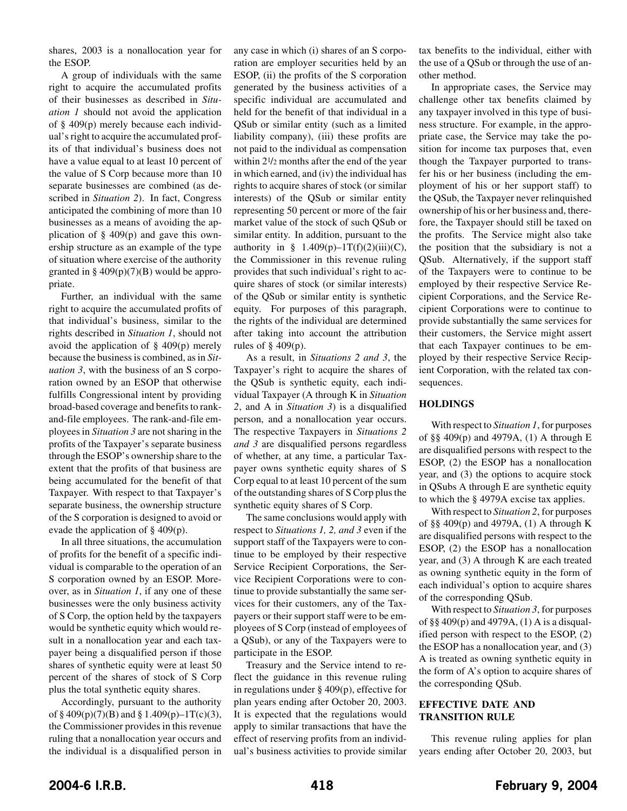shares, 2003 is a nonallocation year for the ESOP.

A group of individuals with the same right to acquire the accumulated profits of their businesses as described in *Situation 1* should not avoid the application of § 409(p) merely because each individual's right to acquire the accumulated profits of that individual's business does not have a value equal to at least 10 percent of the value of S Corp because more than 10 separate businesses are combined (as described in *Situation 2*). In fact, Congress anticipated the combining of more than 10 businesses as a means of avoiding the application of § 409(p) and gave this ownership structure as an example of the type of situation where exercise of the authority granted in § 409(p)(7)(B) would be appropriate.

Further, an individual with the same right to acquire the accumulated profits of that individual's business, similar to the rights described in *Situation 1*, should not avoid the application of § 409(p) merely because the business is combined, as in *Situation 3*, with the business of an S corporation owned by an ESOP that otherwise fulfills Congressional intent by providing broad-based coverage and benefits to rankand-file employees. The rank-and-file employees in *Situation 3* are not sharing in the profits of the Taxpayer's separate business through the ESOP's ownership share to the extent that the profits of that business are being accumulated for the benefit of that Taxpayer. With respect to that Taxpayer's separate business, the ownership structure of the S corporation is designed to avoid or evade the application of § 409(p).

In all three situations, the accumulation of profits for the benefit of a specific individual is comparable to the operation of an S corporation owned by an ESOP. Moreover, as in *Situation 1*, if any one of these businesses were the only business activity of S Corp, the option held by the taxpayers would be synthetic equity which would result in a nonallocation year and each taxpayer being a disqualified person if those shares of synthetic equity were at least 50 percent of the shares of stock of S Corp plus the total synthetic equity shares.

Accordingly, pursuant to the authority of  $\S 409(p)(7)(B)$  and  $\S 1.409(p) - 1T(c)(3)$ , the Commissioner provides in this revenue ruling that a nonallocation year occurs and the individual is a disqualified person in

any case in which (i) shares of an S corporation are employer securities held by an ESOP, (ii) the profits of the S corporation generated by the business activities of a specific individual are accumulated and held for the benefit of that individual in a QSub or similar entity (such as a limited liability company), (iii) these profits are not paid to the individual as compensation within 2<sup>1</sup>/<sub>2</sub> months after the end of the year in which earned, and (iv) the individual has rights to acquire shares of stock (or similar interests) of the QSub or similar entity representing 50 percent or more of the fair market value of the stock of such QSub or similar entity. In addition, pursuant to the authority in §  $1.409(p) - 1T(f)(2)(iii)(C)$ , the Commissioner in this revenue ruling provides that such individual's right to acquire shares of stock (or similar interests) of the QSub or similar entity is synthetic equity. For purposes of this paragraph, the rights of the individual are determined after taking into account the attribution rules of  $\S$  409(p).

As a result, in *Situations 2 and 3*, the Taxpayer's right to acquire the shares of the QSub is synthetic equity, each individual Taxpayer (A through K in *Situation 2*, and A in *Situation 3*) is a disqualified person, and a nonallocation year occurs. The respective Taxpayers in *Situations 2 and 3* are disqualified persons regardless of whether, at any time, a particular Taxpayer owns synthetic equity shares of S Corp equal to at least 10 percent of the sum of the outstanding shares of S Corp plus the synthetic equity shares of S Corp.

The same conclusions would apply with respect to *Situations 1, 2, and 3* even if the support staff of the Taxpayers were to continue to be employed by their respective Service Recipient Corporations, the Service Recipient Corporations were to continue to provide substantially the same services for their customers, any of the Taxpayers or their support staff were to be employees of S Corp (instead of employees of a QSub), or any of the Taxpayers were to participate in the ESOP.

Treasury and the Service intend to reflect the guidance in this revenue ruling in regulations under § 409(p), effective for plan years ending after October 20, 2003. It is expected that the regulations would apply to similar transactions that have the effect of reserving profits from an individual's business activities to provide similar tax benefits to the individual, either with the use of a QSub or through the use of another method.

In appropriate cases, the Service may challenge other tax benefits claimed by any taxpayer involved in this type of business structure. For example, in the appropriate case, the Service may take the position for income tax purposes that, even though the Taxpayer purported to transfer his or her business (including the employment of his or her support staff) to the QSub, the Taxpayer never relinquished ownership of his or her business and, therefore, the Taxpayer should still be taxed on the profits. The Service might also take the position that the subsidiary is not a QSub. Alternatively, if the support staff of the Taxpayers were to continue to be employed by their respective Service Recipient Corporations, and the Service Recipient Corporations were to continue to provide substantially the same services for their customers, the Service might assert that each Taxpayer continues to be employed by their respective Service Recipient Corporation, with the related tax consequences.

#### **HOLDINGS**

With respect to *Situation 1*, for purposes of §§ 409(p) and 4979A, (1) A through E are disqualified persons with respect to the ESOP, (2) the ESOP has a nonallocation year, and (3) the options to acquire stock in QSubs A through E are synthetic equity to which the § 4979A excise tax applies.

With respect to *Situation 2*, for purposes of §§ 409(p) and 4979A, (1) A through K are disqualified persons with respect to the ESOP, (2) the ESOP has a nonallocation year, and (3) A through K are each treated as owning synthetic equity in the form of each individual's option to acquire shares of the corresponding QSub.

With respect to *Situation 3*, for purposes of §§ 409(p) and 4979A, (1) A is a disqualified person with respect to the ESOP, (2) the ESOP has a nonallocation year, and (3) A is treated as owning synthetic equity in the form of A's option to acquire shares of the corresponding QSub.

#### **EFFECTIVE DATE AND TRANSITION RULE**

This revenue ruling applies for plan years ending after October 20, 2003, but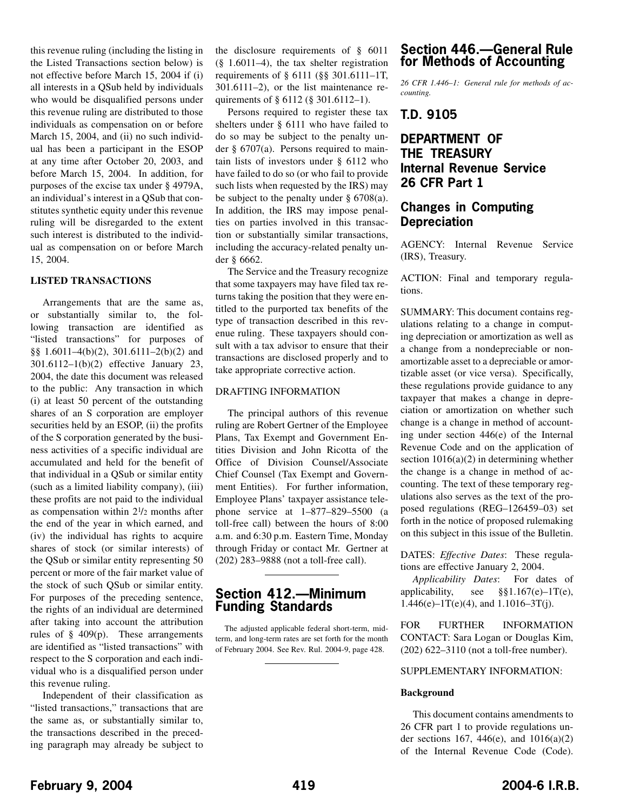<span id="page-16-0"></span>this revenue ruling (including the listing in the Listed Transactions section below) is not effective before March 15, 2004 if (i) all interests in a QSub held by individuals who would be disqualified persons under this revenue ruling are distributed to those individuals as compensation on or before March 15, 2004, and (ii) no such individual has been a participant in the ESOP at any time after October 20, 2003, and before March 15, 2004. In addition, for purposes of the excise tax under § 4979A, an individual's interest in a QSub that constitutes synthetic equity under this revenue ruling will be disregarded to the extent such interest is distributed to the individual as compensation on or before March 15, 2004.

#### **LISTED TRANSACTIONS**

Arrangements that are the same as, or substantially similar to, the following transaction are identified as "listed transactions" for purposes of §§ 1.6011–4(b)(2), 301.6111–2(b)(2) and 301.6112–1(b)(2) effective January 23, 2004, the date this document was released to the public: Any transaction in which (i) at least 50 percent of the outstanding shares of an S corporation are employer securities held by an ESOP, (ii) the profits of the S corporation generated by the business activities of a specific individual are accumulated and held for the benefit of that individual in a QSub or similar entity (such as a limited liability company), (iii) these profits are not paid to the individual as compensation within 21/2 months after the end of the year in which earned, and (iv) the individual has rights to acquire shares of stock (or similar interests) of the QSub or similar entity representing 50 percent or more of the fair market value of the stock of such QSub or similar entity. For purposes of the preceding sentence, the rights of an individual are determined after taking into account the attribution rules of § 409(p). These arrangements are identified as "listed transactions" with respect to the S corporation and each individual who is a disqualified person under this revenue ruling.

Independent of their classification as "listed transactions," transactions that are the same as, or substantially similar to, the transactions described in the preceding paragraph may already be subject to the disclosure requirements of § 6011 (§ 1.6011–4), the tax shelter registration requirements of § 6111 (§§ 301.6111–1T, 301.6111–2), or the list maintenance requirements of § 6112 (§ 301.6112–1).

Persons required to register these tax shelters under § 6111 who have failed to do so may be subject to the penalty under § 6707(a). Persons required to maintain lists of investors under § 6112 who have failed to do so (or who fail to provide such lists when requested by the IRS) may be subject to the penalty under § 6708(a). In addition, the IRS may impose penalties on parties involved in this transaction or substantially similar transactions, including the accuracy-related penalty under § 6662.

The Service and the Treasury recognize that some taxpayers may have filed tax returns taking the position that they were entitled to the purported tax benefits of the type of transaction described in this revenue ruling. These taxpayers should consult with a tax advisor to ensure that their transactions are disclosed properly and to take appropriate corrective action.

#### DRAFTING INFORMATION

The principal authors of this revenue ruling are Robert Gertner of the Employee Plans, Tax Exempt and Government Entities Division and John Ricotta of the Office of Division Counsel/Associate Chief Counsel (Tax Exempt and Government Entities). For further information, Employee Plans' taxpayer assistance telephone service at 1–877–829–5500 (a toll-free call) between the hours of 8:00 a.m. and 6:30 p.m. Eastern Time, Monday through Friday or contact Mr. Gertner at (202) 283–9888 (not a toll-free call).

## **Section 412.—Minimum Funding Standards**

The adjusted applicable federal short-term, midterm, and long-term rates are set forth for the month of February 2004. See Rev. Rul. 2004-9, page [428](#page-25-0).

## **Section 446.—General Rule for Methods of Accounting**

*26 CFR 1.446–1: General rule for methods of accounting.*

## **T.D. 9105**

## **DEPARTMENT OF THE TREASURY Internal Revenue Service 26 CFR Part 1**

## **Changes in Computing Depreciation**

AGENCY: Internal Revenue Service (IRS), Treasury.

ACTION: Final and temporary regulations.

SUMMARY: This document contains regulations relating to a change in computing depreciation or amortization as well as a change from a nondepreciable or nonamortizable asset to a depreciable or amortizable asset (or vice versa). Specifically, these regulations provide guidance to any taxpayer that makes a change in depreciation or amortization on whether such change is a change in method of accounting under section 446(e) of the Internal Revenue Code and on the application of section  $1016(a)(2)$  in determining whether the change is a change in method of accounting. The text of these temporary regulations also serves as the text of the proposed regulations (REG–126459–03) set forth in the notice of proposed rulemaking on this subject in this issue of the Bulletin.

DATES: *Effective Dates*: These regulations are effective January 2, 2004.

*Applicability Dates*: For dates of applicability, see  $\S$ §1.167(e)–1T(e),  $1.446(e) - 1T(e)(4)$ , and  $1.1016 - 3T(j)$ .

FOR FURTHER INFORMATION CONTACT: Sara Logan or Douglas Kim, (202) 622–3110 (not a toll-free number).

#### SUPPLEMENTARY INFORMATION:

#### **Background**

This document contains amendments to 26 CFR part 1 to provide regulations under sections 167, 446(e), and 1016(a)(2) of the Internal Revenue Code (Code).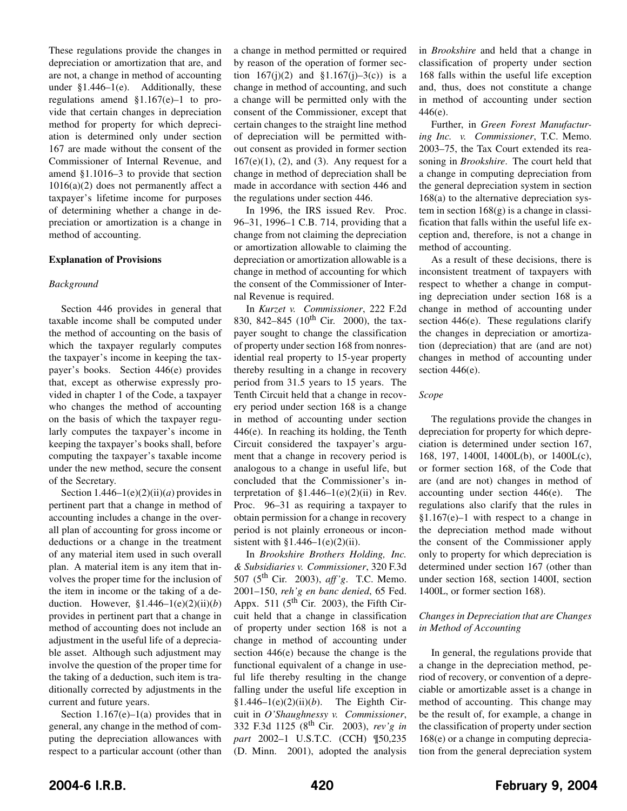These regulations provide the changes in depreciation or amortization that are, and are not, a change in method of accounting under §1.446–1(e). Additionally, these regulations amend §1.167(e)–1 to provide that certain changes in depreciation method for property for which depreciation is determined only under section 167 are made without the consent of the Commissioner of Internal Revenue, and amend §1.1016–3 to provide that section  $1016(a)(2)$  does not permanently affect a taxpayer's lifetime income for purposes of determining whether a change in depreciation or amortization is a change in method of accounting.

#### **Explanation of Provisions**

#### *Background*

Section 446 provides in general that taxable income shall be computed under the method of accounting on the basis of which the taxpayer regularly computes the taxpayer's income in keeping the taxpayer's books. Section 446(e) provides that, except as otherwise expressly provided in chapter 1 of the Code, a taxpayer who changes the method of accounting on the basis of which the taxpayer regularly computes the taxpayer's income in keeping the taxpayer's books shall, before computing the taxpayer's taxable income under the new method, secure the consent of the Secretary.

Section  $1.446-1(e)(2)(ii)(a)$  provides in pertinent part that a change in method of accounting includes a change in the overall plan of accounting for gross income or deductions or a change in the treatment of any material item used in such overall plan. A material item is any item that involves the proper time for the inclusion of the item in income or the taking of a deduction. However, §1.446–1(e)(2)(ii)(*b*) provides in pertinent part that a change in method of accounting does not include an adjustment in the useful life of a depreciable asset. Although such adjustment may involve the question of the proper time for the taking of a deduction, such item is traditionally corrected by adjustments in the current and future years.

Section  $1.167(e)-1(a)$  provides that in general, any change in the method of computing the depreciation allowances with respect to a particular account (other than

a change in method permitted or required by reason of the operation of former section  $167(i)(2)$  and  $$1.167(i)-3(c)$  is a change in method of accounting, and such a change will be permitted only with the consent of the Commissioner, except that certain changes to the straight line method of depreciation will be permitted without consent as provided in former section  $167(e)(1)$ , (2), and (3). Any request for a change in method of depreciation shall be made in accordance with section 446 and the regulations under section 446.

In 1996, the IRS issued Rev. Proc. 96–31, 1996–1 C.B. 714, providing that a change from not claiming the depreciation or amortization allowable to claiming the depreciation or amortization allowable is a change in method of accounting for which the consent of the Commissioner of Internal Revenue is required.

In *Kurzet v. Commissioner*, 222 F.2d 830, 842–845 (10<sup>th</sup> Cir. 2000), the taxpayer sought to change the classification of property under section 168 from nonresidential real property to 15-year property thereby resulting in a change in recovery period from 31.5 years to 15 years. The Tenth Circuit held that a change in recovery period under section 168 is a change in method of accounting under section 446(e). In reaching its holding, the Tenth Circuit considered the taxpayer's argument that a change in recovery period is analogous to a change in useful life, but concluded that the Commissioner's interpretation of  $$1.446-1(e)(2)(ii)$  in Rev. Proc. 96–31 as requiring a taxpayer to obtain permission for a change in recovery period is not plainly erroneous or inconsistent with  $$1.446-1(e)(2)(ii)$ .

In *Brookshire Brothers Holding, Inc. & Subsidiaries v. Commissioner*, 320 F.3d 507 (5th Cir. 2003), *aff 'g*. T.C. Memo. 2001–150, *reh'g en banc denied*, 65 Fed. Appx. 511 ( $5^{\text{th}}$  Cir. 2003), the Fifth Circuit held that a change in classification of property under section 168 is not a change in method of accounting under section 446(e) because the change is the functional equivalent of a change in useful life thereby resulting in the change falling under the useful life exception in §1.446–1(e)(2)(ii)(*b*). The Eighth Circuit in *O'Shaughnessy v. Commissioner*, 332 F.3d 1125 (8th Cir. 2003), *rev'g in part* 2002–1 U.S.T.C. (CCH) ¶50,235 (D. Minn. 2001), adopted the analysis in *Brookshire* and held that a change in classification of property under section 168 falls within the useful life exception and, thus, does not constitute a change in method of accounting under section 446(e).

Further, in *Green Forest Manufacturing Inc. v. Commissioner*, T.C. Memo. 2003–75, the Tax Court extended its reasoning in *Brookshire*. The court held that a change in computing depreciation from the general depreciation system in section 168(a) to the alternative depreciation system in section 168(g) is a change in classification that falls within the useful life exception and, therefore, is not a change in method of accounting.

As a result of these decisions, there is inconsistent treatment of taxpayers with respect to whether a change in computing depreciation under section 168 is a change in method of accounting under section 446(e). These regulations clarify the changes in depreciation or amortization (depreciation) that are (and are not) changes in method of accounting under section 446(e).

#### *Scope*

The regulations provide the changes in depreciation for property for which depreciation is determined under section 167, 168, 197, 1400I, 1400L(b), or 1400L(c), or former section 168, of the Code that are (and are not) changes in method of accounting under section 446(e). The regulations also clarify that the rules in  $§1.167(e)-1$  with respect to a change in the depreciation method made without the consent of the Commissioner apply only to property for which depreciation is determined under section 167 (other than under section 168, section 1400I, section 1400L, or former section 168).

#### *Changes in Depreciation that are Changes in Method of Accounting*

In general, the regulations provide that a change in the depreciation method, period of recovery, or convention of a depreciable or amortizable asset is a change in method of accounting. This change may be the result of, for example, a change in the classification of property under section 168(e) or a change in computing depreciation from the general depreciation system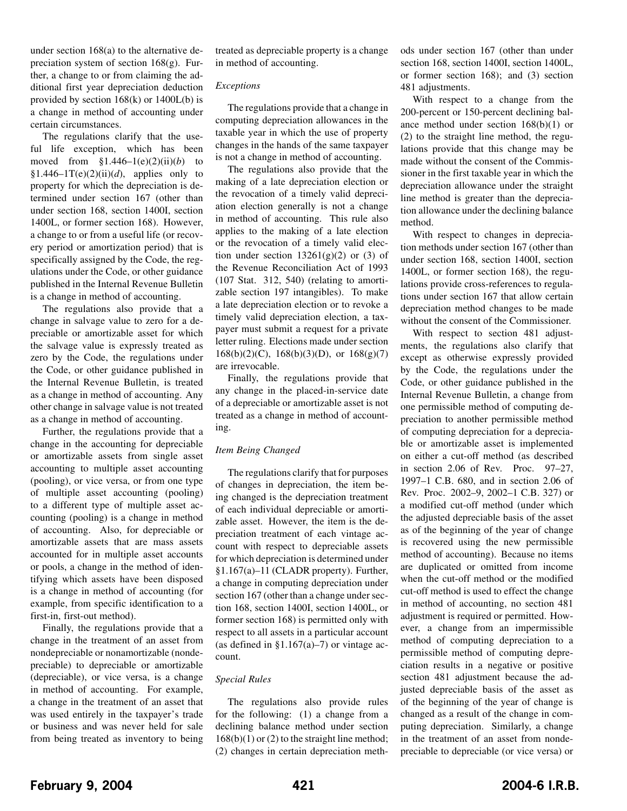under section 168(a) to the alternative depreciation system of section 168(g). Further, a change to or from claiming the additional first year depreciation deduction provided by section  $168(k)$  or  $1400L(b)$  is a change in method of accounting under certain circumstances.

The regulations clarify that the useful life exception, which has been moved from §1.446–1(e)(2)(ii)(*b*) to §1.446–1T(e)(2)(ii)(d), applies only to property for which the depreciation is determined under section 167 (other than under section 168, section 1400I, section 1400L, or former section 168). However, a change to or from a useful life (or recovery period or amortization period) that is specifically assigned by the Code, the regulations under the Code, or other guidance published in the Internal Revenue Bulletin is a change in method of accounting.

The regulations also provide that a change in salvage value to zero for a depreciable or amortizable asset for which the salvage value is expressly treated as zero by the Code, the regulations under the Code, or other guidance published in the Internal Revenue Bulletin, is treated as a change in method of accounting. Any other change in salvage value is not treated as a change in method of accounting.

Further, the regulations provide that a change in the accounting for depreciable or amortizable assets from single asset accounting to multiple asset accounting (pooling), or vice versa, or from one type of multiple asset accounting (pooling) to a different type of multiple asset accounting (pooling) is a change in method of accounting. Also, for depreciable or amortizable assets that are mass assets accounted for in multiple asset accounts or pools, a change in the method of identifying which assets have been disposed is a change in method of accounting (for example, from specific identification to a first-in, first-out method).

Finally, the regulations provide that a change in the treatment of an asset from nondepreciable or nonamortizable (nondepreciable) to depreciable or amortizable (depreciable), or vice versa, is a change in method of accounting. For example, a change in the treatment of an asset that was used entirely in the taxpayer's trade or business and was never held for sale from being treated as inventory to being

treated as depreciable property is a change in method of accounting.

#### *Exceptions*

The regulations provide that a change in computing depreciation allowances in the taxable year in which the use of property changes in the hands of the same taxpayer is not a change in method of accounting.

The regulations also provide that the making of a late depreciation election or the revocation of a timely valid depreciation election generally is not a change in method of accounting. This rule also applies to the making of a late election or the revocation of a timely valid election under section  $13261(g)(2)$  or (3) of the Revenue Reconciliation Act of 1993 (107 Stat. 312, 540) (relating to amortizable section 197 intangibles). To make a late depreciation election or to revoke a timely valid depreciation election, a taxpayer must submit a request for a private letter ruling. Elections made under section 168(b)(2)(C), 168(b)(3)(D), or 168(g)(7) are irrevocable.

Finally, the regulations provide that any change in the placed-in-service date of a depreciable or amortizable asset is not treated as a change in method of accounting.

#### *Item Being Changed*

The regulations clarify that for purposes of changes in depreciation, the item being changed is the depreciation treatment of each individual depreciable or amortizable asset. However, the item is the depreciation treatment of each vintage account with respect to depreciable assets for which depreciation is determined under §1.167(a)–11 (CLADR property). Further, a change in computing depreciation under section 167 (other than a change under section 168, section 1400I, section 1400L, or former section 168) is permitted only with respect to all assets in a particular account (as defined in  $$1.167(a)-7$ ) or vintage account.

#### *Special Rules*

The regulations also provide rules for the following: (1) a change from a declining balance method under section  $168(b)(1)$  or  $(2)$  to the straight line method; (2) changes in certain depreciation methods under section 167 (other than under section 168, section 1400I, section 1400L, or former section 168); and (3) section 481 adjustments.

With respect to a change from the 200-percent or 150-percent declining balance method under section 168(b)(1) or (2) to the straight line method, the regulations provide that this change may be made without the consent of the Commissioner in the first taxable year in which the depreciation allowance under the straight line method is greater than the depreciation allowance under the declining balance method.

With respect to changes in depreciation methods under section 167 (other than under section 168, section 1400I, section 1400L, or former section 168), the regulations provide cross-references to regulations under section 167 that allow certain depreciation method changes to be made without the consent of the Commissioner.

With respect to section 481 adjustments, the regulations also clarify that except as otherwise expressly provided by the Code, the regulations under the Code, or other guidance published in the Internal Revenue Bulletin, a change from one permissible method of computing depreciation to another permissible method of computing depreciation for a depreciable or amortizable asset is implemented on either a cut-off method (as described in section 2.06 of Rev. Proc. 97–27, 1997–1 C.B. 680, and in section 2.06 of Rev. Proc. 2002–9, 2002–1 C.B. 327) or a modified cut-off method (under which the adjusted depreciable basis of the asset as of the beginning of the year of change is recovered using the new permissible method of accounting). Because no items are duplicated or omitted from income when the cut-off method or the modified cut-off method is used to effect the change in method of accounting, no section 481 adjustment is required or permitted. However, a change from an impermissible method of computing depreciation to a permissible method of computing depreciation results in a negative or positive section 481 adjustment because the adjusted depreciable basis of the asset as of the beginning of the year of change is changed as a result of the change in computing depreciation. Similarly, a change in the treatment of an asset from nondepreciable to depreciable (or vice versa) or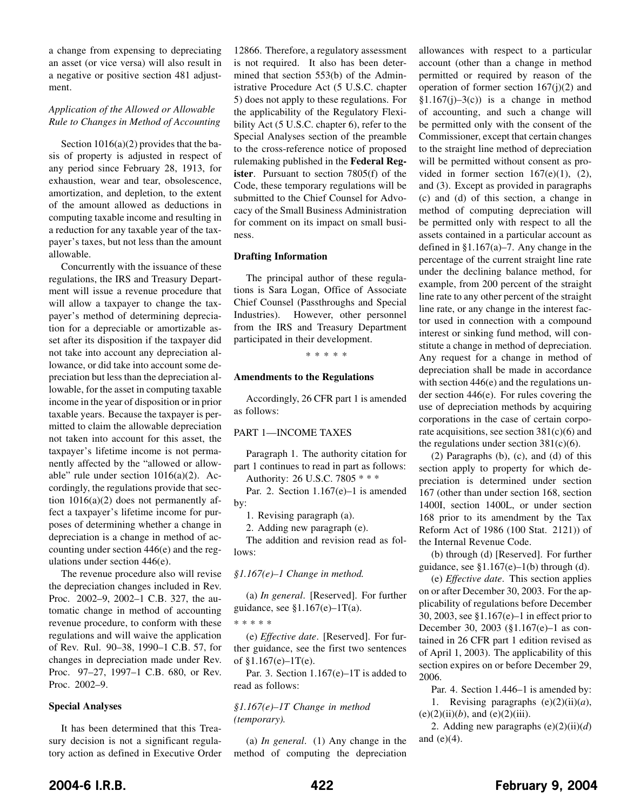a change from expensing to depreciating an asset (or vice versa) will also result in a negative or positive section 481 adjustment.

#### *Application of the Allowed or Allowable Rule to Changes in Method of Accounting*

Section 1016(a)(2) provides that the basis of property is adjusted in respect of any period since February 28, 1913, for exhaustion, wear and tear, obsolescence, amortization, and depletion, to the extent of the amount allowed as deductions in computing taxable income and resulting in a reduction for any taxable year of the taxpayer's taxes, but not less than the amount allowable.

Concurrently with the issuance of these regulations, the IRS and Treasury Department will issue a revenue procedure that will allow a taxpayer to change the taxpayer's method of determining depreciation for a depreciable or amortizable asset after its disposition if the taxpayer did not take into account any depreciation allowance, or did take into account some depreciation but less than the depreciation allowable, for the asset in computing taxable income in the year of disposition or in prior taxable years. Because the taxpayer is permitted to claim the allowable depreciation not taken into account for this asset, the taxpayer's lifetime income is not permanently affected by the "allowed or allowable" rule under section  $1016(a)(2)$ . Accordingly, the regulations provide that section 1016(a)(2) does not permanently affect a taxpayer's lifetime income for purposes of determining whether a change in depreciation is a change in method of accounting under section 446(e) and the regulations under section 446(e).

The revenue procedure also will revise the depreciation changes included in Rev. Proc. 2002–9, 2002–1 C.B. 327, the automatic change in method of accounting revenue procedure, to conform with these regulations and will waive the application of Rev. Rul. 90–38, 1990–1 C.B. 57, for changes in depreciation made under Rev. Proc. 97–27, 1997–1 C.B. 680, or Rev. Proc. 2002–9.

#### **Special Analyses**

It has been determined that this Treasury decision is not a significant regulatory action as defined in Executive Order

12866. Therefore, a regulatory assessment is not required. It also has been determined that section 553(b) of the Administrative Procedure Act (5 U.S.C. chapter 5) does not apply to these regulations. For the applicability of the Regulatory Flexibility Act (5 U.S.C. chapter 6), refer to the Special Analyses section of the preamble to the cross-reference notice of proposed rulemaking published in the **Federal Register**. Pursuant to section 7805(f) of the Code, these temporary regulations will be submitted to the Chief Counsel for Advocacy of the Small Business Administration for comment on its impact on small business.

#### **Drafting Information**

The principal author of these regulations is Sara Logan, Office of Associate Chief Counsel (Passthroughs and Special Industries). However, other personnel from the IRS and Treasury Department participated in their development.

\*\*\*\*\*

#### **Amendments to the Regulations**

Accordingly, 26 CFR part 1 is amended as follows:

#### PART 1—INCOME TAXES

Paragraph 1. The authority citation for part 1 continues to read in part as follows: Authority: 26 U.S.C. 7805 \* \* \*

Par. 2. Section 1.167(e)–1 is amended by:

1. Revising paragraph (a).

2. Adding new paragraph (e).

The addition and revision read as follows:

#### *§1.167(e)–1 Change in method.*

(a) *In general*. [Reserved]. For further guidance, see  $$1.167(e)$ -1T(a).

\*\*\*\*\*

(e) *Effective date*. [Reserved]. For further guidance, see the first two sentences of  $$1.167(e) - 1T(e)$ .

Par. 3. Section 1.167(e)–1T is added to read as follows:

#### *§1.167(e)–1T Change in method (temporary).*

(a) *In general*. (1) Any change in the method of computing the depreciation

allowances with respect to a particular account (other than a change in method permitted or required by reason of the operation of former section 167(j)(2) and  $$1.167(i) - 3(c)$  is a change in method of accounting, and such a change will be permitted only with the consent of the Commissioner, except that certain changes to the straight line method of depreciation will be permitted without consent as provided in former section  $167(e)(1)$ ,  $(2)$ , and (3). Except as provided in paragraphs (c) and (d) of this section, a change in method of computing depreciation will be permitted only with respect to all the assets contained in a particular account as defined in §1.167(a)–7. Any change in the percentage of the current straight line rate under the declining balance method, for example, from 200 percent of the straight line rate to any other percent of the straight line rate, or any change in the interest factor used in connection with a compound interest or sinking fund method, will constitute a change in method of depreciation. Any request for a change in method of depreciation shall be made in accordance with section 446(e) and the regulations under section 446(e). For rules covering the use of depreciation methods by acquiring corporations in the case of certain corporate acquisitions, see section  $381(c)(6)$  and the regulations under section  $381(c)(6)$ .

(2) Paragraphs (b), (c), and (d) of this section apply to property for which depreciation is determined under section 167 (other than under section 168, section 1400I, section 1400L, or under section 168 prior to its amendment by the Tax Reform Act of 1986 (100 Stat. 2121)) of the Internal Revenue Code.

(b) through (d) [Reserved]. For further guidance, see  $$1.167(e)-1(b)$  through (d).

(e) *Effective date*. This section applies on or after December 30, 2003. For the applicability of regulations before December 30, 2003, see §1.167(e)–1 in effect prior to December 30, 2003 (§1.167(e)–1 as contained in 26 CFR part 1 edition revised as of April 1, 2003). The applicability of this section expires on or before December 29, 2006.

Par. 4. Section 1.446–1 is amended by:

1. Revising paragraphs (e)(2)(ii)(*a*),  $(e)(2)(ii)(b)$ , and  $(e)(2)(iii)$ .

2. Adding new paragraphs (e)(2)(ii)(*d*) and (e)(4).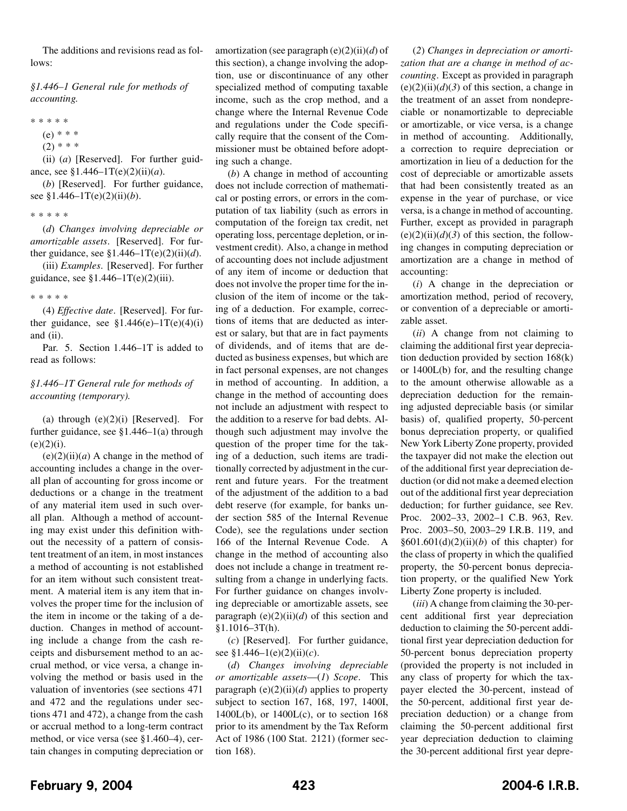The additions and revisions read as follows:

*§1.446–1 General rule for methods of accounting.*

\*\*\*\*\* (e) \* \* \*  $(2)$  \* \* \* (ii) (*a*) [Reserved]. For further guid-

ance, see §1.446–1T(e)(2)(ii)(*a*).

(*b*) [Reserved]. For further guidance, see §1.446–1T(e)(2)(ii)(*b*).

\*\*\*\*\*

(*d*) *Changes involving depreciable or amortizable assets*. [Reserved]. For further guidance, see  $$1.446-1T(e)(2)(ii)(d)$ .

(iii) *Examples*. [Reserved]. For further guidance, see  $$1.446-1T(e)(2)(iii)$ .

\*\*\*\*\*

(4) *Effective date*. [Reserved]. For further guidance, see  $$1.446(e) - 1T(e)(4)(i)$ and (ii).

Par. 5. Section 1.446–1T is added to read as follows:

#### *§1.446–1T General rule for methods of accounting (temporary).*

(a) through  $(e)(2)(i)$  [Reserved]. For further guidance, see §1.446–1(a) through  $(e)(2)(i)$ .

 $(e)(2)(ii)(a)$  A change in the method of accounting includes a change in the overall plan of accounting for gross income or deductions or a change in the treatment of any material item used in such overall plan. Although a method of accounting may exist under this definition without the necessity of a pattern of consistent treatment of an item, in most instances a method of accounting is not established for an item without such consistent treatment. A material item is any item that involves the proper time for the inclusion of the item in income or the taking of a deduction. Changes in method of accounting include a change from the cash receipts and disbursement method to an accrual method, or vice versa, a change involving the method or basis used in the valuation of inventories (see sections 471 and 472 and the regulations under sections 471 and 472), a change from the cash or accrual method to a long-term contract method, or vice versa (see §1.460–4), certain changes in computing depreciation or amortization (see paragraph (e)(2)(ii)(*d*) of this section), a change involving the adoption, use or discontinuance of any other specialized method of computing taxable income, such as the crop method, and a change where the Internal Revenue Code and regulations under the Code specifically require that the consent of the Commissioner must be obtained before adopting such a change.

(*b*) A change in method of accounting does not include correction of mathematical or posting errors, or errors in the computation of tax liability (such as errors in computation of the foreign tax credit, net operating loss, percentage depletion, or investment credit). Also, a change in method of accounting does not include adjustment of any item of income or deduction that does not involve the proper time for the inclusion of the item of income or the taking of a deduction. For example, corrections of items that are deducted as interest or salary, but that are in fact payments of dividends, and of items that are deducted as business expenses, but which are in fact personal expenses, are not changes in method of accounting. In addition, a change in the method of accounting does not include an adjustment with respect to the addition to a reserve for bad debts. Although such adjustment may involve the question of the proper time for the taking of a deduction, such items are traditionally corrected by adjustment in the current and future years. For the treatment of the adjustment of the addition to a bad debt reserve (for example, for banks under section 585 of the Internal Revenue Code), see the regulations under section 166 of the Internal Revenue Code. A change in the method of accounting also does not include a change in treatment resulting from a change in underlying facts. For further guidance on changes involving depreciable or amortizable assets, see paragraph  $(e)(2)(ii)(d)$  of this section and §1.1016–3T(h).

(*c*) [Reserved]. For further guidance, see §1.446–1(e)(2)(ii)(*c*).

(*d*) *Changes involving depreciable or amortizable assets*—(*1*) *Scope*. This paragraph (e)(2)(ii)(*d*) applies to property subject to section 167, 168, 197, 1400I, 1400L(b), or 1400L(c), or to section 168 prior to its amendment by the Tax Reform Act of 1986 (100 Stat. 2121) (former section 168).

(*2*) *Changes in depreciation or amortization that are a change in method of accounting*. Except as provided in paragraph  $(e)(2)(ii)(d)(3)$  of this section, a change in the treatment of an asset from nondepreciable or nonamortizable to depreciable or amortizable, or vice versa, is a change in method of accounting. Additionally, a correction to require depreciation or amortization in lieu of a deduction for the cost of depreciable or amortizable assets that had been consistently treated as an expense in the year of purchase, or vice versa, is a change in method of accounting. Further, except as provided in paragraph  $(e)(2)(ii)(d)(3)$  of this section, the following changes in computing depreciation or amortization are a change in method of accounting:

(*i*) A change in the depreciation or amortization method, period of recovery, or convention of a depreciable or amortizable asset.

(*ii*) A change from not claiming to claiming the additional first year depreciation deduction provided by section 168(k) or 1400L(b) for, and the resulting change to the amount otherwise allowable as a depreciation deduction for the remaining adjusted depreciable basis (or similar basis) of, qualified property, 50-percent bonus depreciation property, or qualified New York Liberty Zone property, provided the taxpayer did not make the election out of the additional first year depreciation deduction (or did not make a deemed election out of the additional first year depreciation deduction; for further guidance, see Rev. Proc. 2002–33, 2002–1 C.B. 963, Rev. Proc. 2003–50, 2003–29 I.R.B. 119, and  $§601.601(d)(2)(ii)(b)$  of this chapter) for the class of property in which the qualified property, the 50-percent bonus depreciation property, or the qualified New York Liberty Zone property is included.

(*iii*) A change from claiming the 30-percent additional first year depreciation deduction to claiming the 50-percent additional first year depreciation deduction for 50-percent bonus depreciation property (provided the property is not included in any class of property for which the taxpayer elected the 30-percent, instead of the 50-percent, additional first year depreciation deduction) or a change from claiming the 50-percent additional first year depreciation deduction to claiming the 30-percent additional first year depre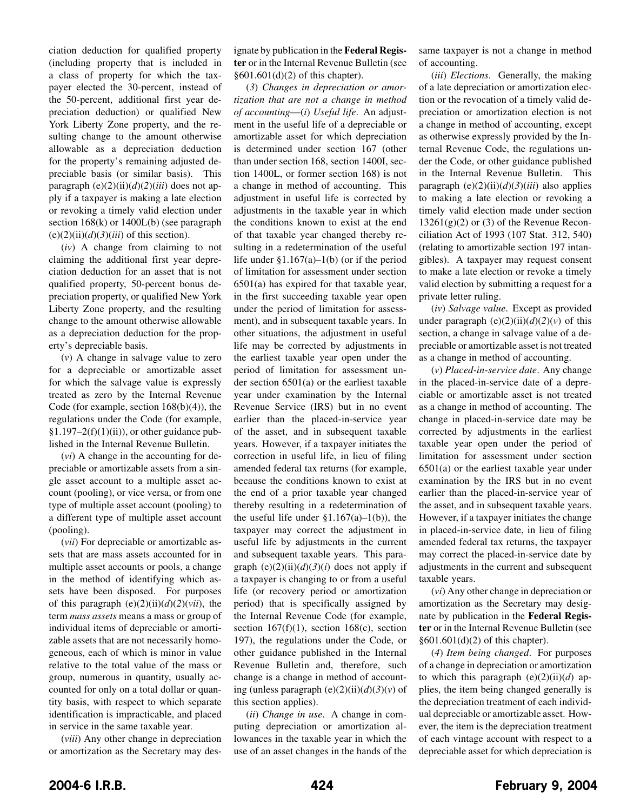ciation deduction for qualified property (including property that is included in a class of property for which the taxpayer elected the 30-percent, instead of the 50-percent, additional first year depreciation deduction) or qualified New York Liberty Zone property, and the resulting change to the amount otherwise allowable as a depreciation deduction for the property's remaining adjusted depreciable basis (or similar basis). This paragraph  $(e)(2)(ii)(d)(2)(iii)$  does not apply if a taxpayer is making a late election or revoking a timely valid election under section  $168(k)$  or  $1400L(b)$  (see paragraph  $(e)(2)(ii)(d)(3)(iii)$  of this section).

(*iv*) A change from claiming to not claiming the additional first year depreciation deduction for an asset that is not qualified property, 50-percent bonus depreciation property, or qualified New York Liberty Zone property, and the resulting change to the amount otherwise allowable as a depreciation deduction for the property's depreciable basis.

(*v*) A change in salvage value to zero for a depreciable or amortizable asset for which the salvage value is expressly treated as zero by the Internal Revenue Code (for example, section 168(b)(4)), the regulations under the Code (for example,  $$1.197-2(f)(1)(ii)$ , or other guidance published in the Internal Revenue Bulletin.

(*vi*) A change in the accounting for depreciable or amortizable assets from a single asset account to a multiple asset account (pooling), or vice versa, or from one type of multiple asset account (pooling) to a different type of multiple asset account (pooling).

(*vii*) For depreciable or amortizable assets that are mass assets accounted for in multiple asset accounts or pools, a change in the method of identifying which assets have been disposed. For purposes of this paragraph  $(e)(2)(ii)(d)(2)(vii)$ , the term *mass assets* means a mass or group of individual items of depreciable or amortizable assets that are not necessarily homogeneous, each of which is minor in value relative to the total value of the mass or group, numerous in quantity, usually accounted for only on a total dollar or quantity basis, with respect to which separate identification is impracticable, and placed in service in the same taxable year.

(*viii*) Any other change in depreciation or amortization as the Secretary may designate by publication in the **Federal Register** or in the Internal Revenue Bulletin (see §601.601(d)(2) of this chapter).

(*3*) *Changes in depreciation or amortization that are not a change in method of accounting*—(*i*) *Useful life*. An adjustment in the useful life of a depreciable or amortizable asset for which depreciation is determined under section 167 (other than under section 168, section 1400I, section 1400L, or former section 168) is not a change in method of accounting. This adjustment in useful life is corrected by adjustments in the taxable year in which the conditions known to exist at the end of that taxable year changed thereby resulting in a redetermination of the useful life under  $\S1.167(a) - 1(b)$  (or if the period of limitation for assessment under section 6501(a) has expired for that taxable year, in the first succeeding taxable year open under the period of limitation for assessment), and in subsequent taxable years. In other situations, the adjustment in useful life may be corrected by adjustments in the earliest taxable year open under the period of limitation for assessment under section 6501(a) or the earliest taxable year under examination by the Internal Revenue Service (IRS) but in no event earlier than the placed-in-service year of the asset, and in subsequent taxable years. However, if a taxpayer initiates the correction in useful life, in lieu of filing amended federal tax returns (for example, because the conditions known to exist at the end of a prior taxable year changed thereby resulting in a redetermination of the useful life under  $\S1.167(a)-1(b)$ , the taxpayer may correct the adjustment in useful life by adjustments in the current and subsequent taxable years. This paragraph  $(e)(2)(ii)(d)(3)(i)$  does not apply if a taxpayer is changing to or from a useful life (or recovery period or amortization period) that is specifically assigned by the Internal Revenue Code (for example, section  $167(f)(1)$ , section  $168(c)$ , section 197), the regulations under the Code, or other guidance published in the Internal Revenue Bulletin and, therefore, such change is a change in method of accounting (unless paragraph  $(e)(2)(ii)(d)(3)(v)$  of this section applies).

(*ii*) *Change in use*. A change in computing depreciation or amortization allowances in the taxable year in which the use of an asset changes in the hands of the

same taxpayer is not a change in method of accounting.

(*iii*) *Elections*. Generally, the making of a late depreciation or amortization election or the revocation of a timely valid depreciation or amortization election is not a change in method of accounting, except as otherwise expressly provided by the Internal Revenue Code, the regulations under the Code, or other guidance published in the Internal Revenue Bulletin. This paragraph  $(e)(2)(ii)(d)(3)(iii)$  also applies to making a late election or revoking a timely valid election made under section  $13261(g)(2)$  or (3) of the Revenue Reconciliation Act of 1993 (107 Stat. 312, 540) (relating to amortizable section 197 intangibles). A taxpayer may request consent to make a late election or revoke a timely valid election by submitting a request for a private letter ruling.

(*iv*) *Salvage value*. Except as provided under paragraph  $(e)(2)(ii)(d)(2)(v)$  of this section, a change in salvage value of a depreciable or amortizable asset is not treated as a change in method of accounting.

(*v*) *Placed-in-service date*. Any change in the placed-in-service date of a depreciable or amortizable asset is not treated as a change in method of accounting. The change in placed-in-service date may be corrected by adjustments in the earliest taxable year open under the period of limitation for assessment under section 6501(a) or the earliest taxable year under examination by the IRS but in no event earlier than the placed-in-service year of the asset, and in subsequent taxable years. However, if a taxpayer initiates the change in placed-in-service date, in lieu of filing amended federal tax returns, the taxpayer may correct the placed-in-service date by adjustments in the current and subsequent taxable years.

(*vi*) Any other change in depreciation or amortization as the Secretary may designate by publication in the **Federal Register** or in the Internal Revenue Bulletin (see §601.601(d)(2) of this chapter).

(*4*) *Item being changed*. For purposes of a change in depreciation or amortization to which this paragraph  $(e)(2)(ii)(d)$  applies, the item being changed generally is the depreciation treatment of each individual depreciable or amortizable asset. However, the item is the depreciation treatment of each vintage account with respect to a depreciable asset for which depreciation is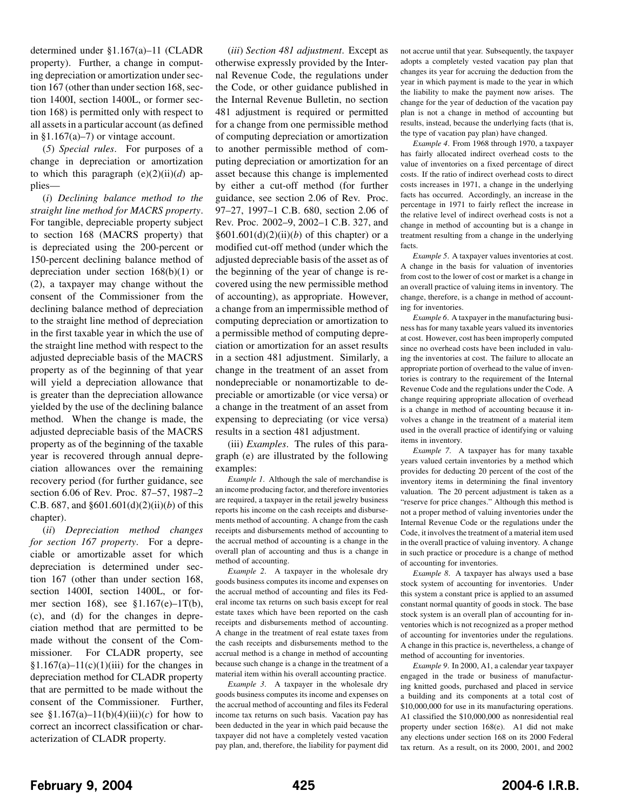determined under §1.167(a)–11 (CLADR property). Further, a change in computing depreciation or amortization under section 167 (other than under section 168, section 1400I, section 1400L, or former section 168) is permitted only with respect to all assets in a particular account (as defined in  $\S1.167(a)-7$  or vintage account.

(*5*) *Special rules*. For purposes of a change in depreciation or amortization to which this paragraph (e)(2)(ii)(*d*) applies—

(*i*) *Declining balance method to the straight line method for MACRS property*. For tangible, depreciable property subject to section 168 (MACRS property) that is depreciated using the 200-percent or 150-percent declining balance method of depreciation under section 168(b)(1) or (2), a taxpayer may change without the consent of the Commissioner from the declining balance method of depreciation to the straight line method of depreciation in the first taxable year in which the use of the straight line method with respect to the adjusted depreciable basis of the MACRS property as of the beginning of that year will yield a depreciation allowance that is greater than the depreciation allowance yielded by the use of the declining balance method. When the change is made, the adjusted depreciable basis of the MACRS property as of the beginning of the taxable year is recovered through annual depreciation allowances over the remaining recovery period (for further guidance, see section 6.06 of Rev. Proc. 87–57, 1987–2 C.B. 687, and §601.601(d)(2)(ii)(*b*) of this chapter).

(*ii*) *Depreciation method changes for section 167 property*. For a depreciable or amortizable asset for which depreciation is determined under section 167 (other than under section 168, section 1400I, section 1400L, or former section 168), see §1.167(e)–1T(b), (c), and (d) for the changes in depreciation method that are permitted to be made without the consent of the Commissioner. For CLADR property, see  $$1.167(a) - 11(c)(1)(iii)$  for the changes in depreciation method for CLADR property that are permitted to be made without the consent of the Commissioner. Further, see  $$1.167(a) - 11(b)(4)(iii)(c)$  for how to correct an incorrect classification or characterization of CLADR property.

(*iii*) *Section 481 adjustment*. Except as otherwise expressly provided by the Internal Revenue Code, the regulations under the Code, or other guidance published in the Internal Revenue Bulletin, no section 481 adjustment is required or permitted for a change from one permissible method of computing depreciation or amortization to another permissible method of computing depreciation or amortization for an asset because this change is implemented by either a cut-off method (for further guidance, see section 2.06 of Rev. Proc. 97–27, 1997–1 C.B. 680, section 2.06 of Rev. Proc. 2002–9, 2002–1 C.B. 327, and  $§601.601(d)(2)(ii)(b)$  of this chapter) or a modified cut-off method (under which the adjusted depreciable basis of the asset as of the beginning of the year of change is recovered using the new permissible method of accounting), as appropriate. However, a change from an impermissible method of computing depreciation or amortization to a permissible method of computing depreciation or amortization for an asset results in a section 481 adjustment. Similarly, a change in the treatment of an asset from nondepreciable or nonamortizable to depreciable or amortizable (or vice versa) or a change in the treatment of an asset from expensing to depreciating (or vice versa) results in a section 481 adjustment.

(iii) *Examples*. The rules of this paragraph (e) are illustrated by the following examples:

*Example 1*. Although the sale of merchandise is an income producing factor, and therefore inventories are required, a taxpayer in the retail jewelry business reports his income on the cash receipts and disbursements method of accounting. A change from the cash receipts and disbursements method of accounting to the accrual method of accounting is a change in the overall plan of accounting and thus is a change in method of accounting.

*Example 2*. A taxpayer in the wholesale dry goods business computes its income and expenses on the accrual method of accounting and files its Federal income tax returns on such basis except for real estate taxes which have been reported on the cash receipts and disbursements method of accounting. A change in the treatment of real estate taxes from the cash receipts and disbursements method to the accrual method is a change in method of accounting because such change is a change in the treatment of a material item within his overall accounting practice.

*Example 3*. A taxpayer in the wholesale dry goods business computes its income and expenses on the accrual method of accounting and files its Federal income tax returns on such basis. Vacation pay has been deducted in the year in which paid because the taxpayer did not have a completely vested vacation pay plan, and, therefore, the liability for payment did not accrue until that year. Subsequently, the taxpayer adopts a completely vested vacation pay plan that changes its year for accruing the deduction from the year in which payment is made to the year in which the liability to make the payment now arises. The change for the year of deduction of the vacation pay plan is not a change in method of accounting but results, instead, because the underlying facts (that is, the type of vacation pay plan) have changed.

*Example 4*. From 1968 through 1970, a taxpayer has fairly allocated indirect overhead costs to the value of inventories on a fixed percentage of direct costs. If the ratio of indirect overhead costs to direct costs increases in 1971, a change in the underlying facts has occurred. Accordingly, an increase in the percentage in 1971 to fairly reflect the increase in the relative level of indirect overhead costs is not a change in method of accounting but is a change in treatment resulting from a change in the underlying facts.

*Example 5*. A taxpayer values inventories at cost. A change in the basis for valuation of inventories from cost to the lower of cost or market is a change in an overall practice of valuing items in inventory. The change, therefore, is a change in method of accounting for inventories.

*Example 6*. A taxpayer in the manufacturing business has for many taxable years valued its inventories at cost. However, cost has been improperly computed since no overhead costs have been included in valuing the inventories at cost. The failure to allocate an appropriate portion of overhead to the value of inventories is contrary to the requirement of the Internal Revenue Code and the regulations under the Code. A change requiring appropriate allocation of overhead is a change in method of accounting because it involves a change in the treatment of a material item used in the overall practice of identifying or valuing items in inventory.

*Example 7*. A taxpayer has for many taxable years valued certain inventories by a method which provides for deducting 20 percent of the cost of the inventory items in determining the final inventory valuation. The 20 percent adjustment is taken as a "reserve for price changes." Although this method is not a proper method of valuing inventories under the Internal Revenue Code or the regulations under the Code, it involves the treatment of a material item used in the overall practice of valuing inventory. A change in such practice or procedure is a change of method of accounting for inventories.

*Example 8*. A taxpayer has always used a base stock system of accounting for inventories. Under this system a constant price is applied to an assumed constant normal quantity of goods in stock. The base stock system is an overall plan of accounting for inventories which is not recognized as a proper method of accounting for inventories under the regulations. A change in this practice is, nevertheless, a change of method of accounting for inventories.

*Example 9*. In 2000, A1, a calendar year taxpayer engaged in the trade or business of manufacturing knitted goods, purchased and placed in service a building and its components at a total cost of \$10,000,000 for use in its manufacturing operations. A1 classified the \$10,000,000 as nonresidential real property under section 168(e). A1 did not make any elections under section 168 on its 2000 Federal tax return. As a result, on its 2000, 2001, and 2002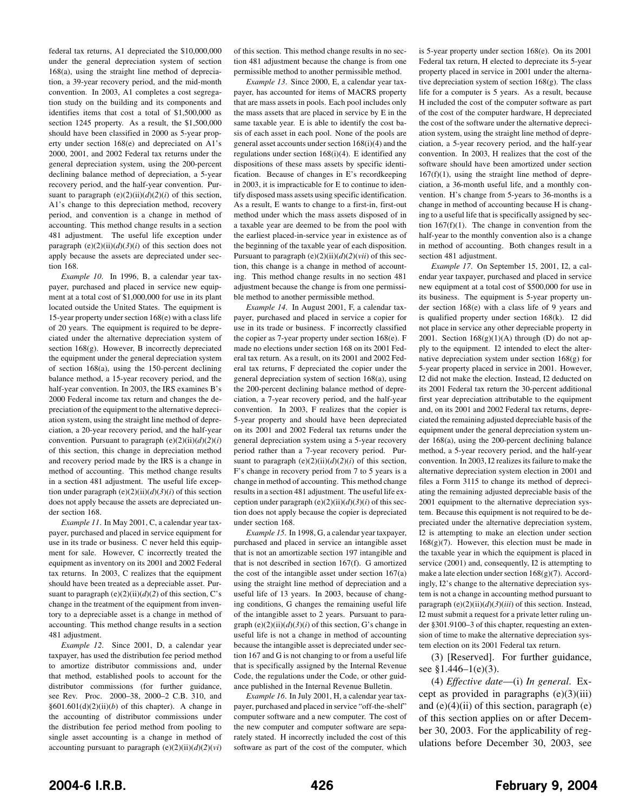federal tax returns, A1 depreciated the \$10,000,000 under the general depreciation system of section 168(a), using the straight line method of depreciation, a 39-year recovery period, and the mid-month convention. In 2003, A1 completes a cost segregation study on the building and its components and identifies items that cost a total of \$1,500,000 as section 1245 property. As a result, the \$1,500,000 should have been classified in 2000 as 5-year property under section 168(e) and depreciated on A1's 2000, 2001, and 2002 Federal tax returns under the general depreciation system, using the 200-percent declining balance method of depreciation, a 5-year recovery period, and the half-year convention. Pursuant to paragraph  $(e)(2)(ii)(d)(2)(i)$  of this section, A1's change to this depreciation method, recovery period, and convention is a change in method of accounting. This method change results in a section 481 adjustment. The useful life exception under paragraph  $(e)(2)(ii)(d)(3)(i)$  of this section does not apply because the assets are depreciated under section 168.

*Example 10*. In 1996, B, a calendar year taxpayer, purchased and placed in service new equipment at a total cost of \$1,000,000 for use in its plant located outside the United States. The equipment is 15-year property under section 168(e) with a class life of 20 years. The equipment is required to be depreciated under the alternative depreciation system of section 168(g). However, B incorrectly depreciated the equipment under the general depreciation system of section 168(a), using the 150-percent declining balance method, a 15-year recovery period, and the half-year convention. In 2003, the IRS examines B's 2000 Federal income tax return and changes the depreciation of the equipment to the alternative depreciation system, using the straight line method of depreciation, a 20-year recovery period, and the half-year convention. Pursuant to paragraph  $(e)(2)(ii)(d)(2)(i)$ of this section, this change in depreciation method and recovery period made by the IRS is a change in method of accounting. This method change results in a section 481 adjustment. The useful life exception under paragraph  $(e)(2)(ii)(d)(3)(i)$  of this section does not apply because the assets are depreciated under section 168.

*Example 11*. In May 2001, C, a calendar year taxpayer, purchased and placed in service equipment for use in its trade or business. C never held this equipment for sale. However, C incorrectly treated the equipment as inventory on its 2001 and 2002 Federal tax returns. In 2003, C realizes that the equipment should have been treated as a depreciable asset. Pursuant to paragraph  $(e)(2)(ii)(d)(2)$  of this section, C's change in the treatment of the equipment from inventory to a depreciable asset is a change in method of accounting. This method change results in a section 481 adjustment.

*Example 12*. Since 2001, D, a calendar year taxpayer, has used the distribution fee period method to amortize distributor commissions and, under that method, established pools to account for the distributor commissions (for further guidance, see Rev. Proc. 2000–38, 2000–2 C.B. 310, and  $§601.601(d)(2)(ii)(b)$  of this chapter). A change in the accounting of distributor commissions under the distribution fee period method from pooling to single asset accounting is a change in method of accounting pursuant to paragraph  $(e)(2)(ii)(d)(2)(vi)$ 

of this section. This method change results in no section 481 adjustment because the change is from one permissible method to another permissible method.

*Example 13*. Since 2000, E, a calendar year taxpayer, has accounted for items of MACRS property that are mass assets in pools. Each pool includes only the mass assets that are placed in service by E in the same taxable year. E is able to identify the cost basis of each asset in each pool. None of the pools are general asset accounts under section 168(i)(4) and the regulations under section 168(i)(4). E identified any dispositions of these mass assets by specific identification. Because of changes in E's recordkeeping in 2003, it is impracticable for E to continue to identify disposed mass assets using specific identification. As a result, E wants to change to a first-in, first-out method under which the mass assets disposed of in a taxable year are deemed to be from the pool with the earliest placed-in-service year in existence as of the beginning of the taxable year of each disposition. Pursuant to paragraph (e)(2)(ii)(*d*)(*2*)(*vii*) of this section, this change is a change in method of accounting. This method change results in no section 481 adjustment because the change is from one permissible method to another permissible method.

*Example 14*. In August 2001, F, a calendar taxpayer, purchased and placed in service a copier for use in its trade or business. F incorrectly classified the copier as 7-year property under section 168(e). F made no elections under section 168 on its 2001 Federal tax return. As a result, on its 2001 and 2002 Federal tax returns, F depreciated the copier under the general depreciation system of section 168(a), using the 200-percent declining balance method of depreciation, a 7-year recovery period, and the half-year convention. In 2003, F realizes that the copier is 5-year property and should have been depreciated on its 2001 and 2002 Federal tax returns under the general depreciation system using a 5-year recovery period rather than a 7-year recovery period. Pursuant to paragraph  $(e)(2)(ii)(d)(2)(i)$  of this section, F's change in recovery period from 7 to 5 years is a change in method of accounting. This method change results in a section 481 adjustment. The useful life exception under paragraph  $(e)(2)(ii)(d)(3)(i)$  of this section does not apply because the copier is depreciated under section 168.

*Example 15*. In 1998, G, a calendar year taxpayer, purchased and placed in service an intangible asset that is not an amortizable section 197 intangible and that is not described in section 167(f). G amortized the cost of the intangible asset under section 167(a) using the straight line method of depreciation and a useful life of 13 years. In 2003, because of changing conditions, G changes the remaining useful life of the intangible asset to 2 years. Pursuant to paragraph  $(e)(2)(ii)(d)(3)(i)$  of this section, G's change in useful life is not a change in method of accounting because the intangible asset is depreciated under section 167 and G is not changing to or from a useful life that is specifically assigned by the Internal Revenue Code, the regulations under the Code, or other guidance published in the Internal Revenue Bulletin.

*Example 16*. In July 2001, H, a calendar year taxpayer, purchased and placed in service "off-the-shelf" computer software and a new computer. The cost of the new computer and computer software are separately stated. H incorrectly included the cost of this software as part of the cost of the computer, which

is 5-year property under section 168(e). On its 2001 Federal tax return, H elected to depreciate its 5-year property placed in service in 2001 under the alternative depreciation system of section  $168(g)$ . The class life for a computer is 5 years. As a result, because H included the cost of the computer software as part of the cost of the computer hardware, H depreciated the cost of the software under the alternative depreciation system, using the straight line method of depreciation, a 5-year recovery period, and the half-year convention. In 2003, H realizes that the cost of the software should have been amortized under section  $167(f)(1)$ , using the straight line method of depreciation, a 36-month useful life, and a monthly convention. H's change from 5-years to 36-months is a change in method of accounting because H is changing to a useful life that is specifically assigned by section  $167(f)(1)$ . The change in convention from the half-year to the monthly convention also is a change in method of accounting. Both changes result in a section 481 adjustment.

*Example 17*. On September 15, 2001, I2, a calendar year taxpayer, purchased and placed in service new equipment at a total cost of \$500,000 for use in its business. The equipment is 5-year property under section 168(e) with a class life of 9 years and is qualified property under section 168(k). I2 did not place in service any other depreciable property in 2001. Section  $168(g)(1)(A)$  through (D) do not apply to the equipment. I2 intended to elect the alternative depreciation system under section 168(g) for 5-year property placed in service in 2001. However, I2 did not make the election. Instead, I2 deducted on its 2001 Federal tax return the 30-percent additional first year depreciation attributable to the equipment and, on its 2001 and 2002 Federal tax returns, depreciated the remaining adjusted depreciable basis of the equipment under the general depreciation system under 168(a), using the 200-percent declining balance method, a 5-year recovery period, and the half-year convention. In 2003, I2 realizes its failure to make the alternative depreciation system election in 2001 and files a Form 3115 to change its method of depreciating the remaining adjusted depreciable basis of the 2001 equipment to the alternative depreciation system. Because this equipment is not required to be depreciated under the alternative depreciation system, I2 is attempting to make an election under section  $168(g)(7)$ . However, this election must be made in the taxable year in which the equipment is placed in service (2001) and, consequently, I2 is attempting to make a late election under section  $168(g)(7)$ . Accordingly, I2's change to the alternative depreciation system is not a change in accounting method pursuant to paragraph  $(e)(2)(ii)(d)(3)(iii)$  of this section. Instead, I2 must submit a request for a private letter ruling under §301.9100–3 of this chapter, requesting an extension of time to make the alternative depreciation system election on its 2001 Federal tax return.

(3) [Reserved]. For further guidance, see  $$1.446-1(e)(3)$ .

(4) *Effective date*—(i) *In general*. Except as provided in paragraphs  $(e)(3)(iii)$ and  $(e)(4)(ii)$  of this section, paragraph  $(e)$ of this section applies on or after December 30, 2003. For the applicability of regulations before December 30, 2003, see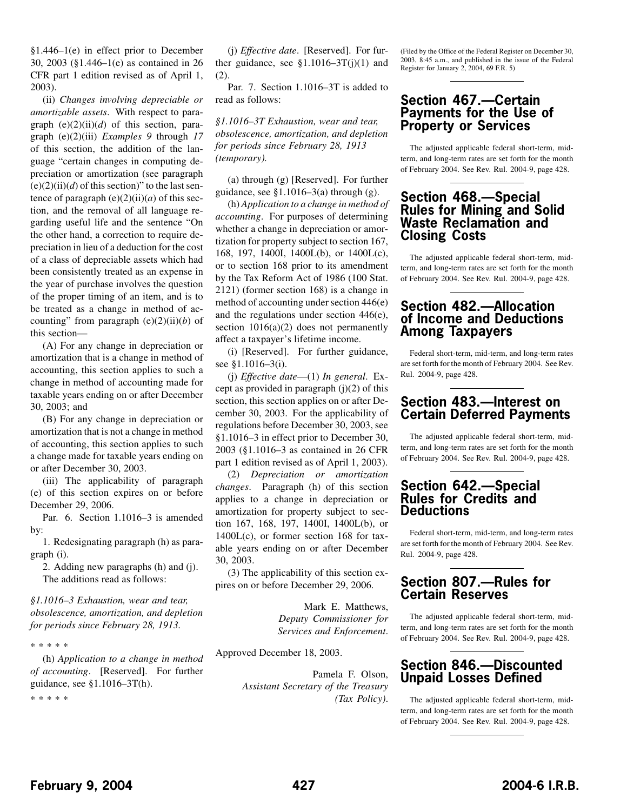§1.446–1(e) in effect prior to December 30, 2003 (§1.446–1(e) as contained in 26 CFR part 1 edition revised as of April 1, 2003).

(ii) *Changes involving depreciable or amortizable assets*. With respect to paragraph (e)(2)(ii)(*d*) of this section, paragraph (e)(2)(iii) *Examples 9* through *17* of this section, the addition of the language "certain changes in computing depreciation or amortization (see paragraph  $(e)(2)(ii)(d)$  of this section)" to the last sentence of paragraph  $(e)(2)(ii)(a)$  of this section, and the removal of all language regarding useful life and the sentence "On the other hand, a correction to require depreciation in lieu of a deduction for the cost of a class of depreciable assets which had been consistently treated as an expense in the year of purchase involves the question of the proper timing of an item, and is to be treated as a change in method of accounting" from paragraph (e)(2)(ii)(*b*) of this section—

(A) For any change in depreciation or amortization that is a change in method of accounting, this section applies to such a change in method of accounting made for taxable years ending on or after December 30, 2003; and

(B) For any change in depreciation or amortization that is not a change in method of accounting, this section applies to such a change made for taxable years ending on or after December 30, 2003.

(iii) The applicability of paragraph (e) of this section expires on or before December 29, 2006.

Par. 6. Section 1.1016–3 is amended by:

1. Redesignating paragraph (h) as paragraph (i).

2. Adding new paragraphs (h) and (j). The additions read as follows:

*§1.1016–3 Exhaustion, wear and tear, obsolescence, amortization, and depletion for periods since February 28, 1913.*

\*\*\*\*\*

(h) *Application to a change in method of accounting*. [Reserved]. For further guidance, see §1.1016–3T(h).

\*\*\*\*\*

(j) *Effective date*. [Reserved]. For further guidance, see  $$1.1016-3T(j)(1)$  and (2).

Par. 7. Section 1.1016–3T is added to read as follows:

*§1.1016–3T Exhaustion, wear and tear, obsolescence, amortization, and depletion for periods since February 28, 1913 (temporary).*

(a) through (g) [Reserved]. For further guidance, see  $$1.1016-3(a)$  through (g).

(h) *Application to a change in method of accounting*. For purposes of determining whether a change in depreciation or amortization for property subject to section 167, 168, 197, 1400I, 1400L(b), or 1400L(c), or to section 168 prior to its amendment by the Tax Reform Act of 1986 (100 Stat. 2121) (former section 168) is a change in method of accounting under section 446(e) and the regulations under section 446(e), section  $1016(a)(2)$  does not permanently affect a taxpayer's lifetime income.

(i) [Reserved]. For further guidance, see §1.1016–3(i).

(j) *Effective date*—(1) *In general*. Except as provided in paragraph (j)(2) of this section, this section applies on or after December 30, 2003. For the applicability of regulations before December 30, 2003, see §1.1016–3 in effect prior to December 30, 2003 (§1.1016–3 as contained in 26 CFR part 1 edition revised as of April 1, 2003).

(2) *Depreciation or amortization changes*. Paragraph (h) of this section applies to a change in depreciation or amortization for property subject to section 167, 168, 197, 1400I, 1400L(b), or 1400L(c), or former section 168 for taxable years ending on or after December 30, 2003.

(3) The applicability of this section expires on or before December 29, 2006.

> Mark E. Matthews, *Deputy Commissioner for Services and Enforcement*.

Approved December 18, 2003.

Pamela F. Olson, *Assistant Secretary of the Treasury (Tax Policy)*.

(Filed by the Office of the Federal Register on December 30, 2003, 8:45 a.m., and published in the issue of the Federal Register for January 2, 2004, 69 F.R. 5)

## **Section 467.—Certain Payments for the Use of Property or Services**

The adjusted applicable federal short-term, midterm, and long-term rates are set forth for the month of February 2004. See Rev. Rul. 2004-9, page [428](#page-25-0).

## **Section 468.—Special Rules for Mining and Solid Waste Reclamation and Closing Costs**

The adjusted applicable federal short-term, midterm, and long-term rates are set forth for the month of February 2004. See Rev. Rul. 2004-9, page [428](#page-25-0).

## **Section 482.—Allocation of Income and Deductions Among Taxpayers**

Federal short-term, mid-term, and long-term rates are set forth for the month of February 2004. See Rev. Rul. 2004-9, page [428.](#page-25-0)

## **Section 483.—Interest on Certain Deferred Payments**

The adjusted applicable federal short-term, midterm, and long-term rates are set forth for the month of February 2004. See Rev. Rul. 2004-9, page [428](#page-25-0).

## **Section 642.—Special Rules for Credits and Deductions**

Federal short-term, mid-term, and long-term rates are set forth for the month of February 2004. See Rev. Rul. 2004-9, page [428.](#page-25-0)

## **Section 807.—Rules for Certain Reserves**

The adjusted applicable federal short-term, midterm, and long-term rates are set forth for the month of February 2004. See Rev. Rul. 2004-9, page [428](#page-25-0).

## **Section 846.—Discounted Unpaid Losses Defined**

The adjusted applicable federal short-term, midterm, and long-term rates are set forth for the month of February 2004. See Rev. Rul. 2004-9, page [428](#page-25-0).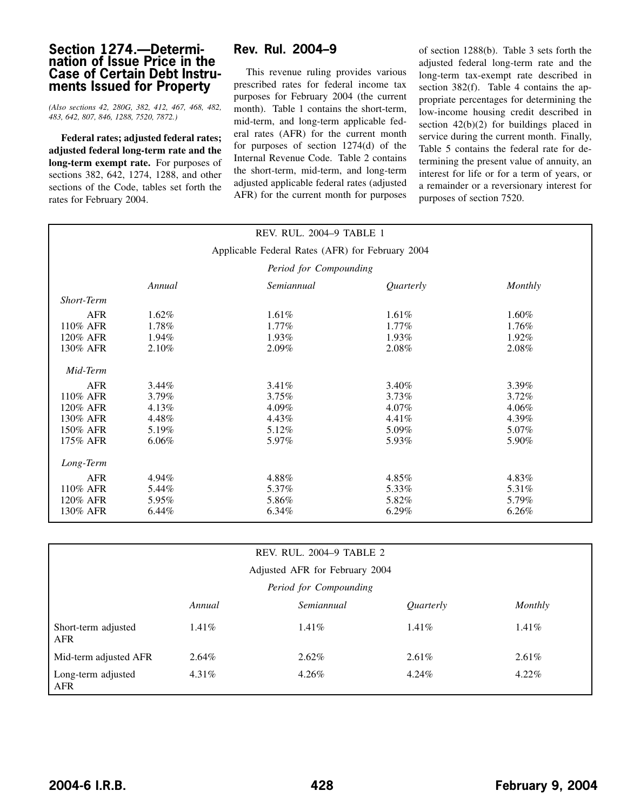## <span id="page-25-0"></span>**Section 1274.—Determination of Issue Price in the Case of Certain Debt Instruments Issued for Property**

*(Also sections 42, 280G, 382, 412, 467, 468, 482, 483, 642, 807, 846, 1288, 7520, 7872.)*

**Federal rates; adjusted federal rates; adjusted federal long-term rate and the long-term exempt rate.** For purposes of sections 382, 642, 1274, 1288, and other sections of the Code, tables set forth the rates for February 2004.

## **Rev. Rul. 2004–9**

This revenue ruling provides various prescribed rates for federal income tax purposes for February 2004 (the current month). Table 1 contains the short-term, mid-term, and long-term applicable federal rates (AFR) for the current month for purposes of section 1274(d) of the Internal Revenue Code. Table 2 contains the short-term, mid-term, and long-term adjusted applicable federal rates (adjusted AFR) for the current month for purposes of section 1288(b). Table 3 sets forth the adjusted federal long-term rate and the long-term tax-exempt rate described in section 382(f). Table 4 contains the appropriate percentages for determining the low-income housing credit described in section 42(b)(2) for buildings placed in service during the current month. Finally, Table 5 contains the federal rate for determining the present value of annuity, an interest for life or for a term of years, or a remainder or a reversionary interest for purposes of section 7520.

|             |          | <b>REV. RUL. 2004-9 TABLE 1</b>                  |           |          |
|-------------|----------|--------------------------------------------------|-----------|----------|
|             |          | Applicable Federal Rates (AFR) for February 2004 |           |          |
|             |          | Period for Compounding                           |           |          |
|             | Annual   | Semiannual                                       | Quarterly | Monthly  |
| Short-Term  |          |                                                  |           |          |
| <b>AFR</b>  | 1.62%    | $1.61\%$                                         | 1.61%     | 1.60%    |
| 110% AFR    | 1.78%    | $1.77\%$                                         | 1.77%     | 1.76%    |
| 120% AFR    | 1.94%    | $1.93\%$                                         | 1.93%     | $1.92\%$ |
| 130% AFR    | 2.10%    | 2.09%                                            | 2.08%     | 2.08%    |
| Mid-Term    |          |                                                  |           |          |
| <b>AFR</b>  | $3.44\%$ | $3.41\%$                                         | 3.40%     | 3.39%    |
| 110% AFR    | 3.79%    | 3.75%                                            | $3.73\%$  | $3.72\%$ |
| 120% AFR    | $4.13\%$ | 4.09%                                            | $4.07\%$  | $4.06\%$ |
| 130% AFR    | 4.48%    | 4.43%                                            | 4.41%     | 4.39%    |
| 150% AFR    | 5.19%    | 5.12%                                            | 5.09%     | 5.07%    |
| 175% AFR    | $6.06\%$ | 5.97%                                            | 5.93%     | 5.90%    |
| Long-Term   |          |                                                  |           |          |
| <b>AFR</b>  | 4.94%    | 4.88%                                            | 4.85%     | 4.83%    |
| 110% AFR    | 5.44%    | 5.37%                                            | 5.33%     | 5.31%    |
| $120\%$ AFR | 5.95%    | 5.86%                                            | 5.82%     | 5.79%    |
| 130% AFR    | 6.44%    | 6.34%                                            | $6.29\%$  | $6.26\%$ |

|                                   |          | <b>REV. RUL. 2004-9 TABLE 2</b> |           |          |
|-----------------------------------|----------|---------------------------------|-----------|----------|
|                                   |          | Adjusted AFR for February 2004  |           |          |
|                                   |          | Period for Compounding          |           |          |
|                                   | Annual   | Semiannual                      | Quarterly | Monthly  |
| Short-term adjusted<br><b>AFR</b> | $1.41\%$ | $1.41\%$                        | $1.41\%$  | $1.41\%$ |
| Mid-term adjusted AFR             | $2.64\%$ | $2.62\%$                        | $2.61\%$  | $2.61\%$ |
| Long-term adjusted<br><b>AFR</b>  | $4.31\%$ | $4.26\%$                        | $4.24\%$  | $4.22\%$ |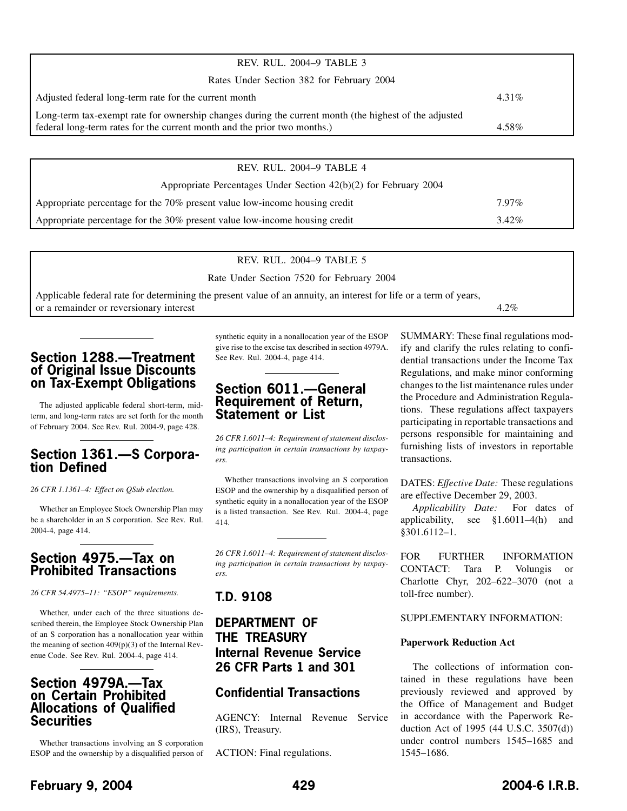<span id="page-26-0"></span>

| REV. RUL. 2004–9 TABLE 3                                                                                                                                                          |          |
|-----------------------------------------------------------------------------------------------------------------------------------------------------------------------------------|----------|
| Rates Under Section 382 for February 2004                                                                                                                                         |          |
| Adjusted federal long-term rate for the current month                                                                                                                             | $4.31\%$ |
| Long-term tax-exempt rate for ownership changes during the current month (the highest of the adjusted<br>federal long-term rates for the current month and the prior two months.) | 4.58%    |
|                                                                                                                                                                                   |          |

| REV. RUL. 2004–9 TABLE 4                                                   |          |
|----------------------------------------------------------------------------|----------|
| Appropriate Percentages Under Section 42(b)(2) for February 2004           |          |
| Appropriate percentage for the 70% present value low-income housing credit | $7.97\%$ |
| Appropriate percentage for the 30% present value low-income housing credit | $3.42\%$ |

#### REV. RUL. 2004–9 TABLE 5

Rate Under Section 7520 for February 2004

Applicable federal rate for determining the present value of an annuity, an interest for life or a term of years, or a remainder or reversionary interest 4.2%

## **Section 1288.—Treatment of Original Issue Discounts on Tax-Exempt Obligations**

The adjusted applicable federal short-term, midterm, and long-term rates are set forth for the month of February 2004. See Rev. Rul. 2004-9, page [428.](#page-25-0)

## **Section 1361.—S Corporation Defined**

*26 CFR 1.1361–4: Effect on QSub election.*

Whether an Employee Stock Ownership Plan may be a shareholder in an S corporation. See Rev. Rul. 2004-4, page [414](#page-11-0).

## **Section 4975.—Tax on Prohibited Transactions**

*26 CFR 54.4975–11: "ESOP" requirements.*

Whether, under each of the three situations described therein, the Employee Stock Ownership Plan of an S corporation has a nonallocation year within the meaning of section 409(p)(3) of the Internal Revenue Code. See Rev. Rul. 2004-4, page [414.](#page-11-0)

## **Section 4979A.—Tax on Certain Prohibited Allocations of Qualified Securities**

Whether transactions involving an S corporation ESOP and the ownership by a disqualified person of synthetic equity in a nonallocation year of the ESOP give rise to the excise tax described in section 4979A. See Rev. Rul. 2004-4, page [414.](#page-11-0)

## **Section 6011.—General Requirement of Return, Statement or List**

*26 CFR 1.6011–4: Requirement of statement disclosing participation in certain transactions by taxpayers.*

Whether transactions involving an S corporation ESOP and the ownership by a disqualified person of synthetic equity in a nonallocation year of the ESOP is a listed transaction. See Rev. Rul. 2004-4, page [414](#page-11-0).

*26 CFR 1.6011–4: Requirement of statement disclosing participation in certain transactions by taxpayers.*

## **T.D. 9108**

## **DEPARTMENT OF THE TREASURY Internal Revenue Service 26 CFR Parts 1 and 301**

## **Confidential Transactions**

AGENCY: Internal Revenue Service (IRS), Treasury.

ACTION: Final regulations.

SUMMARY: These final regulations modify and clarify the rules relating to confidential transactions under the Income Tax Regulations, and make minor conforming changes to the list maintenance rules under the Procedure and Administration Regulations. These regulations affect taxpayers participating in reportable transactions and persons responsible for maintaining and furnishing lists of investors in reportable transactions.

DATES: *Effective Date:* These regulations are effective December 29, 2003.

*Applicability Date:* For dates of applicability, see §1.6011–4(h) and §301.6112–1.

FOR FURTHER INFORMATION CONTACT: Tara P. Volungis or Charlotte Chyr, 202–622–3070 (not a toll-free number).

#### SUPPLEMENTARY INFORMATION:

#### **Paperwork Reduction Act**

The collections of information contained in these regulations have been previously reviewed and approved by the Office of Management and Budget in accordance with the Paperwork Reduction Act of 1995 (44 U.S.C. 3507(d)) under control numbers 1545–1685 and 1545–1686.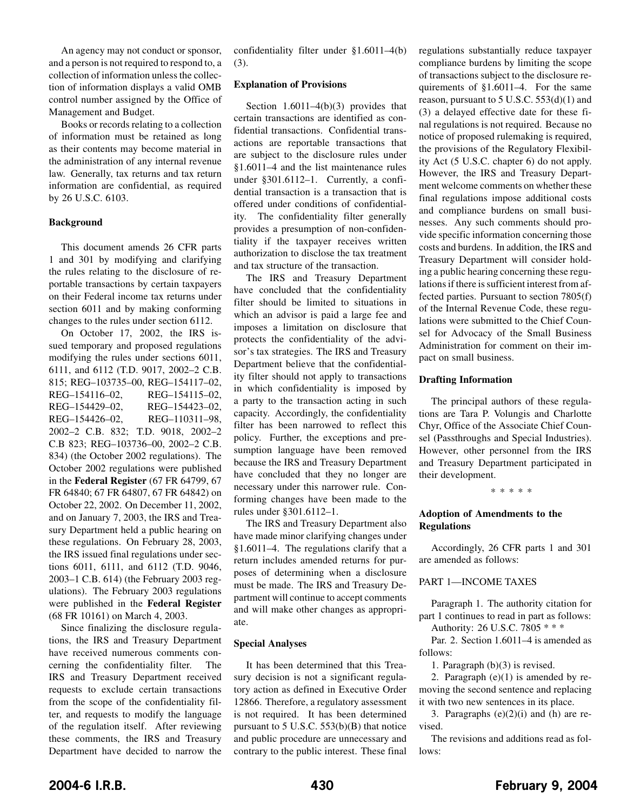An agency may not conduct or sponsor, and a person is not required to respond to, a collection of information unless the collection of information displays a valid OMB control number assigned by the Office of Management and Budget.

Books or records relating to a collection of information must be retained as long as their contents may become material in the administration of any internal revenue law. Generally, tax returns and tax return information are confidential, as required by 26 U.S.C. 6103.

#### **Background**

This document amends 26 CFR parts 1 and 301 by modifying and clarifying the rules relating to the disclosure of reportable transactions by certain taxpayers on their Federal income tax returns under section 6011 and by making conforming changes to the rules under section 6112.

On October 17, 2002, the IRS issued temporary and proposed regulations modifying the rules under sections 6011, 6111, and 6112 (T.D. 9017, 2002–2 C.B. 815; REG–103735–00, REG–154117–02, REG–154116–02, REG–154115–02, REG–154429–02, REG–154423–02, REG–154426–02, REG–110311–98, 2002–2 C.B. 832; T.D. 9018, 2002–2 C.B 823; REG–103736–00, 2002–2 C.B. 834) (the October 2002 regulations). The October 2002 regulations were published in the **Federal Register** (67 FR 64799, 67 FR 64840; 67 FR 64807, 67 FR 64842) on October 22, 2002. On December 11, 2002, and on January 7, 2003, the IRS and Treasury Department held a public hearing on these regulations. On February 28, 2003, the IRS issued final regulations under sections 6011, 6111, and 6112 (T.D. 9046, 2003–1 C.B. 614) (the February 2003 regulations). The February 2003 regulations were published in the **Federal Register** (68 FR 10161) on March 4, 2003.

Since finalizing the disclosure regulations, the IRS and Treasury Department have received numerous comments concerning the confidentiality filter. The IRS and Treasury Department received requests to exclude certain transactions from the scope of the confidentiality filter, and requests to modify the language of the regulation itself. After reviewing these comments, the IRS and Treasury Department have decided to narrow the

confidentiality filter under §1.6011–4(b) (3).

#### **Explanation of Provisions**

Section  $1.6011-4(b)(3)$  provides that certain transactions are identified as confidential transactions. Confidential transactions are reportable transactions that are subject to the disclosure rules under §1.6011–4 and the list maintenance rules under §301.6112–1. Currently, a confidential transaction is a transaction that is offered under conditions of confidentiality. The confidentiality filter generally provides a presumption of non-confidentiality if the taxpayer receives written authorization to disclose the tax treatment and tax structure of the transaction.

The IRS and Treasury Department have concluded that the confidentiality filter should be limited to situations in which an advisor is paid a large fee and imposes a limitation on disclosure that protects the confidentiality of the advisor's tax strategies. The IRS and Treasury Department believe that the confidentiality filter should not apply to transactions in which confidentiality is imposed by a party to the transaction acting in such capacity. Accordingly, the confidentiality filter has been narrowed to reflect this policy. Further, the exceptions and presumption language have been removed because the IRS and Treasury Department have concluded that they no longer are necessary under this narrower rule. Conforming changes have been made to the rules under §301.6112–1.

The IRS and Treasury Department also have made minor clarifying changes under §1.6011–4. The regulations clarify that a return includes amended returns for purposes of determining when a disclosure must be made. The IRS and Treasury Department will continue to accept comments and will make other changes as appropriate.

#### **Special Analyses**

It has been determined that this Treasury decision is not a significant regulatory action as defined in Executive Order 12866. Therefore, a regulatory assessment is not required. It has been determined pursuant to  $5$  U.S.C.  $553(b)(B)$  that notice and public procedure are unnecessary and contrary to the public interest. These final regulations substantially reduce taxpayer compliance burdens by limiting the scope of transactions subject to the disclosure requirements of §1.6011–4. For the same reason, pursuant to  $5$  U.S.C.  $553(d)(1)$  and (3) a delayed effective date for these final regulations is not required. Because no notice of proposed rulemaking is required, the provisions of the Regulatory Flexibility Act (5 U.S.C. chapter 6) do not apply. However, the IRS and Treasury Department welcome comments on whether these final regulations impose additional costs and compliance burdens on small businesses. Any such comments should provide specific information concerning those costs and burdens. In addition, the IRS and Treasury Department will consider holding a public hearing concerning these regulations if there is sufficient interest from affected parties. Pursuant to section 7805(f) of the Internal Revenue Code, these regulations were submitted to the Chief Counsel for Advocacy of the Small Business Administration for comment on their impact on small business.

#### **Drafting Information**

The principal authors of these regulations are Tara P. Volungis and Charlotte Chyr, Office of the Associate Chief Counsel (Passthroughs and Special Industries). However, other personnel from the IRS and Treasury Department participated in their development.

\*\*\*\*\*

#### **Adoption of Amendments to the Regulations**

Accordingly, 26 CFR parts 1 and 301 are amended as follows:

#### PART 1—INCOME TAXES

Paragraph 1. The authority citation for part 1 continues to read in part as follows:

Authority: 26 U.S.C. 7805 \* \* \*

Par. 2. Section 1.6011–4 is amended as follows:

1. Paragraph (b)(3) is revised.

2. Paragraph  $(e)(1)$  is amended by removing the second sentence and replacing it with two new sentences in its place.

3. Paragraphs  $(e)(2)(i)$  and  $(h)$  are revised.

The revisions and additions read as follows: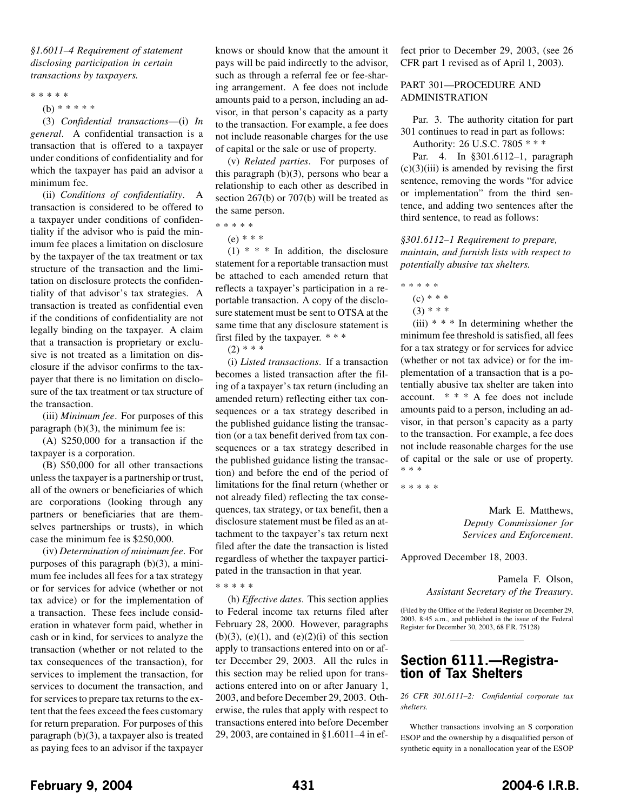*§1.6011–4 Requirement of statement disclosing participation in certain transactions by taxpayers.*

\*\*\*\*\*

(b) \* \* \* \* \*

(3) *Confidential transactions*—(i) *In general*. A confidential transaction is a transaction that is offered to a taxpayer under conditions of confidentiality and for which the taxpayer has paid an advisor a minimum fee.

(ii) *Conditions of confidentiality*. A transaction is considered to be offered to a taxpayer under conditions of confidentiality if the advisor who is paid the minimum fee places a limitation on disclosure by the taxpayer of the tax treatment or tax structure of the transaction and the limitation on disclosure protects the confidentiality of that advisor's tax strategies. A transaction is treated as confidential even if the conditions of confidentiality are not legally binding on the taxpayer. A claim that a transaction is proprietary or exclusive is not treated as a limitation on disclosure if the advisor confirms to the taxpayer that there is no limitation on disclosure of the tax treatment or tax structure of the transaction.

(iii) *Minimum fee*. For purposes of this paragraph  $(b)(3)$ , the minimum fee is:

(A) \$250,000 for a transaction if the taxpayer is a corporation.

(B) \$50,000 for all other transactions unless the taxpayer is a partnership or trust, all of the owners or beneficiaries of which are corporations (looking through any partners or beneficiaries that are themselves partnerships or trusts), in which case the minimum fee is \$250,000.

(iv) *Determination of minimum fee*. For purposes of this paragraph (b)(3), a minimum fee includes all fees for a tax strategy or for services for advice (whether or not tax advice) or for the implementation of a transaction. These fees include consideration in whatever form paid, whether in cash or in kind, for services to analyze the transaction (whether or not related to the tax consequences of the transaction), for services to implement the transaction, for services to document the transaction, and for services to prepare tax returns to the extent that the fees exceed the fees customary for return preparation. For purposes of this paragraph (b)(3), a taxpayer also is treated as paying fees to an advisor if the taxpayer

knows or should know that the amount it pays will be paid indirectly to the advisor, such as through a referral fee or fee-sharing arrangement. A fee does not include amounts paid to a person, including an advisor, in that person's capacity as a party to the transaction. For example, a fee does not include reasonable charges for the use of capital or the sale or use of property.

(v) *Related parties*. For purposes of this paragraph  $(b)(3)$ , persons who bear a relationship to each other as described in section 267(b) or 707(b) will be treated as the same person.

 $(1)$  \* \* \* In addition, the disclosure statement for a reportable transaction must be attached to each amended return that reflects a taxpayer's participation in a reportable transaction. A copy of the disclosure statement must be sent to OTSA at the same time that any disclosure statement is first filed by the taxpayer. \* \* \*

 $(2)$  \* \* \*

(i) *Listed transactions*. If a transaction becomes a listed transaction after the filing of a taxpayer's tax return (including an amended return) reflecting either tax consequences or a tax strategy described in the published guidance listing the transaction (or a tax benefit derived from tax consequences or a tax strategy described in the published guidance listing the transaction) and before the end of the period of limitations for the final return (whether or not already filed) reflecting the tax consequences, tax strategy, or tax benefit, then a disclosure statement must be filed as an attachment to the taxpayer's tax return next filed after the date the transaction is listed regardless of whether the taxpayer participated in the transaction in that year.

\*\*\*\*\*

(h) *Effective dates*. This section applies to Federal income tax returns filed after February 28, 2000. However, paragraphs  $(b)(3)$ ,  $(e)(1)$ , and  $(e)(2)(i)$  of this section apply to transactions entered into on or after December 29, 2003. All the rules in this section may be relied upon for transactions entered into on or after January 1, 2003, and before December 29, 2003. Otherwise, the rules that apply with respect to transactions entered into before December 29, 2003, are contained in §1.6011–4 in effect prior to December 29, 2003, (see 26 CFR part 1 revised as of April 1, 2003).

#### PART 301—PROCEDURE AND ADMINISTRATION

Par. 3. The authority citation for part 301 continues to read in part as follows: Authority: 26 U.S.C. 7805 \* \* \*

Par. 4. In §301.6112–1, paragraph  $(c)(3)(iii)$  is amended by revising the first sentence, removing the words "for advice or implementation" from the third sentence, and adding two sentences after the third sentence, to read as follows:

*§301.6112–1 Requirement to prepare, maintain, and furnish lists with respect to potentially abusive tax shelters.*

\*\*\*\*\*  $(c) * * *$ 

- $(3)$  \* \* \*
- $(iii)$  \* \*  $*$  In determining whether the minimum fee threshold is satisfied, all fees for a tax strategy or for services for advice (whether or not tax advice) or for the implementation of a transaction that is a potentially abusive tax shelter are taken into account. \* \* \* A fee does not include amounts paid to a person, including an advisor, in that person's capacity as a party to the transaction. For example, a fee does not include reasonable charges for the use of capital or the sale or use of property. \*\*\*

\*\*\*\*\*

Mark E. Matthews, *Deputy Commissioner for Services and Enforcement*.

Approved December 18, 2003.

Pamela F. Olson, *Assistant Secretary of the Treasury*.

(Filed by the Office of the Federal Register on December 29, 2003, 8:45 a.m., and published in the issue of the Federal Register for December 30, 2003, 68 F.R. 75128)

## **Section 6111.—Registration of Tax Shelters**

*26 CFR 301.6111–2: Confidential corporate tax shelters.*

Whether transactions involving an S corporation ESOP and the ownership by a disqualified person of synthetic equity in a nonallocation year of the ESOP

<sup>\*\*\*\*\*</sup>

<sup>(</sup>e) \* \* \*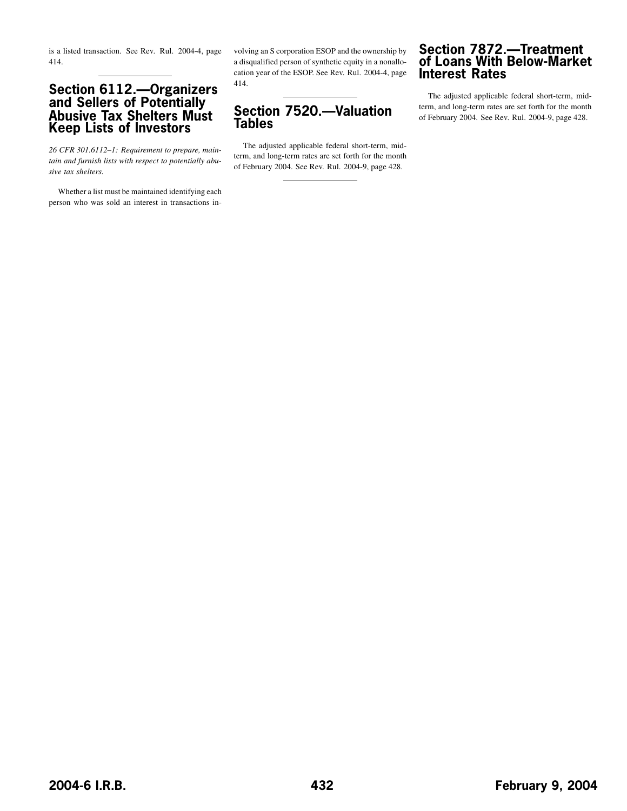is a listed transaction. See Rev. Rul. 2004-4, page [414.](#page-11-0)

## **Section 6112.—Organizers and Sellers of Potentially Abusive Tax Shelters Must Keep Lists of Investors**

*26 CFR 301.6112–1: Requirement to prepare, maintain and furnish lists with respect to potentially abusive tax shelters.*

Whether a list must be maintained identifying each person who was sold an interest in transactions involving an S corporation ESOP and the ownership by a disqualified person of synthetic equity in a nonallocation year of the ESOP. See Rev. Rul. 2004-4, page [414](#page-11-0).

## **Section 7520.—Valuation Tables**

The adjusted applicable federal short-term, midterm, and long-term rates are set forth for the month of February 2004. See Rev. Rul. 2004-9, page [428](#page-25-0).

## **Section 7872.—Treatment of Loans With Below-Market Interest Rates**

The adjusted applicable federal short-term, midterm, and long-term rates are set forth for the month of February 2004. See Rev. Rul. 2004-9, page [428](#page-25-0).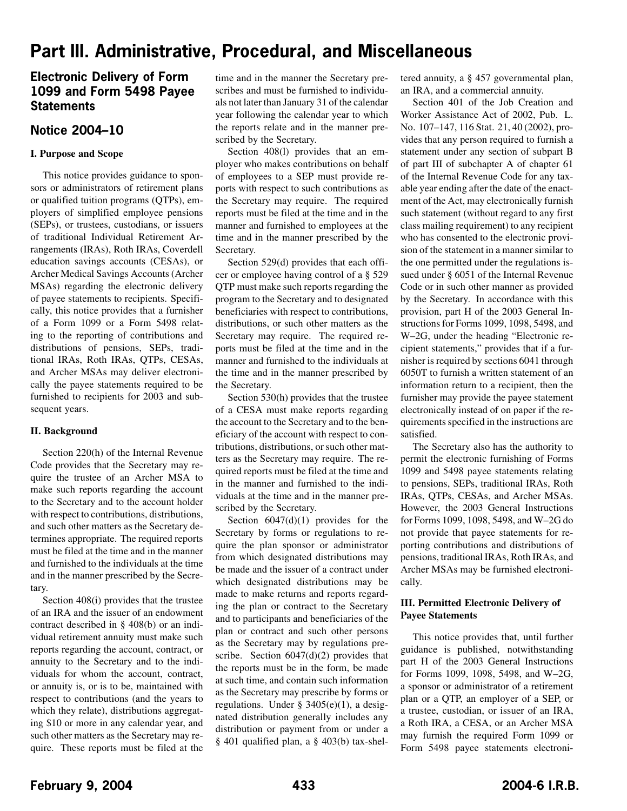## <span id="page-30-0"></span>**Part III. Administrative, Procedural, and Miscellaneous**

## **Electronic Delivery of Form 1099 and Form 5498 Payee Statements**

## **Notice 2004–10**

#### **I. Purpose and Scope**

This notice provides guidance to sponsors or administrators of retirement plans or qualified tuition programs (QTPs), employers of simplified employee pensions (SEPs), or trustees, custodians, or issuers of traditional Individual Retirement Arrangements (IRAs), Roth IRAs, Coverdell education savings accounts (CESAs), or Archer Medical Savings Accounts (Archer MSAs) regarding the electronic delivery of payee statements to recipients. Specifically, this notice provides that a furnisher of a Form 1099 or a Form 5498 relating to the reporting of contributions and distributions of pensions, SEPs, traditional IRAs, Roth IRAs, QTPs, CESAs, and Archer MSAs may deliver electronically the payee statements required to be furnished to recipients for 2003 and subsequent years.

#### **II. Background**

Section 220(h) of the Internal Revenue Code provides that the Secretary may require the trustee of an Archer MSA to make such reports regarding the account to the Secretary and to the account holder with respect to contributions, distributions, and such other matters as the Secretary determines appropriate. The required reports must be filed at the time and in the manner and furnished to the individuals at the time and in the manner prescribed by the Secretary.

Section 408(i) provides that the trustee of an IRA and the issuer of an endowment contract described in § 408(b) or an individual retirement annuity must make such reports regarding the account, contract, or annuity to the Secretary and to the individuals for whom the account, contract, or annuity is, or is to be, maintained with respect to contributions (and the years to which they relate), distributions aggregating \$10 or more in any calendar year, and such other matters as the Secretary may require. These reports must be filed at the time and in the manner the Secretary prescribes and must be furnished to individuals not later than January 31 of the calendar year following the calendar year to which the reports relate and in the manner prescribed by the Secretary.

Section 408(l) provides that an employer who makes contributions on behalf of employees to a SEP must provide reports with respect to such contributions as the Secretary may require. The required reports must be filed at the time and in the manner and furnished to employees at the time and in the manner prescribed by the Secretary.

Section 529(d) provides that each officer or employee having control of a § 529 QTP must make such reports regarding the program to the Secretary and to designated beneficiaries with respect to contributions, distributions, or such other matters as the Secretary may require. The required reports must be filed at the time and in the manner and furnished to the individuals at the time and in the manner prescribed by the Secretary.

Section 530(h) provides that the trustee of a CESA must make reports regarding the account to the Secretary and to the beneficiary of the account with respect to contributions, distributions, or such other matters as the Secretary may require. The required reports must be filed at the time and in the manner and furnished to the individuals at the time and in the manner prescribed by the Secretary.

Section  $6047(d)(1)$  provides for the Secretary by forms or regulations to require the plan sponsor or administrator from which designated distributions may be made and the issuer of a contract under which designated distributions may be made to make returns and reports regarding the plan or contract to the Secretary and to participants and beneficiaries of the plan or contract and such other persons as the Secretary may by regulations prescribe. Section  $6047(d)(2)$  provides that the reports must be in the form, be made at such time, and contain such information as the Secretary may prescribe by forms or regulations. Under  $\S$  3405(e)(1), a designated distribution generally includes any distribution or payment from or under a § 401 qualified plan, a § 403(b) tax-sheltered annuity, a § 457 governmental plan, an IRA, and a commercial annuity.

Section 401 of the Job Creation and Worker Assistance Act of 2002, Pub. L. No. 107–147, 116 Stat. 21, 40 (2002), provides that any person required to furnish a statement under any section of subpart B of part III of subchapter A of chapter 61 of the Internal Revenue Code for any taxable year ending after the date of the enactment of the Act, may electronically furnish such statement (without regard to any first class mailing requirement) to any recipient who has consented to the electronic provision of the statement in a manner similar to the one permitted under the regulations issued under § 6051 of the Internal Revenue Code or in such other manner as provided by the Secretary. In accordance with this provision, part H of the 2003 General Instructions for Forms 1099, 1098, 5498, and W–2G, under the heading "Electronic recipient statements," provides that if a furnisher is required by sections 6041 through 6050T to furnish a written statement of an information return to a recipient, then the furnisher may provide the payee statement electronically instead of on paper if the requirements specified in the instructions are satisfied.

The Secretary also has the authority to permit the electronic furnishing of Forms 1099 and 5498 payee statements relating to pensions, SEPs, traditional IRAs, Roth IRAs, QTPs, CESAs, and Archer MSAs. However, the 2003 General Instructions for Forms 1099, 1098, 5498, and W–2G do not provide that payee statements for reporting contributions and distributions of pensions, traditional IRAs, Roth IRAs, and Archer MSAs may be furnished electronically.

#### **III. Permitted Electronic Delivery of Payee Statements**

This notice provides that, until further guidance is published, notwithstanding part H of the 2003 General Instructions for Forms 1099, 1098, 5498, and W–2G, a sponsor or administrator of a retirement plan or a QTP, an employer of a SEP, or a trustee, custodian, or issuer of an IRA, a Roth IRA, a CESA, or an Archer MSA may furnish the required Form 1099 or Form 5498 payee statements electroni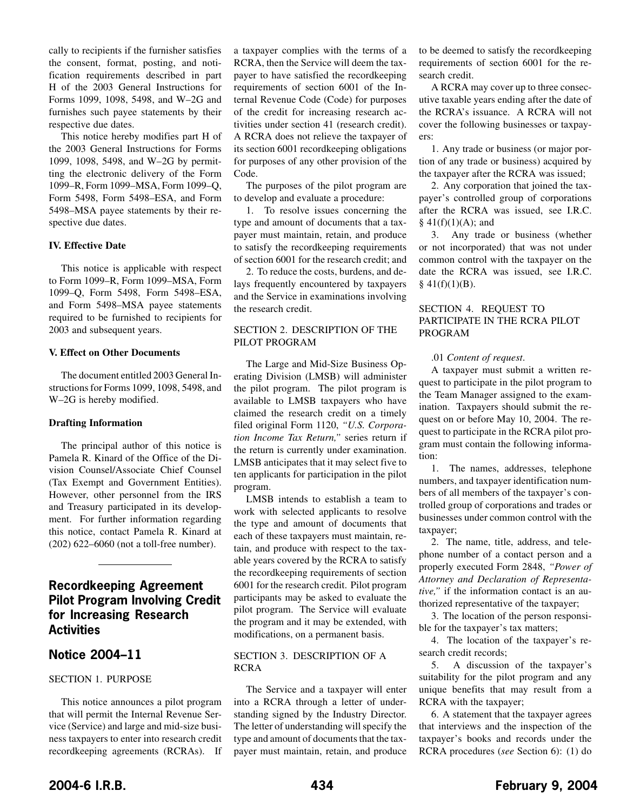<span id="page-31-0"></span>cally to recipients if the furnisher satisfies the consent, format, posting, and notification requirements described in part H of the 2003 General Instructions for Forms 1099, 1098, 5498, and W–2G and furnishes such payee statements by their respective due dates.

This notice hereby modifies part H of the 2003 General Instructions for Forms 1099, 1098, 5498, and W–2G by permitting the electronic delivery of the Form 1099–R, Form 1099–MSA, Form 1099–Q, Form 5498, Form 5498–ESA, and Form 5498–MSA payee statements by their respective due dates.

#### **IV. Effective Date**

This notice is applicable with respect to Form 1099–R, Form 1099–MSA, Form 1099–Q, Form 5498, Form 5498–ESA, and Form 5498–MSA payee statements required to be furnished to recipients for 2003 and subsequent years.

#### **V. Effect on Other Documents**

The document entitled 2003 General Instructions for Forms 1099, 1098, 5498, and W–2G is hereby modified.

#### **Drafting Information**

The principal author of this notice is Pamela R. Kinard of the Office of the Division Counsel/Associate Chief Counsel (Tax Exempt and Government Entities). However, other personnel from the IRS and Treasury participated in its development. For further information regarding this notice, contact Pamela R. Kinard at (202) 622–6060 (not a toll-free number).

## **Recordkeeping Agreement Pilot Program Involving Credit for Increasing Research Activities**

## **Notice 2004–11**

#### SECTION 1. PURPOSE

This notice announces a pilot program that will permit the Internal Revenue Service (Service) and large and mid-size business taxpayers to enter into research credit recordkeeping agreements (RCRAs). If

a taxpayer complies with the terms of a RCRA, then the Service will deem the taxpayer to have satisfied the recordkeeping requirements of section 6001 of the Internal Revenue Code (Code) for purposes of the credit for increasing research activities under section 41 (research credit). A RCRA does not relieve the taxpayer of its section 6001 recordkeeping obligations for purposes of any other provision of the Code.

The purposes of the pilot program are to develop and evaluate a procedure:

1. To resolve issues concerning the type and amount of documents that a taxpayer must maintain, retain, and produce to satisfy the recordkeeping requirements of section 6001 for the research credit; and

2. To reduce the costs, burdens, and delays frequently encountered by taxpayers and the Service in examinations involving the research credit.

#### SECTION 2. DESCRIPTION OF THE PILOT PROGRAM

The Large and Mid-Size Business Operating Division (LMSB) will administer the pilot program. The pilot program is available to LMSB taxpayers who have claimed the research credit on a timely filed original Form 1120, *"U.S. Corporation Income Tax Return,"* series return if the return is currently under examination. LMSB anticipates that it may select five to ten applicants for participation in the pilot program.

LMSB intends to establish a team to work with selected applicants to resolve the type and amount of documents that each of these taxpayers must maintain, retain, and produce with respect to the taxable years covered by the RCRA to satisfy the recordkeeping requirements of section 6001 for the research credit. Pilot program participants may be asked to evaluate the pilot program. The Service will evaluate the program and it may be extended, with modifications, on a permanent basis.

#### SECTION 3. DESCRIPTION OF A RCRA

The Service and a taxpayer will enter into a RCRA through a letter of understanding signed by the Industry Director. The letter of understanding will specify the type and amount of documents that the taxpayer must maintain, retain, and produce to be deemed to satisfy the recordkeeping requirements of section 6001 for the research credit.

A RCRA may cover up to three consecutive taxable years ending after the date of the RCRA's issuance. A RCRA will not cover the following businesses or taxpayers:

1. Any trade or business (or major portion of any trade or business) acquired by the taxpayer after the RCRA was issued;

2. Any corporation that joined the taxpayer's controlled group of corporations after the RCRA was issued, see I.R.C.  $§$  41(f)(1)(A); and

3. Any trade or business (whether or not incorporated) that was not under common control with the taxpayer on the date the RCRA was issued, see I.R.C.  $§$  41(f)(1)(B).

#### SECTION 4. REQUEST TO PARTICIPATE IN THE RCRA PILOT PROGRAM

#### .01 *Content of request*.

A taxpayer must submit a written request to participate in the pilot program to the Team Manager assigned to the examination. Taxpayers should submit the request on or before May 10, 2004. The request to participate in the RCRA pilot program must contain the following information:

1. The names, addresses, telephone numbers, and taxpayer identification numbers of all members of the taxpayer's controlled group of corporations and trades or businesses under common control with the taxpayer;

2. The name, title, address, and telephone number of a contact person and a properly executed Form 2848, *"Power of Attorney and Declaration of Representative,"* if the information contact is an authorized representative of the taxpayer;

3. The location of the person responsible for the taxpayer's tax matters;

4. The location of the taxpayer's research credit records;

5. A discussion of the taxpayer's suitability for the pilot program and any unique benefits that may result from a RCRA with the taxpayer;

6. A statement that the taxpayer agrees that interviews and the inspection of the taxpayer's books and records under the RCRA procedures (*see* Section 6): (1) do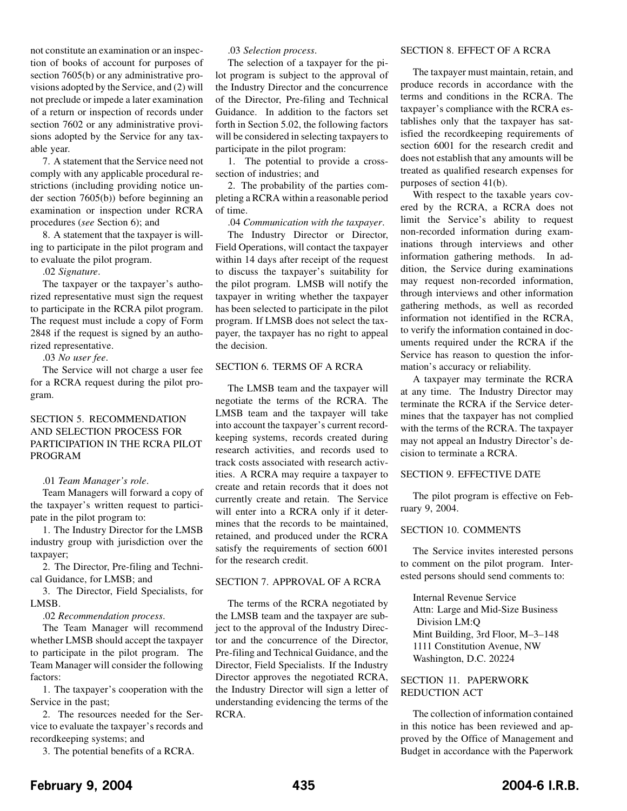not constitute an examination or an inspection of books of account for purposes of section 7605(b) or any administrative provisions adopted by the Service, and (2) will not preclude or impede a later examination of a return or inspection of records under section 7602 or any administrative provisions adopted by the Service for any taxable year.

7. A statement that the Service need not comply with any applicable procedural restrictions (including providing notice under section 7605(b)) before beginning an examination or inspection under RCRA procedures (*see* Section 6); and

8. A statement that the taxpayer is willing to participate in the pilot program and to evaluate the pilot program.

.02 *Signature*.

The taxpayer or the taxpayer's authorized representative must sign the request to participate in the RCRA pilot program. The request must include a copy of Form 2848 if the request is signed by an authorized representative.

.03 *No user fee*.

The Service will not charge a user fee for a RCRA request during the pilot program.

#### SECTION 5. RECOMMENDATION AND SELECTION PROCESS FOR PARTICIPATION IN THE RCRA PILOT PROGRAM

#### .01 *Team Manager's role*.

Team Managers will forward a copy of the taxpayer's written request to participate in the pilot program to:

1. The Industry Director for the LMSB industry group with jurisdiction over the taxpayer;

2. The Director, Pre-filing and Technical Guidance, for LMSB; and

3. The Director, Field Specialists, for LMSB.

.02 *Recommendation process*.

The Team Manager will recommend whether LMSB should accept the taxpayer to participate in the pilot program. The Team Manager will consider the following factors:

1. The taxpayer's cooperation with the Service in the past;

2. The resources needed for the Service to evaluate the taxpayer's records and recordkeeping systems; and

3. The potential benefits of a RCRA.

#### .03 *Selection process*.

The selection of a taxpayer for the pilot program is subject to the approval of the Industry Director and the concurrence of the Director, Pre-filing and Technical Guidance. In addition to the factors set forth in Section 5.02, the following factors will be considered in selecting taxpayers to participate in the pilot program:

1. The potential to provide a crosssection of industries; and

2. The probability of the parties completing a RCRA within a reasonable period of time.

.04 *Communication with the taxpayer*.

The Industry Director or Director, Field Operations, will contact the taxpayer within 14 days after receipt of the request to discuss the taxpayer's suitability for the pilot program. LMSB will notify the taxpayer in writing whether the taxpayer has been selected to participate in the pilot program. If LMSB does not select the taxpayer, the taxpayer has no right to appeal the decision.

#### SECTION 6. TERMS OF A RCRA

The LMSB team and the taxpayer will negotiate the terms of the RCRA. The LMSB team and the taxpayer will take into account the taxpayer's current recordkeeping systems, records created during research activities, and records used to track costs associated with research activities. A RCRA may require a taxpayer to create and retain records that it does not currently create and retain. The Service will enter into a RCRA only if it determines that the records to be maintained, retained, and produced under the RCRA satisfy the requirements of section 6001 for the research credit.

#### SECTION 7. APPROVAL OF A RCRA

The terms of the RCRA negotiated by the LMSB team and the taxpayer are subject to the approval of the Industry Director and the concurrence of the Director, Pre-filing and Technical Guidance, and the Director, Field Specialists. If the Industry Director approves the negotiated RCRA, the Industry Director will sign a letter of understanding evidencing the terms of the RCRA.

#### SECTION 8. EFFECT OF A RCRA

The taxpayer must maintain, retain, and produce records in accordance with the terms and conditions in the RCRA. The taxpayer's compliance with the RCRA establishes only that the taxpayer has satisfied the recordkeeping requirements of section 6001 for the research credit and does not establish that any amounts will be treated as qualified research expenses for purposes of section 41(b).

With respect to the taxable years covered by the RCRA, a RCRA does not limit the Service's ability to request non-recorded information during examinations through interviews and other information gathering methods. In addition, the Service during examinations may request non-recorded information, through interviews and other information gathering methods, as well as recorded information not identified in the RCRA, to verify the information contained in documents required under the RCRA if the Service has reason to question the information's accuracy or reliability.

A taxpayer may terminate the RCRA at any time. The Industry Director may terminate the RCRA if the Service determines that the taxpayer has not complied with the terms of the RCRA. The taxpayer may not appeal an Industry Director's decision to terminate a RCRA.

#### SECTION 9. EFFECTIVE DATE

The pilot program is effective on February 9, 2004.

#### SECTION 10. COMMENTS

The Service invites interested persons to comment on the pilot program. Interested persons should send comments to:

Internal Revenue Service Attn: Large and Mid-Size Business Division LM:Q Mint Building, 3rd Floor, M–3–148 1111 Constitution Avenue, NW Washington, D.C. 20224

SECTION 11. PAPERWORK REDUCTION ACT

The collection of information contained in this notice has been reviewed and approved by the Office of Management and Budget in accordance with the Paperwork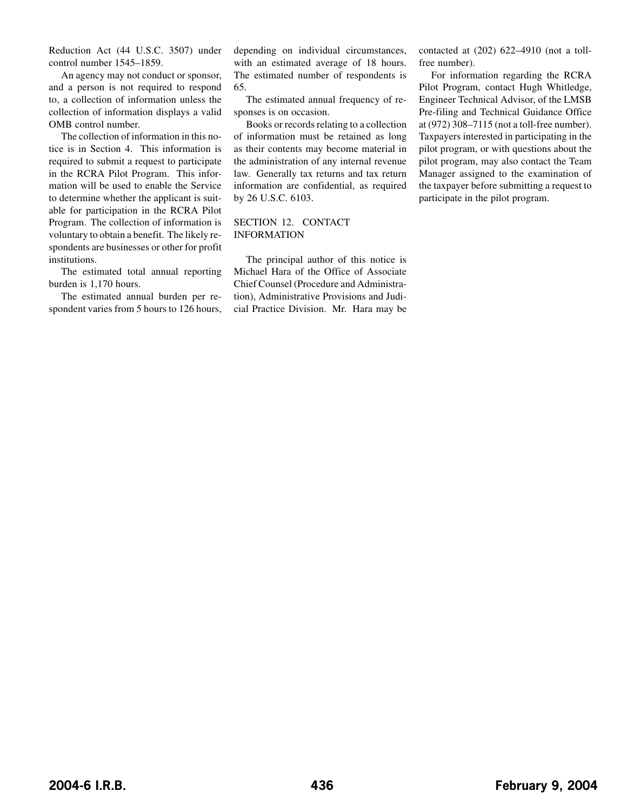Reduction Act (44 U.S.C. 3507) under control number 1545–1859.

An agency may not conduct or sponsor, and a person is not required to respond to, a collection of information unless the collection of information displays a valid OMB control number.

The collection of information in this notice is in Section 4. This information is required to submit a request to participate in the RCRA Pilot Program. This information will be used to enable the Service to determine whether the applicant is suitable for participation in the RCRA Pilot Program. The collection of information is voluntary to obtain a benefit. The likely respondents are businesses or other for profit institutions.

The estimated total annual reporting burden is 1,170 hours.

The estimated annual burden per respondent varies from 5 hours to 126 hours, depending on individual circumstances, with an estimated average of 18 hours. The estimated number of respondents is 65.

The estimated annual frequency of responses is on occasion.

Books or records relating to a collection of information must be retained as long as their contents may become material in the administration of any internal revenue law. Generally tax returns and tax return information are confidential, as required by 26 U.S.C. 6103.

#### SECTION 12. CONTACT INFORMATION

The principal author of this notice is Michael Hara of the Office of Associate Chief Counsel (Procedure and Administration), Administrative Provisions and Judicial Practice Division. Mr. Hara may be contacted at (202) 622–4910 (not a tollfree number).

For information regarding the RCRA Pilot Program, contact Hugh Whitledge, Engineer Technical Advisor, of the LMSB Pre-filing and Technical Guidance Office at (972) 308–7115 (not a toll-free number). Taxpayers interested in participating in the pilot program, or with questions about the pilot program, may also contact the Team Manager assigned to the examination of the taxpayer before submitting a request to participate in the pilot program.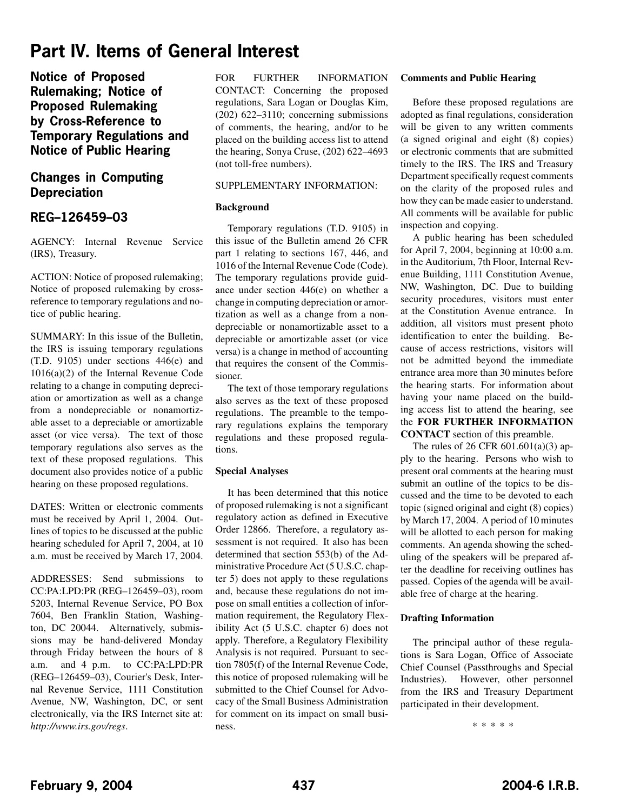## <span id="page-34-0"></span>**Part IV. Items of General Interest**

**Notice of Proposed Rulemaking; Notice of Proposed Rulemaking by Cross-Reference to Temporary Regulations and Notice of Public Hearing**

## **Changes in Computing Depreciation**

## **REG–126459–03**

AGENCY: Internal Revenue Service (IRS), Treasury.

ACTION: Notice of proposed rulemaking; Notice of proposed rulemaking by crossreference to temporary regulations and notice of public hearing.

SUMMARY: In this issue of the Bulletin, the IRS is issuing temporary regulations (T.D. 9105) under sections 446(e) and 1016(a)(2) of the Internal Revenue Code relating to a change in computing depreciation or amortization as well as a change from a nondepreciable or nonamortizable asset to a depreciable or amortizable asset (or vice versa). The text of those temporary regulations also serves as the text of these proposed regulations. This document also provides notice of a public hearing on these proposed regulations.

DATES: Written or electronic comments must be received by April 1, 2004. Outlines of topics to be discussed at the public hearing scheduled for April 7, 2004, at 10 a.m. must be received by March 17, 2004.

ADDRESSES: Send submissions to CC:PA:LPD:PR (REG–126459–03), room 5203, Internal Revenue Service, PO Box 7604, Ben Franklin Station, Washington, DC 20044. Alternatively, submissions may be hand-delivered Monday through Friday between the hours of 8 a.m. and 4 p.m. to CC:PA:LPD:PR (REG–126459–03), Courier's Desk, Internal Revenue Service, 1111 Constitution Avenue, NW, Washington, DC, or sent electronically, via the IRS Internet site at: *http://www.irs.gov/regs*.

FOR FURTHER INFORMATION CONTACT: Concerning the proposed regulations, Sara Logan or Douglas Kim, (202) 622–3110; concerning submissions of comments, the hearing, and/or to be placed on the building access list to attend the hearing, Sonya Cruse, (202) 622–4693 (not toll-free numbers).

## SUPPLEMENTARY INFORMATION:

#### **Background**

Temporary regulations (T.D. 9105) in this issue of the Bulletin amend 26 CFR part 1 relating to sections 167, 446, and 1016 of the Internal Revenue Code (Code). The temporary regulations provide guidance under section 446(e) on whether a change in computing depreciation or amortization as well as a change from a nondepreciable or nonamortizable asset to a depreciable or amortizable asset (or vice versa) is a change in method of accounting that requires the consent of the Commissioner.

The text of those temporary regulations also serves as the text of these proposed regulations. The preamble to the temporary regulations explains the temporary regulations and these proposed regulations.

#### **Special Analyses**

It has been determined that this notice of proposed rulemaking is not a significant regulatory action as defined in Executive Order 12866. Therefore, a regulatory assessment is not required. It also has been determined that section 553(b) of the Administrative Procedure Act (5 U.S.C. chapter 5) does not apply to these regulations and, because these regulations do not impose on small entities a collection of information requirement, the Regulatory Flexibility Act (5 U.S.C. chapter 6) does not apply. Therefore, a Regulatory Flexibility Analysis is not required. Pursuant to section 7805(f) of the Internal Revenue Code, this notice of proposed rulemaking will be submitted to the Chief Counsel for Advocacy of the Small Business Administration for comment on its impact on small business.

#### **Comments and Public Hearing**

Before these proposed regulations are adopted as final regulations, consideration will be given to any written comments (a signed original and eight (8) copies) or electronic comments that are submitted timely to the IRS. The IRS and Treasury Department specifically request comments on the clarity of the proposed rules and how they can be made easier to understand. All comments will be available for public inspection and copying.

A public hearing has been scheduled for April 7, 2004, beginning at 10:00 a.m. in the Auditorium, 7th Floor, Internal Revenue Building, 1111 Constitution Avenue, NW, Washington, DC. Due to building security procedures, visitors must enter at the Constitution Avenue entrance. In addition, all visitors must present photo identification to enter the building. Because of access restrictions, visitors will not be admitted beyond the immediate entrance area more than 30 minutes before the hearing starts. For information about having your name placed on the building access list to attend the hearing, see the **FOR FURTHER INFORMATION CONTACT** section of this preamble.

The rules of 26 CFR  $601.601(a)(3)$  apply to the hearing. Persons who wish to present oral comments at the hearing must submit an outline of the topics to be discussed and the time to be devoted to each topic (signed original and eight (8) copies) by March 17, 2004. A period of 10 minutes will be allotted to each person for making comments. An agenda showing the scheduling of the speakers will be prepared after the deadline for receiving outlines has passed. Copies of the agenda will be available free of charge at the hearing.

#### **Drafting Information**

The principal author of these regulations is Sara Logan, Office of Associate Chief Counsel (Passthroughs and Special Industries). However, other personnel from the IRS and Treasury Department participated in their development.

\*\*\*\*\*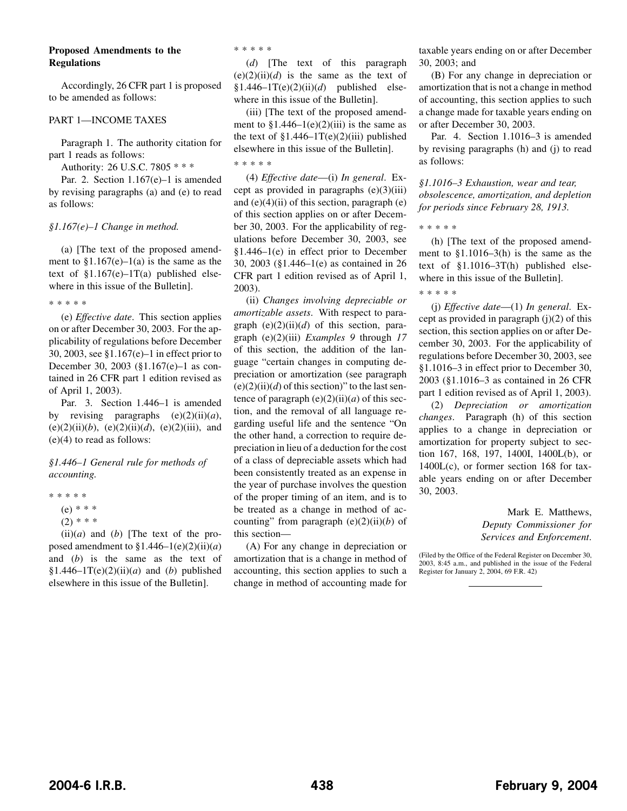#### **Proposed Amendments to the Regulations**

Accordingly, 26 CFR part 1 is proposed to be amended as follows:

#### PART 1—INCOME TAXES

Paragraph 1. The authority citation for part 1 reads as follows:

Authority: 26 U.S.C. 7805 \* \* \*

Par. 2. Section 1.167(e)–1 is amended by revising paragraphs (a) and (e) to read as follows:

#### *§1.167(e)–1 Change in method.*

(a) [The text of the proposed amendment to  $$1.167(e)–1(a)$  is the same as the text of  $$1.167(e) - 1T(a)$  published elsewhere in this issue of the Bulletin].

\*\*\*\*\*

(e) *Effective date*. This section applies on or after December 30, 2003. For the applicability of regulations before December 30, 2003, see §1.167(e)–1 in effect prior to December 30, 2003 (§1.167(e)–1 as contained in 26 CFR part 1 edition revised as of April 1, 2003).

Par. 3. Section 1.446–1 is amended by revising paragraphs  $(e)(2)(ii)(a)$ , (e)(2)(ii)(b), (e)(2)(ii)(d), (e)(2)(iii), and (e)(4) to read as follows:

*§1.446–1 General rule for methods of accounting.*

```
*****
(e) * * *
```

```
(2) * * *
```
 $(ii)(a)$  and  $(b)$  [The text of the proposed amendment to  $$1.446-1(e)(2)(ii)(a)$ and (*b*) is the same as the text of §1.446–1T(e)(2)(ii)(a) and (b) published elsewhere in this issue of the Bulletin].

\*\*\*\*\*

(*d*) [The text of this paragraph  $(e)(2)(ii)(d)$  is the same as the text of  $§1.446-1T(e)(2)(ii)(d)$  published elsewhere in this issue of the Bulletin].

(iii) [The text of the proposed amendment to  $$1.446-1(e)(2)(iii)$  is the same as the text of  $$1.446-1T(e)(2)(iii)$  published elsewhere in this issue of the Bulletin].

\*\*\*\*\*

(4) *Effective date*—(i) *In general*. Except as provided in paragraphs (e)(3)(iii) and  $(e)(4)(ii)$  of this section, paragraph  $(e)$ of this section applies on or after December 30, 2003. For the applicability of regulations before December 30, 2003, see §1.446–1(e) in effect prior to December 30, 2003 (§1.446–1(e) as contained in 26 CFR part 1 edition revised as of April 1, 2003).

(ii) *Changes involving depreciable or amortizable assets*. With respect to paragraph (e)(2)(ii)(*d*) of this section, paragraph (e)(2)(iii) *Examples 9* through *17* of this section, the addition of the language "certain changes in computing depreciation or amortization (see paragraph  $(e)(2)(ii)(d)$  of this section)" to the last sentence of paragraph  $(e)(2)(ii)(a)$  of this section, and the removal of all language regarding useful life and the sentence "On the other hand, a correction to require depreciation in lieu of a deduction for the cost of a class of depreciable assets which had been consistently treated as an expense in the year of purchase involves the question of the proper timing of an item, and is to be treated as a change in method of accounting" from paragraph (e)(2)(ii)(*b*) of this section—

(A) For any change in depreciation or amortization that is a change in method of accounting, this section applies to such a change in method of accounting made for

taxable years ending on or after December 30, 2003; and

(B) For any change in depreciation or amortization that is not a change in method of accounting, this section applies to such a change made for taxable years ending on or after December 30, 2003.

Par. 4. Section 1.1016–3 is amended by revising paragraphs (h) and (j) to read as follows:

*§1.1016–3 Exhaustion, wear and tear, obsolescence, amortization, and depletion for periods since February 28, 1913.*

\*\*\*\*\*

(h) [The text of the proposed amendment to §1.1016–3(h) is the same as the text of §1.1016–3T(h) published elsewhere in this issue of the Bulletin].

#### \*\*\*\*\*

(j) *Effective date*—(1) *In general*. Except as provided in paragraph  $(j)(2)$  of this section, this section applies on or after December 30, 2003. For the applicability of regulations before December 30, 2003, see §1.1016–3 in effect prior to December 30, 2003 (§1.1016–3 as contained in 26 CFR part 1 edition revised as of April 1, 2003).

(2) *Depreciation or amortization changes*. Paragraph (h) of this section applies to a change in depreciation or amortization for property subject to section 167, 168, 197, 1400I, 1400L(b), or 1400L(c), or former section 168 for taxable years ending on or after December 30, 2003.

> Mark E. Matthews, *Deputy Commissioner for Services and Enforcement*.

(Filed by the Office of the Federal Register on December 30, 2003, 8:45 a.m., and published in the issue of the Federal Register for January 2, 2004, 69 F.R. 42)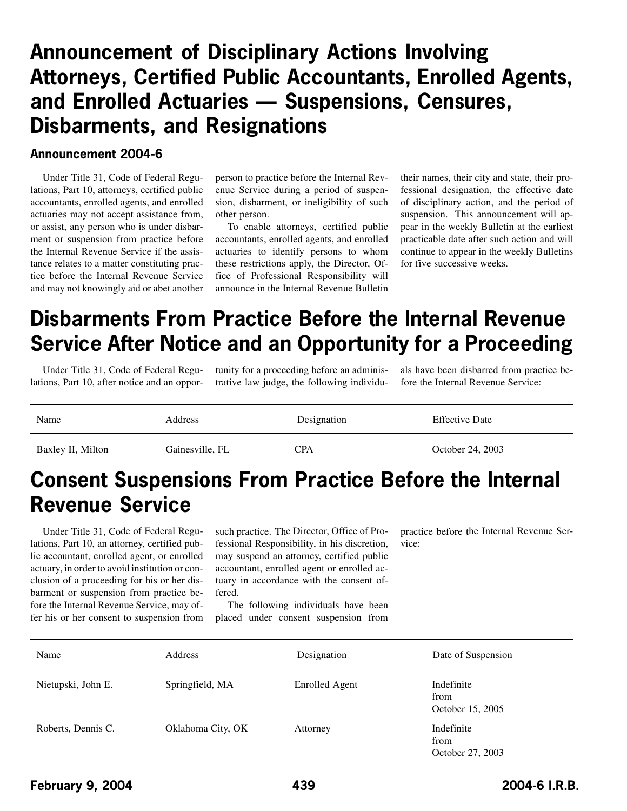## **Announcement of Disciplinary Actions Involving Attorneys, Certified Public Accountants, Enrolled Agents, and Enrolled Actuaries — Suspensions, Censures, Disbarments, and Resignations**

## **Announcement 2004-6**

Under Title 31, Code of Federal Regulations, Part 10, attorneys, certified public accountants, enrolled agents, and enrolled actuaries may not accept assistance from, or assist, any person who is under disbarment or suspension from practice before the Internal Revenue Service if the assistance relates to a matter constituting practice before the Internal Revenue Service and may not knowingly aid or abet another

person to practice before the Internal Revenue Service during a period of suspension, disbarment, or ineligibility of such other person.

To enable attorneys, certified public accountants, enrolled agents, and enrolled actuaries to identify persons to whom these restrictions apply, the Director, Office of Professional Responsibility will announce in the Internal Revenue Bulletin their names, their city and state, their professional designation, the effective date of disciplinary action, and the period of suspension. This announcement will appear in the weekly Bulletin at the earliest practicable date after such action and will continue to appear in the weekly Bulletins for five successive weeks.

## **Disbarments From Practice Before the Internal Revenue Service After Notice and an Opportunity for a Proceeding**

Under Title 31, Code of Federal Regulations, Part 10, after notice and an opportunity for a proceeding before an administrative law judge, the following individuals have been disbarred from practice before the Internal Revenue Service:

| Name              | Address         | Designation | <b>Effective Date</b> |
|-------------------|-----------------|-------------|-----------------------|
| Baxley II, Milton | Gainesville, FL | CPA         | October 24, 2003      |

## **Consent Suspensions From Practice Before the Internal Revenue Service**

Under Title 31, Code of Federal Regulations, Part 10, an attorney, certified public accountant, enrolled agent, or enrolled actuary, in order to avoid institution or conclusion of a proceeding for his or her disbarment or suspension from practice before the Internal Revenue Service, may offer his or her consent to suspension from such practice. The Director, Office of Professional Responsibility, in his discretion, may suspend an attorney, certified public accountant, enrolled agent or enrolled actuary in accordance with the consent offered.

The following individuals have been placed under consent suspension from practice before the Internal Revenue Service:

| Name               | Address           | Designation    | Date of Suspension                     |
|--------------------|-------------------|----------------|----------------------------------------|
| Nietupski, John E. | Springfield, MA   | Enrolled Agent | Indefinite<br>from<br>October 15, 2005 |
| Roberts, Dennis C. | Oklahoma City, OK | Attorney       | Indefinite<br>from<br>October 27, 2003 |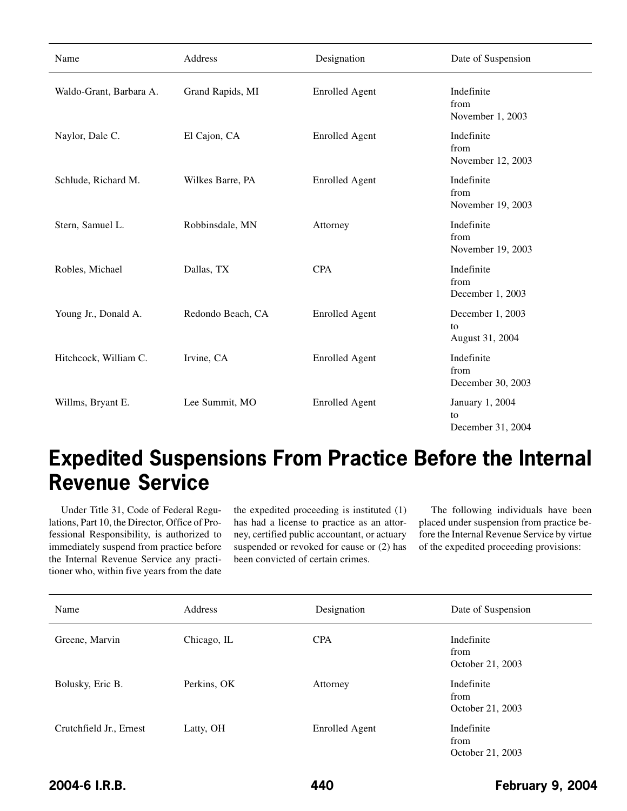| Name                    | Address           | Designation           | Date of Suspension                         |
|-------------------------|-------------------|-----------------------|--------------------------------------------|
| Waldo-Grant, Barbara A. | Grand Rapids, MI  | <b>Enrolled Agent</b> | Indefinite<br>from<br>November 1, 2003     |
| Naylor, Dale C.         | El Cajon, CA      | <b>Enrolled Agent</b> | Indefinite<br>from<br>November 12, 2003    |
| Schlude, Richard M.     | Wilkes Barre, PA  | <b>Enrolled Agent</b> | Indefinite<br>from<br>November 19, 2003    |
| Stern, Samuel L.        | Robbinsdale, MN   | Attorney              | Indefinite<br>from<br>November 19, 2003    |
| Robles, Michael         | Dallas, TX        | <b>CPA</b>            | Indefinite<br>from<br>December 1, 2003     |
| Young Jr., Donald A.    | Redondo Beach, CA | <b>Enrolled Agent</b> | December 1, 2003<br>to<br>August 31, 2004  |
| Hitchcock, William C.   | Irvine, CA        | <b>Enrolled Agent</b> | Indefinite<br>from<br>December 30, 2003    |
| Willms, Bryant E.       | Lee Summit, MO    | <b>Enrolled Agent</b> | January 1, 2004<br>to<br>December 31, 2004 |

## **Expedited Suspensions From Practice Before the Internal Revenue Service**

Under Title 31, Code of Federal Regulations, Part 10, the Director, Office of Professional Responsibility, is authorized to immediately suspend from practice before the Internal Revenue Service any practitioner who, within five years from the date

the expedited proceeding is instituted (1) has had a license to practice as an attorney, certified public accountant, or actuary suspended or revoked for cause or (2) has been convicted of certain crimes.

The following individuals have been placed under suspension from practice before the Internal Revenue Service by virtue of the expedited proceeding provisions:

| Name                    | Address     | Designation    | Date of Suspension                     |
|-------------------------|-------------|----------------|----------------------------------------|
| Greene, Marvin          | Chicago, IL | <b>CPA</b>     | Indefinite<br>from<br>October 21, 2003 |
| Bolusky, Eric B.        | Perkins, OK | Attorney       | Indefinite<br>from<br>October 21, 2003 |
| Crutchfield Jr., Ernest | Latty, OH   | Enrolled Agent | Indefinite<br>from<br>October 21, 2003 |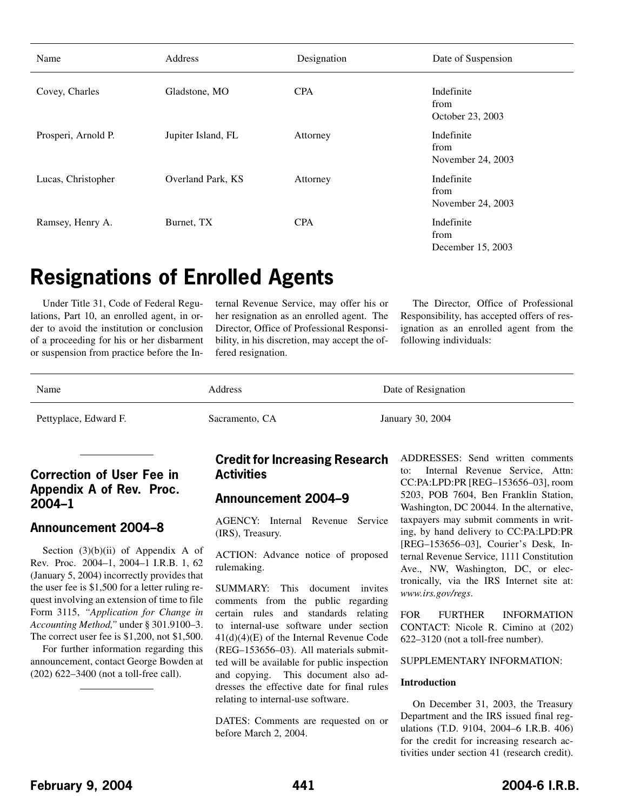<span id="page-38-0"></span>

| Name                | Address            | Designation | Date of Suspension                      |
|---------------------|--------------------|-------------|-----------------------------------------|
| Covey, Charles      | Gladstone, MO      | <b>CPA</b>  | Indefinite<br>from<br>October 23, 2003  |
| Prosperi, Arnold P. | Jupiter Island, FL | Attorney    | Indefinite<br>from<br>November 24, 2003 |
| Lucas, Christopher  | Overland Park, KS  | Attorney    | Indefinite<br>from<br>November 24, 2003 |
| Ramsey, Henry A.    | Burnet, TX         | <b>CPA</b>  | Indefinite<br>from<br>December 15, 2003 |

## **Resignations of Enrolled Agents**

Under Title 31, Code of Federal Regulations, Part 10, an enrolled agent, in order to avoid the institution or conclusion of a proceeding for his or her disbarment or suspension from practice before the Internal Revenue Service, may offer his or her resignation as an enrolled agent. The Director, Office of Professional Responsibility, in his discretion, may accept the offered resignation.

The Director, Office of Professional Responsibility, has accepted offers of resignation as an enrolled agent from the following individuals:

| Name                  | Address        | Date of Resignation |
|-----------------------|----------------|---------------------|
| Pettyplace, Edward F. | Sacramento, CA | January 30, 2004    |

## **Correction of User Fee in Appendix A of Rev. Proc. 2004–1**

### **Announcement 2004–8**

Section  $(3)(b)(ii)$  of Appendix A of Rev. Proc. 2004–1, 2004–1 I.R.B. 1, 62 (January 5, 2004) incorrectly provides that the user fee is \$1,500 for a letter ruling request involving an extension of time to file Form 3115, *"Application for Change in Accounting Method,"* under § 301.9100–3. The correct user fee is \$1,200, not \$1,500.

For further information regarding this announcement, contact George Bowden at (202) 622–3400 (not a toll-free call).

## **Credit for Increasing Research Activities**

## **Announcement 2004–9**

AGENCY: Internal Revenue Service (IRS), Treasury.

ACTION: Advance notice of proposed rulemaking.

SUMMARY: This document invites comments from the public regarding certain rules and standards relating to internal-use software under section 41(d)(4)(E) of the Internal Revenue Code (REG–153656–03). All materials submitted will be available for public inspection and copying. This document also addresses the effective date for final rules relating to internal-use software.

DATES: Comments are requested on or before March 2, 2004.

ADDRESSES: Send written comments to: Internal Revenue Service, Attn: CC:PA:LPD:PR [REG–153656–03], room 5203, POB 7604, Ben Franklin Station, Washington, DC 20044. In the alternative, taxpayers may submit comments in writing, by hand delivery to CC:PA:LPD:PR [REG–153656–03], Courier's Desk, Internal Revenue Service, 1111 Constitution Ave., NW, Washington, DC, or electronically, via the IRS Internet site at: *www.irs.gov/regs*.

FOR FURTHER INFORMATION CONTACT: Nicole R. Cimino at (202) 622–3120 (not a toll-free number).

SUPPLEMENTARY INFORMATION:

#### **Introduction**

On December 31, 2003, the Treasury Department and the IRS issued final regulations (T.D. 9104, 2004–6 I.R.B. 406) for the credit for increasing research activities under section 41 (research credit).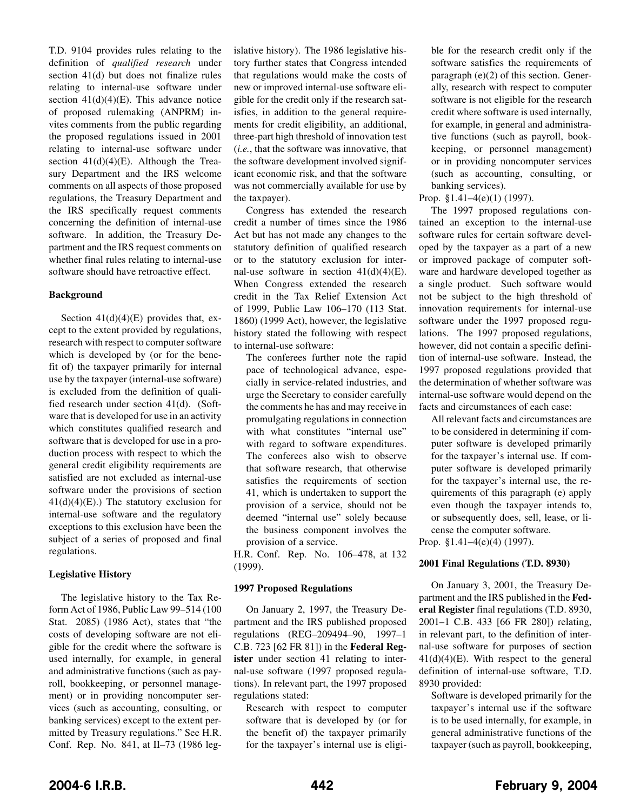T.D. 9104 provides rules relating to the definition of *qualified research* under section 41(d) but does not finalize rules relating to internal-use software under section  $41(d)(4)(E)$ . This advance notice of proposed rulemaking (ANPRM) invites comments from the public regarding the proposed regulations issued in 2001 relating to internal-use software under section 41(d)(4)(E). Although the Treasury Department and the IRS welcome comments on all aspects of those proposed regulations, the Treasury Department and the IRS specifically request comments concerning the definition of internal-use software. In addition, the Treasury Department and the IRS request comments on whether final rules relating to internal-use software should have retroactive effect.

#### **Background**

Section  $41(d)(4)(E)$  provides that, except to the extent provided by regulations, research with respect to computer software which is developed by (or for the benefit of) the taxpayer primarily for internal use by the taxpayer (internal-use software) is excluded from the definition of qualified research under section 41(d). (Software that is developed for use in an activity which constitutes qualified research and software that is developed for use in a production process with respect to which the general credit eligibility requirements are satisfied are not excluded as internal-use software under the provisions of section  $41(d)(4)(E)$ .) The statutory exclusion for internal-use software and the regulatory exceptions to this exclusion have been the subject of a series of proposed and final regulations.

#### **Legislative History**

The legislative history to the Tax Reform Act of 1986, Public Law 99–514 (100 Stat. 2085) (1986 Act), states that "the costs of developing software are not eligible for the credit where the software is used internally, for example, in general and administrative functions (such as payroll, bookkeeping, or personnel management) or in providing noncomputer services (such as accounting, consulting, or banking services) except to the extent permitted by Treasury regulations." See H.R. Conf. Rep. No. 841, at II–73 (1986 leg-

islative history). The 1986 legislative history further states that Congress intended that regulations would make the costs of new or improved internal-use software eligible for the credit only if the research satisfies, in addition to the general requirements for credit eligibility, an additional, three-part high threshold of innovation test (*i.e.*, that the software was innovative, that the software development involved significant economic risk, and that the software was not commercially available for use by the taxpayer).

Congress has extended the research credit a number of times since the 1986 Act but has not made any changes to the statutory definition of qualified research or to the statutory exclusion for internal-use software in section  $41(d)(4)(E)$ . When Congress extended the research credit in the Tax Relief Extension Act of 1999, Public Law 106–170 (113 Stat. 1860) (1999 Act), however, the legislative history stated the following with respect to internal-use software:

The conferees further note the rapid pace of technological advance, especially in service-related industries, and urge the Secretary to consider carefully the comments he has and may receive in promulgating regulations in connection with what constitutes "internal use" with regard to software expenditures. The conferees also wish to observe that software research, that otherwise satisfies the requirements of section 41, which is undertaken to support the provision of a service, should not be deemed "internal use" solely because the business component involves the provision of a service.

H.R. Conf. Rep. No. 106–478, at 132 (1999).

#### **1997 Proposed Regulations**

On January 2, 1997, the Treasury Department and the IRS published proposed regulations (REG–209494–90, 1997–1 C.B. 723 [62 FR 81]) in the **Federal Register** under section 41 relating to internal-use software (1997 proposed regulations). In relevant part, the 1997 proposed regulations stated:

Research with respect to computer software that is developed by (or for the benefit of) the taxpayer primarily for the taxpayer's internal use is eligible for the research credit only if the software satisfies the requirements of paragraph (e)(2) of this section. Generally, research with respect to computer software is not eligible for the research credit where software is used internally, for example, in general and administrative functions (such as payroll, bookkeeping, or personnel management) or in providing noncomputer services (such as accounting, consulting, or banking services).

Prop. §1.41–4(e)(1) (1997).

The 1997 proposed regulations contained an exception to the internal-use software rules for certain software developed by the taxpayer as a part of a new or improved package of computer software and hardware developed together as a single product. Such software would not be subject to the high threshold of innovation requirements for internal-use software under the 1997 proposed regulations. The 1997 proposed regulations, however, did not contain a specific definition of internal-use software. Instead, the 1997 proposed regulations provided that the determination of whether software was internal-use software would depend on the facts and circumstances of each case:

All relevant facts and circumstances are to be considered in determining if computer software is developed primarily for the taxpayer's internal use. If computer software is developed primarily for the taxpayer's internal use, the requirements of this paragraph (e) apply even though the taxpayer intends to, or subsequently does, sell, lease, or license the computer software.

Prop. §1.41–4(e)(4) (1997).

#### **2001 Final Regulations (T.D. 8930)**

On January 3, 2001, the Treasury Department and the IRS published in the **Federal Register** final regulations (T.D. 8930, 2001–1 C.B. 433 [66 FR 280]) relating, in relevant part, to the definition of internal-use software for purposes of section  $41(d)(4)(E)$ . With respect to the general definition of internal-use software, T.D. 8930 provided:

Software is developed primarily for the taxpayer's internal use if the software is to be used internally, for example, in general administrative functions of the taxpayer (such as payroll, bookkeeping,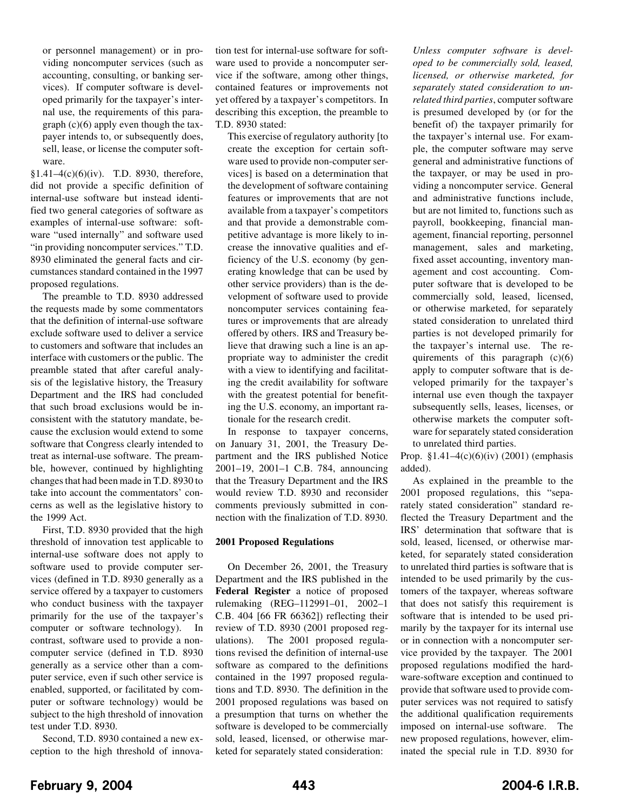or personnel management) or in providing noncomputer services (such as accounting, consulting, or banking services). If computer software is developed primarily for the taxpayer's internal use, the requirements of this paragraph (c)(6) apply even though the taxpayer intends to, or subsequently does, sell, lease, or license the computer software.

§1.41–4(c)(6)(iv). T.D. 8930, therefore, did not provide a specific definition of internal-use software but instead identified two general categories of software as examples of internal-use software: software "used internally" and software used "in providing noncomputer services." T.D. 8930 eliminated the general facts and circumstances standard contained in the 1997 proposed regulations.

The preamble to T.D. 8930 addressed the requests made by some commentators that the definition of internal-use software exclude software used to deliver a service to customers and software that includes an interface with customers or the public. The preamble stated that after careful analysis of the legislative history, the Treasury Department and the IRS had concluded that such broad exclusions would be inconsistent with the statutory mandate, because the exclusion would extend to some software that Congress clearly intended to treat as internal-use software. The preamble, however, continued by highlighting changes that had been made in T.D. 8930 to take into account the commentators' concerns as well as the legislative history to the 1999 Act.

First, T.D. 8930 provided that the high threshold of innovation test applicable to internal-use software does not apply to software used to provide computer services (defined in T.D. 8930 generally as a service offered by a taxpayer to customers who conduct business with the taxpayer primarily for the use of the taxpayer's computer or software technology). In contrast, software used to provide a noncomputer service (defined in T.D. 8930 generally as a service other than a computer service, even if such other service is enabled, supported, or facilitated by computer or software technology) would be subject to the high threshold of innovation test under T.D. 8930.

Second, T.D. 8930 contained a new exception to the high threshold of innovation test for internal-use software for software used to provide a noncomputer service if the software, among other things, contained features or improvements not yet offered by a taxpayer's competitors. In describing this exception, the preamble to T.D. 8930 stated:

This exercise of regulatory authority [to create the exception for certain software used to provide non-computer services] is based on a determination that the development of software containing features or improvements that are not available from a taxpayer's competitors and that provide a demonstrable competitive advantage is more likely to increase the innovative qualities and efficiency of the U.S. economy (by generating knowledge that can be used by other service providers) than is the development of software used to provide noncomputer services containing features or improvements that are already offered by others. IRS and Treasury believe that drawing such a line is an appropriate way to administer the credit with a view to identifying and facilitating the credit availability for software with the greatest potential for benefiting the U.S. economy, an important rationale for the research credit.

In response to taxpayer concerns, on January 31, 2001, the Treasury Department and the IRS published Notice 2001–19, 2001–1 C.B. 784, announcing that the Treasury Department and the IRS would review T.D. 8930 and reconsider comments previously submitted in connection with the finalization of T.D. 8930.

#### **2001 Proposed Regulations**

On December 26, 2001, the Treasury Department and the IRS published in the **Federal Register** a notice of proposed rulemaking (REG–112991–01, 2002–1 C.B. 404 [66 FR 66362]) reflecting their review of T.D. 8930 (2001 proposed regulations). The 2001 proposed regulations revised the definition of internal-use software as compared to the definitions contained in the 1997 proposed regulations and T.D. 8930. The definition in the 2001 proposed regulations was based on a presumption that turns on whether the software is developed to be commercially sold, leased, licensed, or otherwise marketed for separately stated consideration:

*Unless computer software is developed to be commercially sold, leased, licensed, or otherwise marketed, for separately stated consideration to unrelated third parties*, computer software is presumed developed by (or for the benefit of) the taxpayer primarily for the taxpayer's internal use. For example, the computer software may serve general and administrative functions of the taxpayer, or may be used in providing a noncomputer service. General and administrative functions include, but are not limited to, functions such as payroll, bookkeeping, financial management, financial reporting, personnel management, sales and marketing, fixed asset accounting, inventory management and cost accounting. Computer software that is developed to be commercially sold, leased, licensed, or otherwise marketed, for separately stated consideration to unrelated third parties is not developed primarily for the taxpayer's internal use. The requirements of this paragraph  $(c)(6)$ apply to computer software that is developed primarily for the taxpayer's internal use even though the taxpayer subsequently sells, leases, licenses, or otherwise markets the computer software for separately stated consideration to unrelated third parties.

Prop. §1.41–4(c)(6)(iv) (2001) (emphasis added).

As explained in the preamble to the 2001 proposed regulations, this "separately stated consideration" standard reflected the Treasury Department and the IRS' determination that software that is sold, leased, licensed, or otherwise marketed, for separately stated consideration to unrelated third parties is software that is intended to be used primarily by the customers of the taxpayer, whereas software that does not satisfy this requirement is software that is intended to be used primarily by the taxpayer for its internal use or in connection with a noncomputer service provided by the taxpayer. The 2001 proposed regulations modified the hardware-software exception and continued to provide that software used to provide computer services was not required to satisfy the additional qualification requirements imposed on internal-use software. The new proposed regulations, however, eliminated the special rule in T.D. 8930 for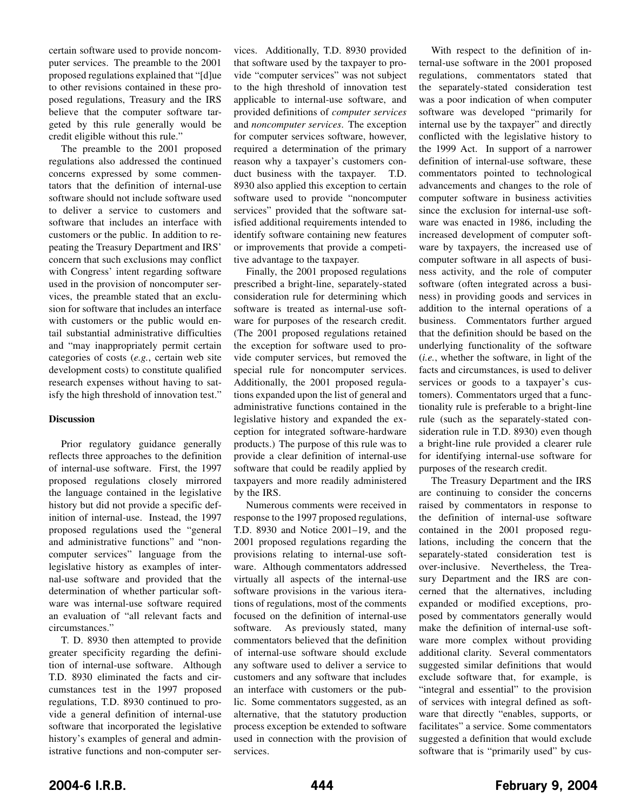certain software used to provide noncomputer services. The preamble to the 2001 proposed regulations explained that "[d]ue to other revisions contained in these proposed regulations, Treasury and the IRS believe that the computer software targeted by this rule generally would be credit eligible without this rule."

The preamble to the 2001 proposed regulations also addressed the continued concerns expressed by some commentators that the definition of internal-use software should not include software used to deliver a service to customers and software that includes an interface with customers or the public. In addition to repeating the Treasury Department and IRS' concern that such exclusions may conflict with Congress' intent regarding software used in the provision of noncomputer services, the preamble stated that an exclusion for software that includes an interface with customers or the public would entail substantial administrative difficulties and "may inappropriately permit certain categories of costs (*e.g.*, certain web site development costs) to constitute qualified research expenses without having to satisfy the high threshold of innovation test."

#### **Discussion**

Prior regulatory guidance generally reflects three approaches to the definition of internal-use software. First, the 1997 proposed regulations closely mirrored the language contained in the legislative history but did not provide a specific definition of internal-use. Instead, the 1997 proposed regulations used the "general and administrative functions" and "noncomputer services" language from the legislative history as examples of internal-use software and provided that the determination of whether particular software was internal-use software required an evaluation of "all relevant facts and circumstances."

T. D. 8930 then attempted to provide greater specificity regarding the definition of internal-use software. Although T.D. 8930 eliminated the facts and circumstances test in the 1997 proposed regulations, T.D. 8930 continued to provide a general definition of internal-use software that incorporated the legislative history's examples of general and administrative functions and non-computer services. Additionally, T.D. 8930 provided that software used by the taxpayer to provide "computer services" was not subject to the high threshold of innovation test applicable to internal-use software, and provided definitions of *computer services* and *noncomputer services*. The exception for computer services software, however, required a determination of the primary reason why a taxpayer's customers conduct business with the taxpayer. T.D. 8930 also applied this exception to certain software used to provide "noncomputer services" provided that the software satisfied additional requirements intended to identify software containing new features or improvements that provide a competitive advantage to the taxpayer.

Finally, the 2001 proposed regulations prescribed a bright-line, separately-stated consideration rule for determining which software is treated as internal-use software for purposes of the research credit. (The 2001 proposed regulations retained the exception for software used to provide computer services, but removed the special rule for noncomputer services. Additionally, the 2001 proposed regulations expanded upon the list of general and administrative functions contained in the legislative history and expanded the exception for integrated software-hardware products.) The purpose of this rule was to provide a clear definition of internal-use software that could be readily applied by taxpayers and more readily administered by the IRS.

Numerous comments were received in response to the 1997 proposed regulations, T.D. 8930 and Notice 2001–19, and the 2001 proposed regulations regarding the provisions relating to internal-use software. Although commentators addressed virtually all aspects of the internal-use software provisions in the various iterations of regulations, most of the comments focused on the definition of internal-use software. As previously stated, many commentators believed that the definition of internal-use software should exclude any software used to deliver a service to customers and any software that includes an interface with customers or the public. Some commentators suggested, as an alternative, that the statutory production process exception be extended to software used in connection with the provision of services.

With respect to the definition of internal-use software in the 2001 proposed regulations, commentators stated that the separately-stated consideration test was a poor indication of when computer software was developed "primarily for internal use by the taxpayer" and directly conflicted with the legislative history to the 1999 Act. In support of a narrower definition of internal-use software, these commentators pointed to technological advancements and changes to the role of computer software in business activities since the exclusion for internal-use software was enacted in 1986, including the increased development of computer software by taxpayers, the increased use of computer software in all aspects of business activity, and the role of computer software (often integrated across a business) in providing goods and services in addition to the internal operations of a business. Commentators further argued that the definition should be based on the underlying functionality of the software (*i.e.*, whether the software, in light of the facts and circumstances, is used to deliver services or goods to a taxpayer's customers). Commentators urged that a functionality rule is preferable to a bright-line rule (such as the separately-stated consideration rule in T.D. 8930) even though a bright-line rule provided a clearer rule for identifying internal-use software for purposes of the research credit.

The Treasury Department and the IRS are continuing to consider the concerns raised by commentators in response to the definition of internal-use software contained in the 2001 proposed regulations, including the concern that the separately-stated consideration test is over-inclusive. Nevertheless, the Treasury Department and the IRS are concerned that the alternatives, including expanded or modified exceptions, proposed by commentators generally would make the definition of internal-use software more complex without providing additional clarity. Several commentators suggested similar definitions that would exclude software that, for example, is "integral and essential" to the provision of services with integral defined as software that directly "enables, supports, or facilitates" a service. Some commentators suggested a definition that would exclude software that is "primarily used" by cus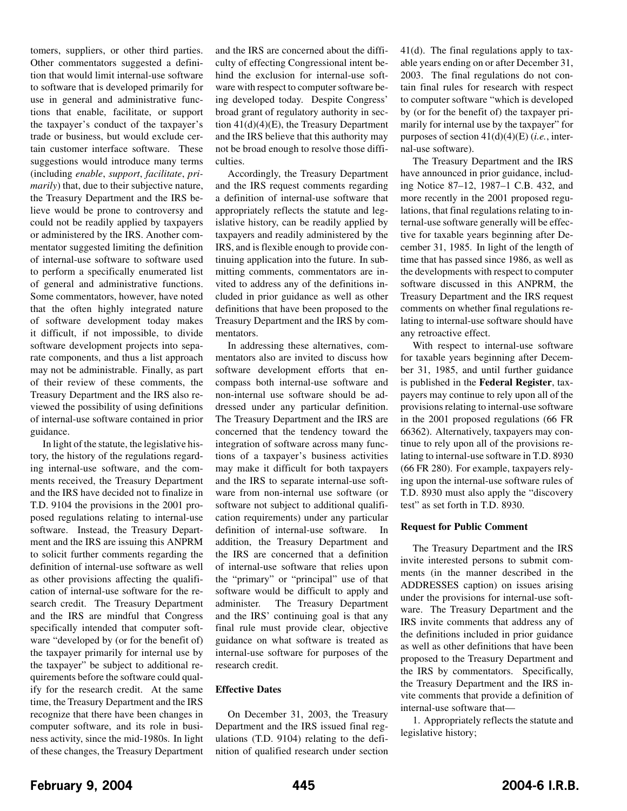tomers, suppliers, or other third parties. Other commentators suggested a definition that would limit internal-use software to software that is developed primarily for use in general and administrative functions that enable, facilitate, or support the taxpayer's conduct of the taxpayer's trade or business, but would exclude certain customer interface software. These suggestions would introduce many terms (including *enable*, *support*, *facilitate*, *primarily*) that, due to their subjective nature, the Treasury Department and the IRS believe would be prone to controversy and could not be readily applied by taxpayers or administered by the IRS. Another commentator suggested limiting the definition of internal-use software to software used to perform a specifically enumerated list of general and administrative functions. Some commentators, however, have noted that the often highly integrated nature of software development today makes it difficult, if not impossible, to divide software development projects into separate components, and thus a list approach may not be administrable. Finally, as part of their review of these comments, the Treasury Department and the IRS also reviewed the possibility of using definitions of internal-use software contained in prior guidance.

In light of the statute, the legislative history, the history of the regulations regarding internal-use software, and the comments received, the Treasury Department and the IRS have decided not to finalize in T.D. 9104 the provisions in the 2001 proposed regulations relating to internal-use software. Instead, the Treasury Department and the IRS are issuing this ANPRM to solicit further comments regarding the definition of internal-use software as well as other provisions affecting the qualification of internal-use software for the research credit. The Treasury Department and the IRS are mindful that Congress specifically intended that computer software "developed by (or for the benefit of) the taxpayer primarily for internal use by the taxpayer" be subject to additional requirements before the software could qualify for the research credit. At the same time, the Treasury Department and the IRS recognize that there have been changes in computer software, and its role in business activity, since the mid-1980s. In light of these changes, the Treasury Department

and the IRS are concerned about the difficulty of effecting Congressional intent behind the exclusion for internal-use software with respect to computer software being developed today. Despite Congress' broad grant of regulatory authority in section 41(d)(4)(E), the Treasury Department and the IRS believe that this authority may not be broad enough to resolve those difficulties.

Accordingly, the Treasury Department and the IRS request comments regarding a definition of internal-use software that appropriately reflects the statute and legislative history, can be readily applied by taxpayers and readily administered by the IRS, and is flexible enough to provide continuing application into the future. In submitting comments, commentators are invited to address any of the definitions included in prior guidance as well as other definitions that have been proposed to the Treasury Department and the IRS by commentators.

In addressing these alternatives, commentators also are invited to discuss how software development efforts that encompass both internal-use software and non-internal use software should be addressed under any particular definition. The Treasury Department and the IRS are concerned that the tendency toward the integration of software across many functions of a taxpayer's business activities may make it difficult for both taxpayers and the IRS to separate internal-use software from non-internal use software (or software not subject to additional qualification requirements) under any particular definition of internal-use software. In addition, the Treasury Department and the IRS are concerned that a definition of internal-use software that relies upon the "primary" or "principal" use of that software would be difficult to apply and administer. The Treasury Department and the IRS' continuing goal is that any final rule must provide clear, objective guidance on what software is treated as internal-use software for purposes of the research credit.

#### **Effective Dates**

On December 31, 2003, the Treasury Department and the IRS issued final regulations (T.D. 9104) relating to the definition of qualified research under section 41(d). The final regulations apply to taxable years ending on or after December 31, 2003. The final regulations do not contain final rules for research with respect to computer software "which is developed by (or for the benefit of) the taxpayer primarily for internal use by the taxpayer" for purposes of section 41(d)(4)(E) (*i.e.*, internal-use software).

The Treasury Department and the IRS have announced in prior guidance, including Notice 87–12, 1987–1 C.B. 432, and more recently in the 2001 proposed regulations, that final regulations relating to internal-use software generally will be effective for taxable years beginning after December 31, 1985. In light of the length of time that has passed since 1986, as well as the developments with respect to computer software discussed in this ANPRM, the Treasury Department and the IRS request comments on whether final regulations relating to internal-use software should have any retroactive effect.

With respect to internal-use software for taxable years beginning after December 31, 1985, and until further guidance is published in the **Federal Register**, taxpayers may continue to rely upon all of the provisions relating to internal-use software in the 2001 proposed regulations (66 FR 66362). Alternatively, taxpayers may continue to rely upon all of the provisions relating to internal-use software in T.D. 8930 (66 FR 280). For example, taxpayers relying upon the internal-use software rules of T.D. 8930 must also apply the "discovery test" as set forth in T.D. 8930.

#### **Request for Public Comment**

The Treasury Department and the IRS invite interested persons to submit comments (in the manner described in the ADDRESSES caption) on issues arising under the provisions for internal-use software. The Treasury Department and the IRS invite comments that address any of the definitions included in prior guidance as well as other definitions that have been proposed to the Treasury Department and the IRS by commentators. Specifically, the Treasury Department and the IRS invite comments that provide a definition of internal-use software that—

1. Appropriately reflects the statute and legislative history;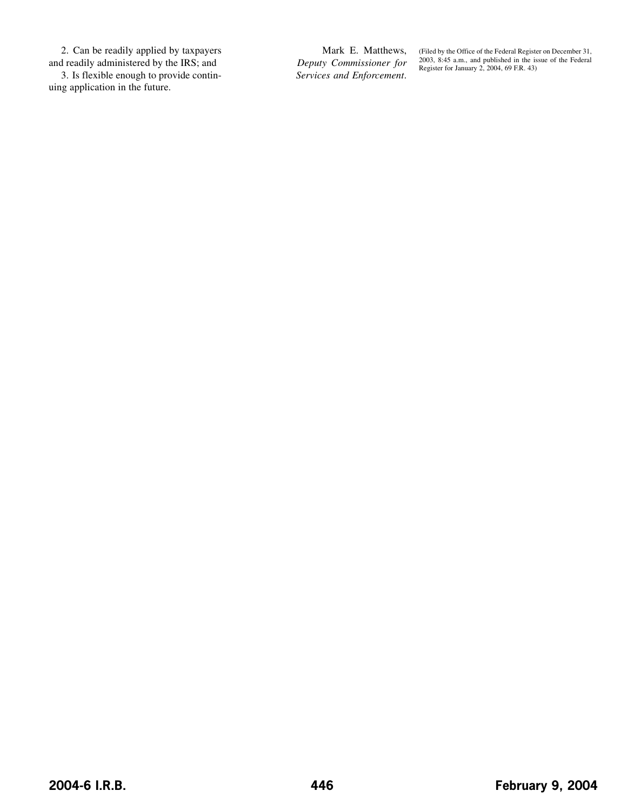2. Can be readily applied by taxpayers

and readily administered by the IRS; and 3. Is flexible enough to provide continuing application in the future.

Mark E. Matthews, *Deputy Commissioner for Services and Enforcement*.

(Filed by the Office of the Federal Register on December 31, 2003, 8:45 a.m., and published in the issue of the Federal Register for January 2, 2004, 69 F.R. 43)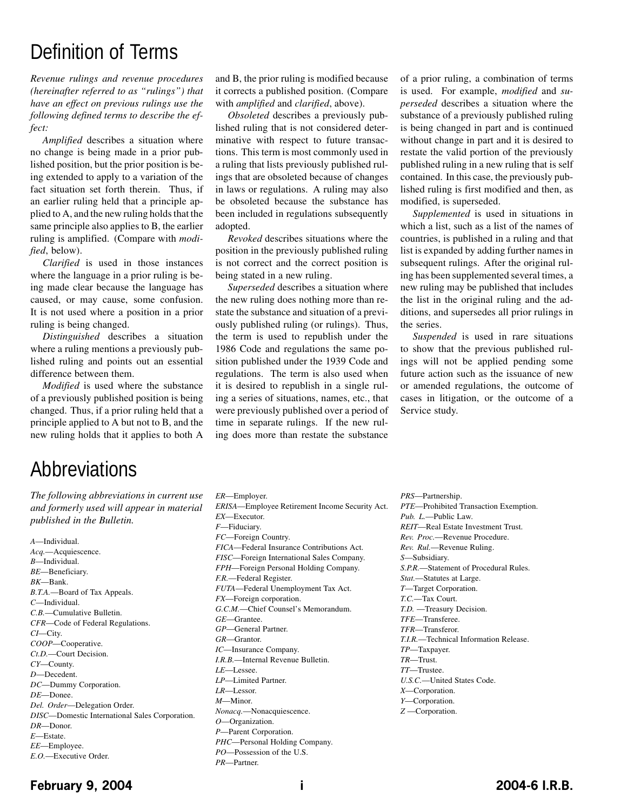## Definition of Terms

*Revenue rulings and revenue procedures (hereinafter referred to as "rulings") that have an effect on previous rulings use the following defined terms to describe the effect:*

*Amplified* describes a situation where no change is being made in a prior published position, but the prior position is being extended to apply to a variation of the fact situation set forth therein. Thus, if an earlier ruling held that a principle applied to A, and the new ruling holds that the same principle also applies to B, the earlier ruling is amplified. (Compare with *modified*, below).

*Clarified* is used in those instances where the language in a prior ruling is being made clear because the language has caused, or may cause, some confusion. It is not used where a position in a prior ruling is being changed.

*Distinguished* describes a situation where a ruling mentions a previously published ruling and points out an essential difference between them.

*Modified* is used where the substance of a previously published position is being changed. Thus, if a prior ruling held that a principle applied to A but not to B, and the new ruling holds that it applies to both A

and B, the prior ruling is modified because it corrects a published position. (Compare with *amplified* and *clarified*, above).

*Obsoleted* describes a previously published ruling that is not considered determinative with respect to future transactions. This term is most commonly used in a ruling that lists previously published rulings that are obsoleted because of changes in laws or regulations. A ruling may also be obsoleted because the substance has been included in regulations subsequently adopted.

*Revoked* describes situations where the position in the previously published ruling is not correct and the correct position is being stated in a new ruling.

*Superseded* describes a situation where the new ruling does nothing more than restate the substance and situation of a previously published ruling (or rulings). Thus, the term is used to republish under the 1986 Code and regulations the same position published under the 1939 Code and regulations. The term is also used when it is desired to republish in a single ruling a series of situations, names, etc., that were previously published over a period of time in separate rulings. If the new ruling does more than restate the substance

of a prior ruling, a combination of terms is used. For example, *modified* and *superseded* describes a situation where the substance of a previously published ruling is being changed in part and is continued without change in part and it is desired to restate the valid portion of the previously published ruling in a new ruling that is self contained. In this case, the previously published ruling is first modified and then, as modified, is superseded.

*Supplemented* is used in situations in which a list, such as a list of the names of countries, is published in a ruling and that list is expanded by adding further names in subsequent rulings. After the original ruling has been supplemented several times, a new ruling may be published that includes the list in the original ruling and the additions, and supersedes all prior rulings in the series.

*Suspended* is used in rare situations to show that the previous published rulings will not be applied pending some future action such as the issuance of new or amended regulations, the outcome of cases in litigation, or the outcome of a Service study.

## **Abbreviations**

*The following abbreviations in current use and formerly used will appear in material published in the Bulletin.*

- *A*—Individual. *Acq.*—Acquiescence. *B*—Individual. *BE*—Beneficiary. *BK*—Bank. *B.T.A.*—Board of Tax Appeals. *C*—Individual. *C.B.*—Cumulative Bulletin. *CFR*—Code of Federal Regulations. *CI*—City. *COOP*—Cooperative. *Ct.D.*—Court Decision. *CY*—County. *D*—Decedent. *DC*—Dummy Corporation. *DE*—Donee. *Del. Order*—Delegation Order. *DISC*—Domestic International Sales Corporation. *DR*—Donor. *E*—Estate. *EE*—Employee. *E.O.*—Executive Order.
- *ER*—Employer. *ERISA*—Employee Retirement Income Security Act. *EX*—Executor. *F*—Fiduciary. *FC*—Foreign Country. *FICA*—Federal Insurance Contributions Act. *FISC*—Foreign International Sales Company. *FPH*—Foreign Personal Holding Company. *F.R.*—Federal Register. *FUTA*—Federal Unemployment Tax Act. *FX*—Foreign corporation. *G.C.M.*—Chief Counsel's Memorandum. *GE*—Grantee. *GP*—General Partner. *GR*—Grantor. *IC*—Insurance Company. *I.R.B.*—Internal Revenue Bulletin. *LE*—Lessee. *LP*—Limited Partner. *LR*—Lessor. *M*—Minor. *Nonacq.*—Nonacquiescence. *O*—Organization. *P*—Parent Corporation. *PHC*—Personal Holding Company.
- *PRS*—Partnership. *PTE*—Prohibited Transaction Exemption. *Pub. L.*—Public Law. *REIT*—Real Estate Investment Trust. *Rev. Proc.*—Revenue Procedure. *Rev. Rul.*—Revenue Ruling. *S*—Subsidiary. *S.P.R.*—Statement of Procedural Rules. *Stat.*—Statutes at Large. *T*—Target Corporation. *T.C.*—Tax Court. *T.D.* —Treasury Decision. *TFE*—Transferee. *TFR*—Transferor. *T.I.R.*—Technical Information Release. *TP*—Taxpayer. *TR*—Trust. *TT*—Trustee. *U.S.C.*—United States Code. *X*—Corporation. *Y*—Corporation. *Z* —Corporation.

## **February 9, 2004 i 2004-6 I.R.B.**

*PO*—Possession of the U.S.

*PR*—Partner.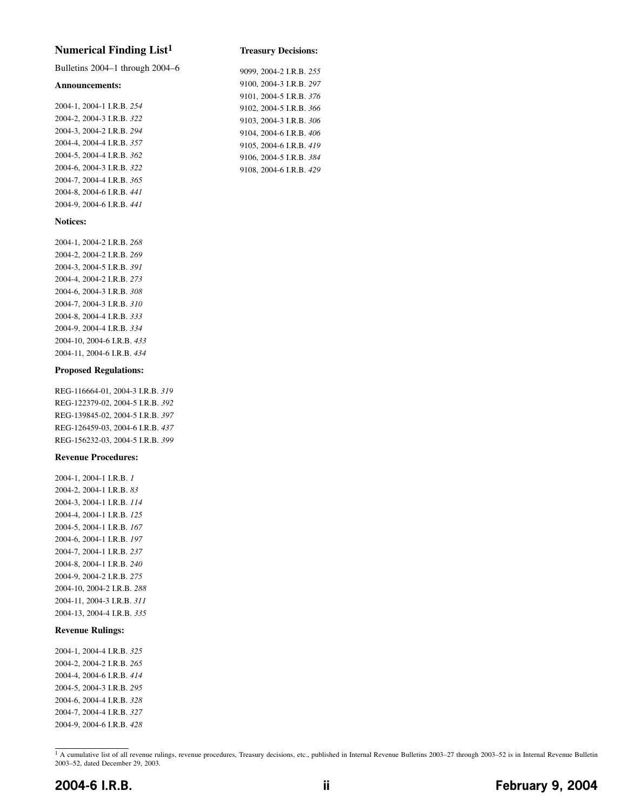## **Numerical Finding List1**

Bulletins 2004–1 through 2004–6

#### **Announcements:**

2004-1, 2004-1 I.R.B. *254* 2004-2, 2004-3 I.R.B. *322* 2004-3, 2004-2 I.R.B. *294* 2004-4, 2004-4 I.R.B. *357* 2004-5, 2004-4 I.R.B. *362* 2004-6, 2004-3 I.R.B. *322* 2004-7, 2004-4 I.R.B. *365* 2004-8, 2004-6 I.R.B. *[441](#page-38-0)* 2004-9, 2004-6 I.R.B. *[441](#page-38-0)*

#### **Notices:**

2004-1, 2004-2 I.R.B. *268* 2004-2, 2004-2 I.R.B. *269* 2004-3, 2004-5 I.R.B. *391* 2004-4, 2004-2 I.R.B. *273* 2004-6, 2004-3 I.R.B. *308* 2004-7, 2004-3 I.R.B. *310* 2004-8, 2004-4 I.R.B. *333* 2004-9, 2004-4 I.R.B. *334* 2004-10, 2004-6 I.R.B. *[433](#page-30-0)* 2004-11, 2004-6 I.R.B. *[434](#page-31-0)*

#### **Proposed Regulations:**

REG-116664-01, 2004-3 I.R.B. *319* REG-122379-02, 2004-5 I.R.B. *392* REG-139845-02, 2004-5 I.R.B. *397* REG-126459-03, 2004-6 I.R.B. *[437](#page-34-0)* REG-156232-03, 2004-5 I.R.B. *399*

#### **Revenue Procedures:**

2004-1, 2004-1 I.R.B. *1* 2004-2, 2004-1 I.R.B. *83* 2004-3, 2004-1 I.R.B. *114* 2004-4, 2004-1 I.R.B. *125* 2004-5, 2004-1 I.R.B. *167* 2004-6, 2004-1 I.R.B. *197* 2004-7, 2004-1 I.R.B. *237* 2004-8, 2004-1 I.R.B. *240* 2004-9, 2004-2 I.R.B. *275* 2004-10, 2004-2 I.R.B. *288* 2004-11, 2004-3 I.R.B. *311* 2004-13, 2004-4 I.R.B. *335*

#### **Revenue Rulings:**

2004-1, 2004-4 I.R.B. *325* 2004-2, 2004-2 I.R.B. *265* 2004-4, 2004-6 I.R.B. *[414](#page-11-0)* 2004-5, 2004-3 I.R.B. *295* 2004-6, 2004-4 I.R.B. *328* 2004-7, 2004-4 I.R.B. *327* 2004-9, 2004-6 I.R.B. *[428](#page-25-0)*

#### **Treasury Decisions:**

| 9099, 2004-2 I.R.B. 255 |
|-------------------------|
| 9100, 2004-3 I.R.B. 297 |
| 9101. 2004-5 I.R.B. 376 |
| 9102. 2004-5 I.R.B. 366 |
| 9103. 2004-3 I.R.B. 306 |
| 9104, 2004-6 I.R.B. 406 |
| 9105. 2004-6 I.R.B. 419 |
| 9106, 2004-5 I.R.B. 384 |
| 9108, 2004-6 I.R.B. 429 |

<sup>&</sup>lt;sup>1</sup> A cumulative list of all revenue rulings, revenue procedures, Treasury decisions, etc., published in Internal Revenue Bulletins 2003-27 through 2003-52 is in Internal Revenue Bulletin 2003–52, dated December 29, 2003.